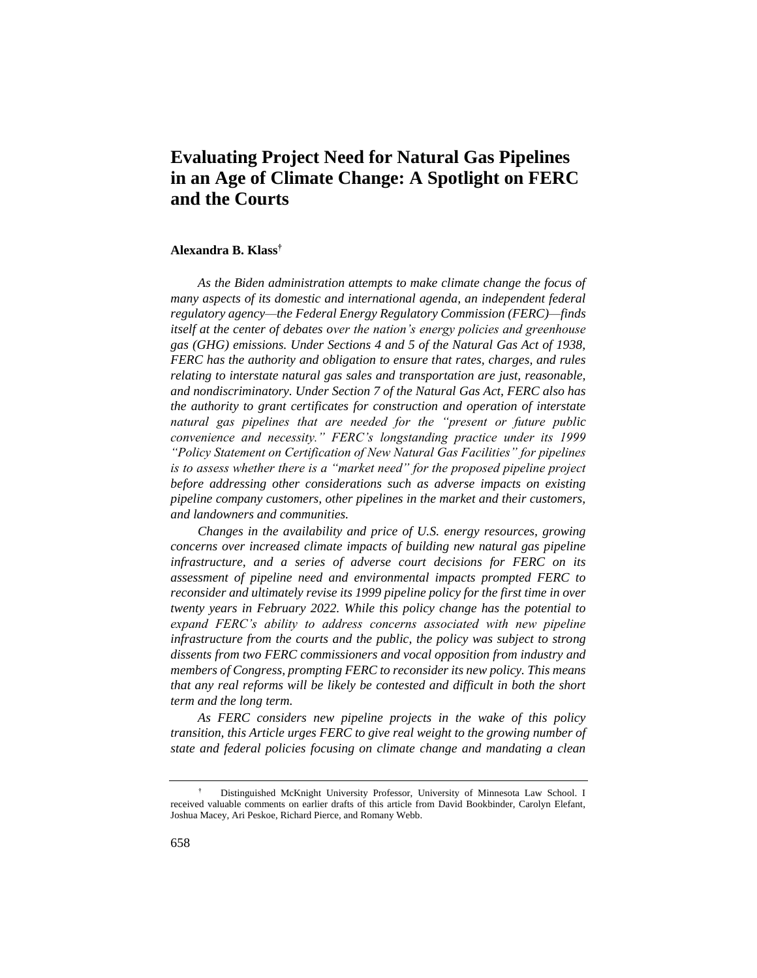# **Evaluating Project Need for Natural Gas Pipelines in an Age of Climate Change: A Spotlight on FERC and the Courts**

#### **Alexandra B. Klass†**

*As the Biden administration attempts to make climate change the focus of many aspects of its domestic and international agenda, an independent federal regulatory agency—the Federal Energy Regulatory Commission (FERC)—finds itself at the center of debates over the nation's energy policies and greenhouse gas (GHG) emissions. Under Sections 4 and 5 of the Natural Gas Act of 1938, FERC has the authority and obligation to ensure that rates, charges, and rules relating to interstate natural gas sales and transportation are just, reasonable, and nondiscriminatory. Under Section 7 of the Natural Gas Act, FERC also has the authority to grant certificates for construction and operation of interstate natural gas pipelines that are needed for the "present or future public convenience and necessity." FERC's longstanding practice under its 1999 "Policy Statement on Certification of New Natural Gas Facilities" for pipelines is to assess whether there is a "market need" for the proposed pipeline project before addressing other considerations such as adverse impacts on existing pipeline company customers, other pipelines in the market and their customers, and landowners and communities.* 

*Changes in the availability and price of U.S. energy resources, growing concerns over increased climate impacts of building new natural gas pipeline infrastructure, and a series of adverse court decisions for FERC on its assessment of pipeline need and environmental impacts prompted FERC to reconsider and ultimately revise its 1999 pipeline policy for the first time in over twenty years in February 2022. While this policy change has the potential to expand FERC's ability to address concerns associated with new pipeline infrastructure from the courts and the public, the policy was subject to strong dissents from two FERC commissioners and vocal opposition from industry and members of Congress, prompting FERC to reconsider its new policy. This means that any real reforms will be likely be contested and difficult in both the short term and the long term.* 

*As FERC considers new pipeline projects in the wake of this policy transition, this Article urges FERC to give real weight to the growing number of state and federal policies focusing on climate change and mandating a clean* 

**<sup>†</sup>** Distinguished McKnight University Professor, University of Minnesota Law School. I received valuable comments on earlier drafts of this article from David Bookbinder, Carolyn Elefant, Joshua Macey, Ari Peskoe, Richard Pierce, and Romany Webb.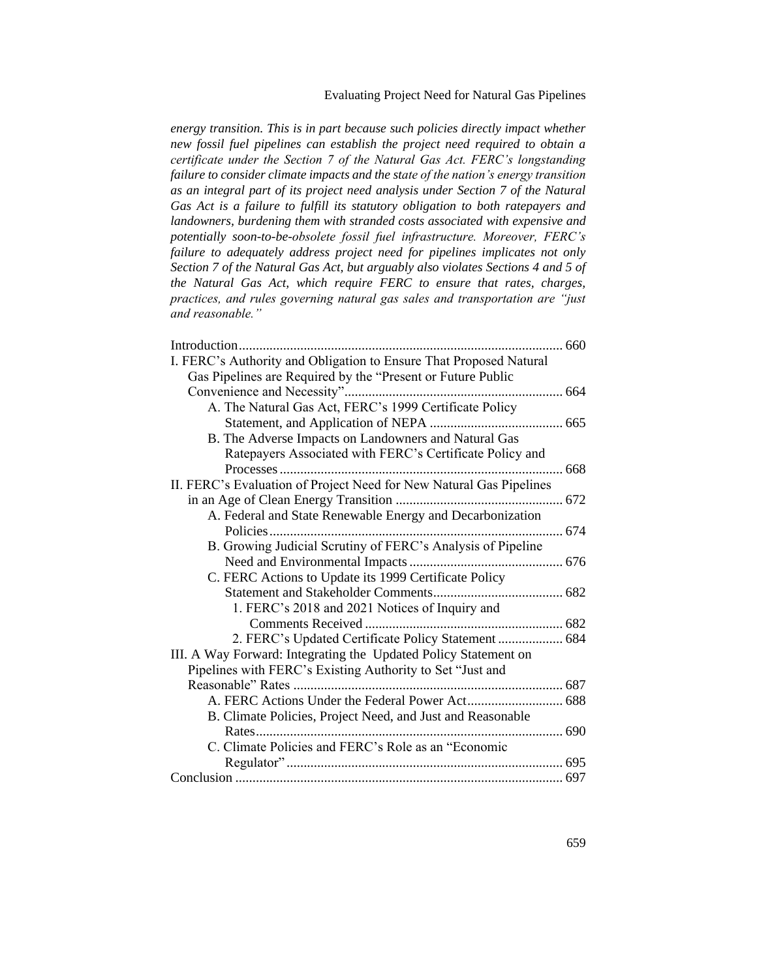# Evaluating Project Need for Natural Gas Pipelines

*energy transition. This is in part because such policies directly impact whether new fossil fuel pipelines can establish the project need required to obtain a certificate under the Section 7 of the Natural Gas Act. FERC's longstanding failure to consider climate impacts and the state of the nation's energy transition as an integral part of its project need analysis under Section 7 of the Natural Gas Act is a failure to fulfill its statutory obligation to both ratepayers and landowners, burdening them with stranded costs associated with expensive and potentially soon-to-be-obsolete fossil fuel infrastructure. Moreover, FERC's failure to adequately address project need for pipelines implicates not only Section 7 of the Natural Gas Act, but arguably also violates Sections 4 and 5 of the Natural Gas Act, which require FERC to ensure that rates, charges, practices, and rules governing natural gas sales and transportation are "just and reasonable."*

| Introduction                                                        | 660 |
|---------------------------------------------------------------------|-----|
| I. FERC's Authority and Obligation to Ensure That Proposed Natural  |     |
| Gas Pipelines are Required by the "Present or Future Public         |     |
|                                                                     |     |
| A. The Natural Gas Act, FERC's 1999 Certificate Policy              |     |
|                                                                     |     |
| B. The Adverse Impacts on Landowners and Natural Gas                |     |
| Ratepayers Associated with FERC's Certificate Policy and            |     |
|                                                                     |     |
| II. FERC's Evaluation of Project Need for New Natural Gas Pipelines |     |
|                                                                     |     |
| A. Federal and State Renewable Energy and Decarbonization           |     |
|                                                                     |     |
| B. Growing Judicial Scrutiny of FERC's Analysis of Pipeline         |     |
|                                                                     |     |
| C. FERC Actions to Update its 1999 Certificate Policy               |     |
|                                                                     |     |
| 1. FERC's 2018 and 2021 Notices of Inquiry and                      |     |
|                                                                     |     |
| 2. FERC's Updated Certificate Policy Statement  684                 |     |
| III. A Way Forward: Integrating the Updated Policy Statement on     |     |
| Pipelines with FERC's Existing Authority to Set "Just and           |     |
|                                                                     |     |
|                                                                     |     |
| B. Climate Policies, Project Need, and Just and Reasonable          |     |
|                                                                     |     |
| C. Climate Policies and FERC's Role as an "Economic                 |     |
|                                                                     |     |
|                                                                     |     |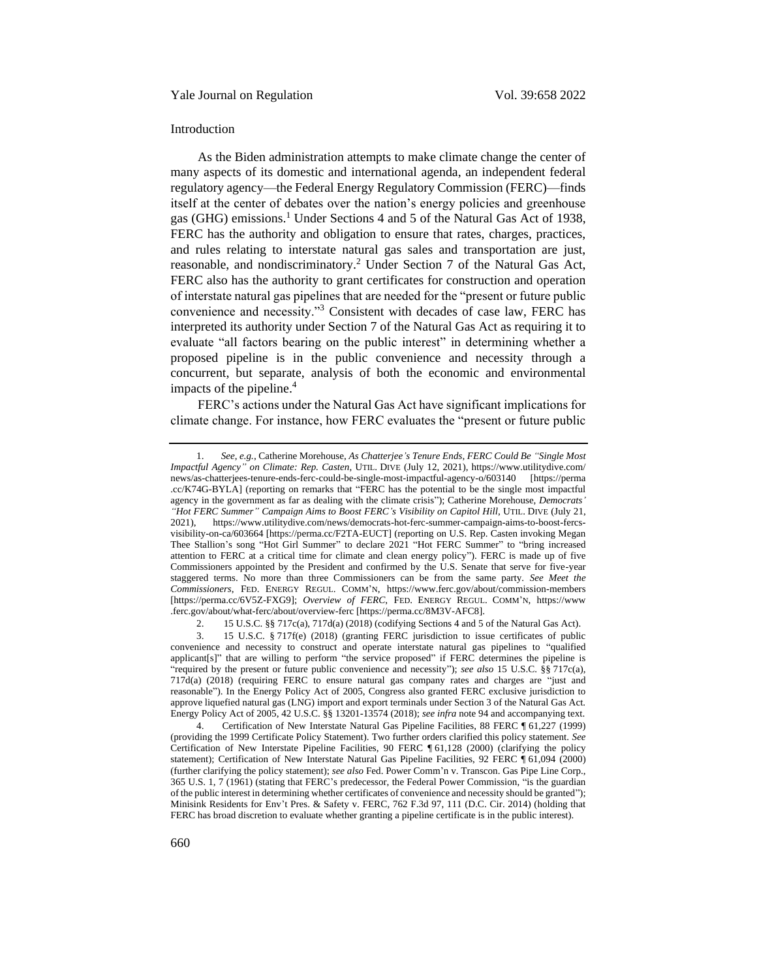#### <span id="page-2-0"></span>Introduction

As the Biden administration attempts to make climate change the center of many aspects of its domestic and international agenda, an independent federal regulatory agency—the Federal Energy Regulatory Commission (FERC)—finds itself at the center of debates over the nation's energy policies and greenhouse gas (GHG) emissions.<sup>1</sup> Under Sections 4 and 5 of the Natural Gas Act of 1938, FERC has the authority and obligation to ensure that rates, charges, practices, and rules relating to interstate natural gas sales and transportation are just, reasonable, and nondiscriminatory.<sup>2</sup> Under Section 7 of the Natural Gas Act, FERC also has the authority to grant certificates for construction and operation of interstate natural gas pipelines that are needed for the "present or future public convenience and necessity."<sup>3</sup> Consistent with decades of case law, FERC has interpreted its authority under Section 7 of the Natural Gas Act as requiring it to evaluate "all factors bearing on the public interest" in determining whether a proposed pipeline is in the public convenience and necessity through a concurrent, but separate, analysis of both the economic and environmental impacts of the pipeline.<sup>4</sup>

<span id="page-2-2"></span><span id="page-2-1"></span>FERC's actions under the Natural Gas Act have significant implications for climate change. For instance, how FERC evaluates the "present or future public

2. 15 U.S.C. §§ 717c(a), 717d(a) (2018) (codifying Sections 4 and 5 of the Natural Gas Act).

<sup>1.</sup> *See*, *e.g.*, Catherine Morehouse, *As Chatterjee's Tenure Ends, FERC Could Be "Single Most Impactful Agency" on Climate: Rep. Casten*, UTIL. DIVE (July 12, 2021), https://www.utilitydive.com/ news/as-chatterjees-tenure-ends-ferc-could-be-single-most-impactful-agency-o/603140 [https://perma .cc/K74G-BYLA] (reporting on remarks that "FERC has the potential to be the single most impactful agency in the government as far as dealing with the climate crisis"); Catherine Morehouse, *Democrats' "Hot FERC Summer" Campaign Aims to Boost FERC's Visibility on Capitol Hill*, UTIL. DIVE (July 21, 2021), https://www.utilitydive.com/news/democrats-hot-ferc-summer-campaign-aims-to-boost-fercsvisibility-on-ca/603664 [https://perma.cc/F2TA-EUCT] (reporting on U.S. Rep. Casten invoking Megan Thee Stallion's song "Hot Girl Summer" to declare 2021 "Hot FERC Summer" to "bring increased attention to FERC at a critical time for climate and clean energy policy"). FERC is made up of five Commissioners appointed by the President and confirmed by the U.S. Senate that serve for five-year staggered terms. No more than three Commissioners can be from the same party. *See Meet the Commissioners*, FED. ENERGY REGUL. COMM'N, https://www.ferc.gov/about/commission-members [https://perma.cc/6V5Z-FXG9]; *Overview of FERC*, FED. ENERGY REGUL. COMM'N, https://www .ferc.gov/about/what-ferc/about/overview-ferc [https://perma.cc/8M3V-AFC8].

<sup>3.</sup> 15 U.S.C. § 717f(e) (2018) (granting FERC jurisdiction to issue certificates of public convenience and necessity to construct and operate interstate natural gas pipelines to "qualified applicant[s]" that are willing to perform "the service proposed" if FERC determines the pipeline is "required by the present or future public convenience and necessity"); *see also* 15 U.S.C. §§ 717c(a), 717d(a) (2018) (requiring FERC to ensure natural gas company rates and charges are "just and reasonable"). In the Energy Policy Act of 2005, Congress also granted FERC exclusive jurisdiction to approve liquefied natural gas (LNG) import and export terminals under Section 3 of the Natural Gas Act. Energy Policy Act of 2005, 42 U.S.C. §§ 13201-13574 (2018); *see infra* not[e 94](#page-22-0) and accompanying text.

<sup>4.</sup> Certification of New Interstate Natural Gas Pipeline Facilities, 88 FERC ¶ 61,227 (1999) (providing the 1999 Certificate Policy Statement). Two further orders clarified this policy statement. *See* Certification of New Interstate Pipeline Facilities, 90 FERC ¶ 61,128 (2000) (clarifying the policy statement); Certification of New Interstate Natural Gas Pipeline Facilities, 92 FERC ¶ 61,094 (2000) (further clarifying the policy statement); *see also* Fed. Power Comm'n v. Transcon. Gas Pipe Line Corp., 365 U.S. 1, 7 (1961) (stating that FERC's predecessor, the Federal Power Commission, "is the guardian of the public interest in determining whether certificates of convenience and necessity should be granted"); Minisink Residents for Env't Pres. & Safety v. FERC, 762 F.3d 97, 111 (D.C. Cir. 2014) (holding that FERC has broad discretion to evaluate whether granting a pipeline certificate is in the public interest).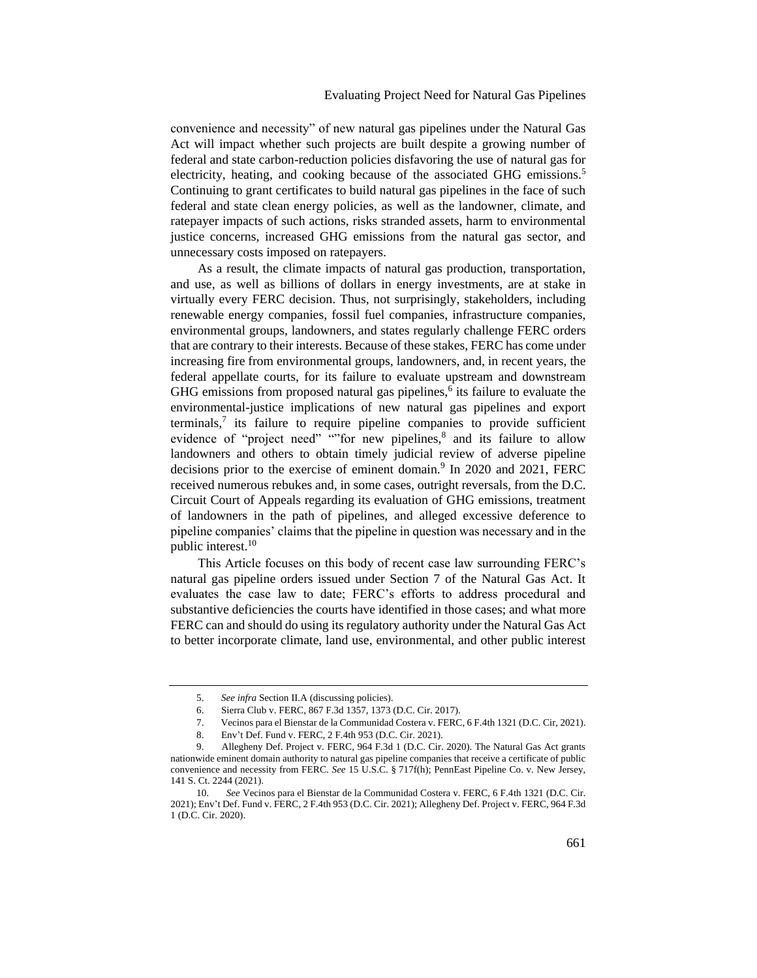convenience and necessity" of new natural gas pipelines under the Natural Gas Act will impact whether such projects are built despite a growing number of federal and state carbon-reduction policies disfavoring the use of natural gas for electricity, heating, and cooking because of the associated GHG emissions.<sup>5</sup> Continuing to grant certificates to build natural gas pipelines in the face of such federal and state clean energy policies, as well as the landowner, climate, and ratepayer impacts of such actions, risks stranded assets, harm to environmental justice concerns, increased GHG emissions from the natural gas sector, and unnecessary costs imposed on ratepayers.

As a result, the climate impacts of natural gas production, transportation, and use, as well as billions of dollars in energy investments, are at stake in virtually every FERC decision. Thus, not surprisingly, stakeholders, including renewable energy companies, fossil fuel companies, infrastructure companies, environmental groups, landowners, and states regularly challenge FERC orders that are contrary to their interests. Because of these stakes, FERC has come under increasing fire from environmental groups, landowners, and, in recent years, the federal appellate courts, for its failure to evaluate upstream and downstream GHG emissions from proposed natural gas pipelines, $<sup>6</sup>$  its failure to evaluate the</sup> environmental-justice implications of new natural gas pipelines and export terminals, $\lambda$  its failure to require pipeline companies to provide sufficient evidence of "project need" ""for new pipelines,<sup>8</sup> and its failure to allow landowners and others to obtain timely judicial review of adverse pipeline decisions prior to the exercise of eminent domain.<sup>9</sup> In 2020 and 2021, FERC received numerous rebukes and, in some cases, outright reversals, from the D.C. Circuit Court of Appeals regarding its evaluation of GHG emissions, treatment of landowners in the path of pipelines, and alleged excessive deference to pipeline companies' claims that the pipeline in question was necessary and in the public interest.<sup>10</sup>

This Article focuses on this body of recent case law surrounding FERC's natural gas pipeline orders issued under Section 7 of the Natural Gas Act. It evaluates the case law to date; FERC's efforts to address procedural and substantive deficiencies the courts have identified in those cases; and what more FERC can and should do using its regulatory authority under the Natural Gas Act to better incorporate climate, land use, environmental, and other public interest

<sup>5.</sup> *See infra* Section II.A (discussing policies).

<sup>6.</sup> Sierra Club v. FERC, 867 F.3d 1357, 1373 (D.C. Cir. 2017).

<sup>7.</sup> Vecinos para el Bienstar de la Communidad Costera v. FERC, 6 F.4th 1321 (D.C. Cir, 2021).

<sup>8.</sup> Env't Def. Fund v. FERC, 2 F.4th 953 (D.C. Cir. 2021).

<sup>9.</sup> Allegheny Def. Project v. FERC, 964 F.3d 1 (D.C. Cir. 2020). The Natural Gas Act grants nationwide eminent domain authority to natural gas pipeline companies that receive a certificate of public convenience and necessity from FERC. *See* 15 U.S.C. § 717f(h); PennEast Pipeline Co. v. New Jersey, 141 S. Ct. 2244 (2021).

<sup>10.</sup> *See* Vecinos para el Bienstar de la Communidad Costera v. FERC, 6 F.4th 1321 (D.C. Cir. 2021); Env't Def. Fund v. FERC, 2 F.4th 953 (D.C. Cir. 2021); Allegheny Def. Project v. FERC, 964 F.3d 1 (D.C. Cir. 2020).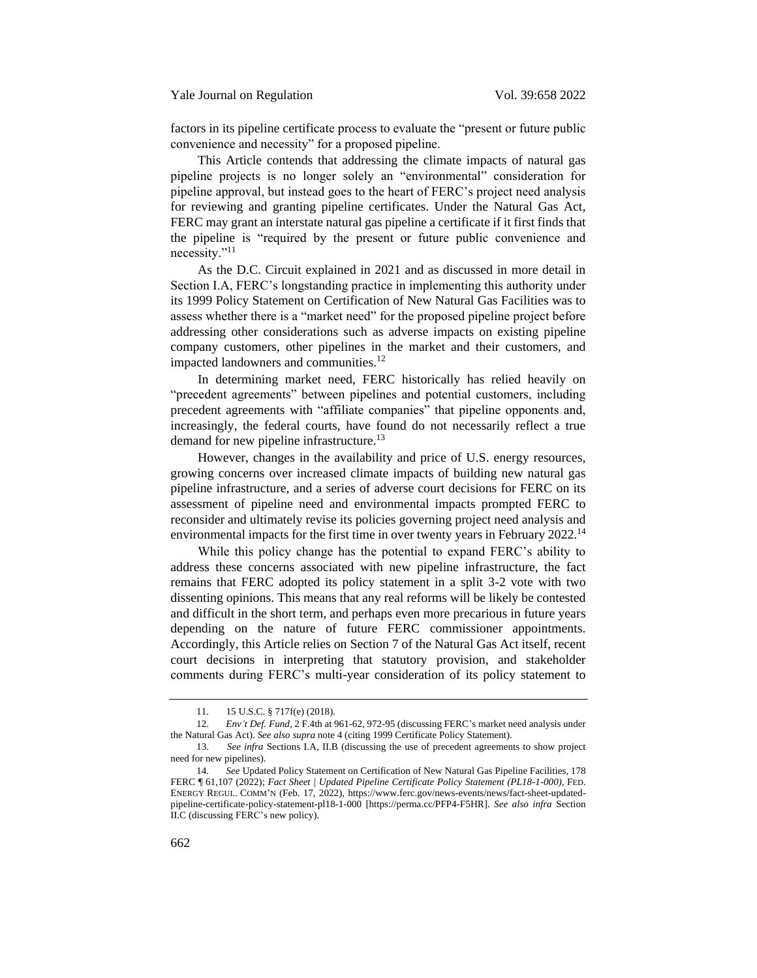factors in its pipeline certificate process to evaluate the "present or future public convenience and necessity" for a proposed pipeline.

This Article contends that addressing the climate impacts of natural gas pipeline projects is no longer solely an "environmental" consideration for pipeline approval, but instead goes to the heart of FERC's project need analysis for reviewing and granting pipeline certificates. Under the Natural Gas Act, FERC may grant an interstate natural gas pipeline a certificate if it first finds that the pipeline is "required by the present or future public convenience and necessity."<sup>11</sup>

As the D.C. Circuit explained in 2021 and as discussed in more detail in Section I.A, FERC's longstanding practice in implementing this authority under its 1999 Policy Statement on Certification of New Natural Gas Facilities was to assess whether there is a "market need" for the proposed pipeline project before addressing other considerations such as adverse impacts on existing pipeline company customers, other pipelines in the market and their customers, and impacted landowners and communities.<sup>12</sup>

In determining market need, FERC historically has relied heavily on "precedent agreements" between pipelines and potential customers, including precedent agreements with "affiliate companies" that pipeline opponents and, increasingly, the federal courts, have found do not necessarily reflect a true demand for new pipeline infrastructure.<sup>13</sup>

However, changes in the availability and price of U.S. energy resources, growing concerns over increased climate impacts of building new natural gas pipeline infrastructure, and a series of adverse court decisions for FERC on its assessment of pipeline need and environmental impacts prompted FERC to reconsider and ultimately revise its policies governing project need analysis and environmental impacts for the first time in over twenty years in February 2022.<sup>14</sup>

<span id="page-4-0"></span>While this policy change has the potential to expand FERC's ability to address these concerns associated with new pipeline infrastructure, the fact remains that FERC adopted its policy statement in a split 3-2 vote with two dissenting opinions. This means that any real reforms will be likely be contested and difficult in the short term, and perhaps even more precarious in future years depending on the nature of future FERC commissioner appointments. Accordingly, this Article relies on Section 7 of the Natural Gas Act itself, recent court decisions in interpreting that statutory provision, and stakeholder comments during FERC's multi-year consideration of its policy statement to

<sup>11.</sup> 15 U.S.C. § 717f(e) (2018).

<sup>12.</sup> *Env't Def. Fund*, 2 F.4th at 961-62, 972-95 (discussing FERC's market need analysis under the Natural Gas Act). *See also supra* note 4 (citing 1999 Certificate Policy Statement).

<sup>13.</sup> *See infra* Sections I.A, II.B (discussing the use of precedent agreements to show project need for new pipelines).

<sup>14.</sup> *See* Updated Policy Statement on Certification of New Natural Gas Pipeline Facilities, 178 FERC ¶ 61,107 (2022); *Fact Sheet | Updated Pipeline Certificate Policy Statement (PL18-1-000)*, FED. ENERGY REGUL. COMM'N (Feb. 17, 2022), https://www.ferc.gov/news-events/news/fact-sheet-updatedpipeline-certificate-policy-statement-pl18-1-000 [https://perma.cc/PFP4-F5HR]. *See also infra* Section II.C (discussing FERC's new policy).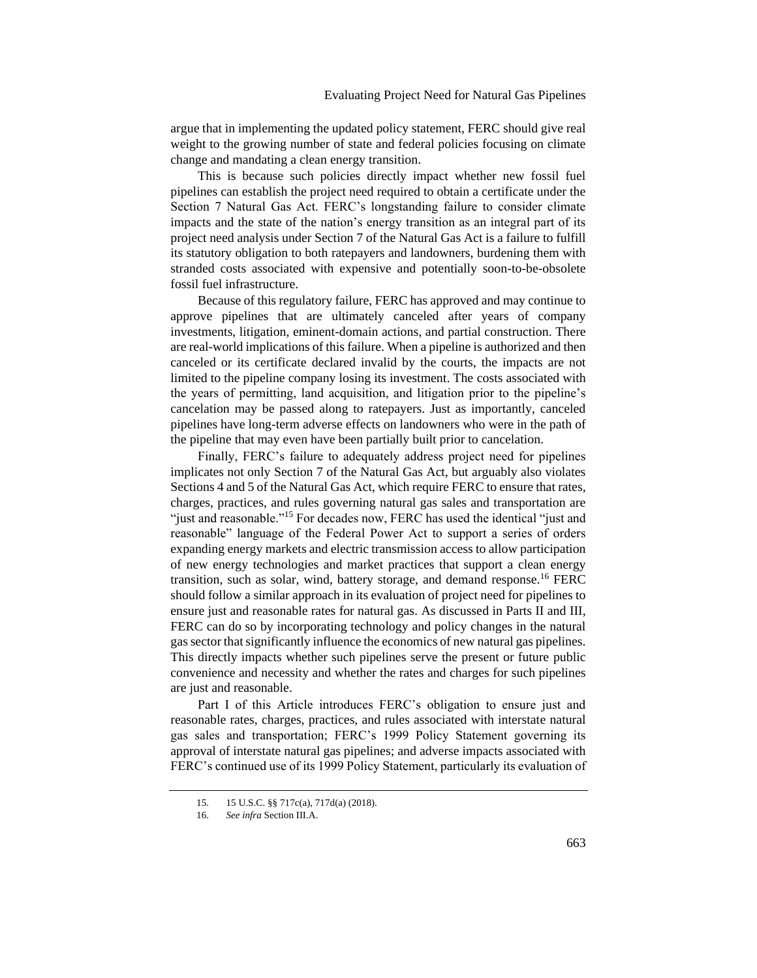argue that in implementing the updated policy statement, FERC should give real weight to the growing number of state and federal policies focusing on climate change and mandating a clean energy transition.

This is because such policies directly impact whether new fossil fuel pipelines can establish the project need required to obtain a certificate under the Section 7 Natural Gas Act. FERC's longstanding failure to consider climate impacts and the state of the nation's energy transition as an integral part of its project need analysis under Section 7 of the Natural Gas Act is a failure to fulfill its statutory obligation to both ratepayers and landowners, burdening them with stranded costs associated with expensive and potentially soon-to-be-obsolete fossil fuel infrastructure.

Because of this regulatory failure, FERC has approved and may continue to approve pipelines that are ultimately canceled after years of company investments, litigation, eminent-domain actions, and partial construction. There are real-world implications of this failure. When a pipeline is authorized and then canceled or its certificate declared invalid by the courts, the impacts are not limited to the pipeline company losing its investment. The costs associated with the years of permitting, land acquisition, and litigation prior to the pipeline's cancelation may be passed along to ratepayers. Just as importantly, canceled pipelines have long-term adverse effects on landowners who were in the path of the pipeline that may even have been partially built prior to cancelation.

Finally, FERC's failure to adequately address project need for pipelines implicates not only Section 7 of the Natural Gas Act, but arguably also violates Sections 4 and 5 of the Natural Gas Act, which require FERC to ensure that rates, charges, practices, and rules governing natural gas sales and transportation are "just and reasonable."<sup>15</sup> For decades now, FERC has used the identical "just and reasonable" language of the Federal Power Act to support a series of orders expanding energy markets and electric transmission access to allow participation of new energy technologies and market practices that support a clean energy transition, such as solar, wind, battery storage, and demand response.<sup>16</sup> FERC should follow a similar approach in its evaluation of project need for pipelines to ensure just and reasonable rates for natural gas. As discussed in Parts II and III, FERC can do so by incorporating technology and policy changes in the natural gas sector that significantly influence the economics of new natural gas pipelines. This directly impacts whether such pipelines serve the present or future public convenience and necessity and whether the rates and charges for such pipelines are just and reasonable.

Part I of this Article introduces FERC's obligation to ensure just and reasonable rates, charges, practices, and rules associated with interstate natural gas sales and transportation; FERC's 1999 Policy Statement governing its approval of interstate natural gas pipelines; and adverse impacts associated with FERC's continued use of its 1999 Policy Statement, particularly its evaluation of

<sup>15.</sup> 15 U.S.C. §§ 717c(a), 717d(a) (2018).

<sup>16.</sup> *See infra* Section III.A.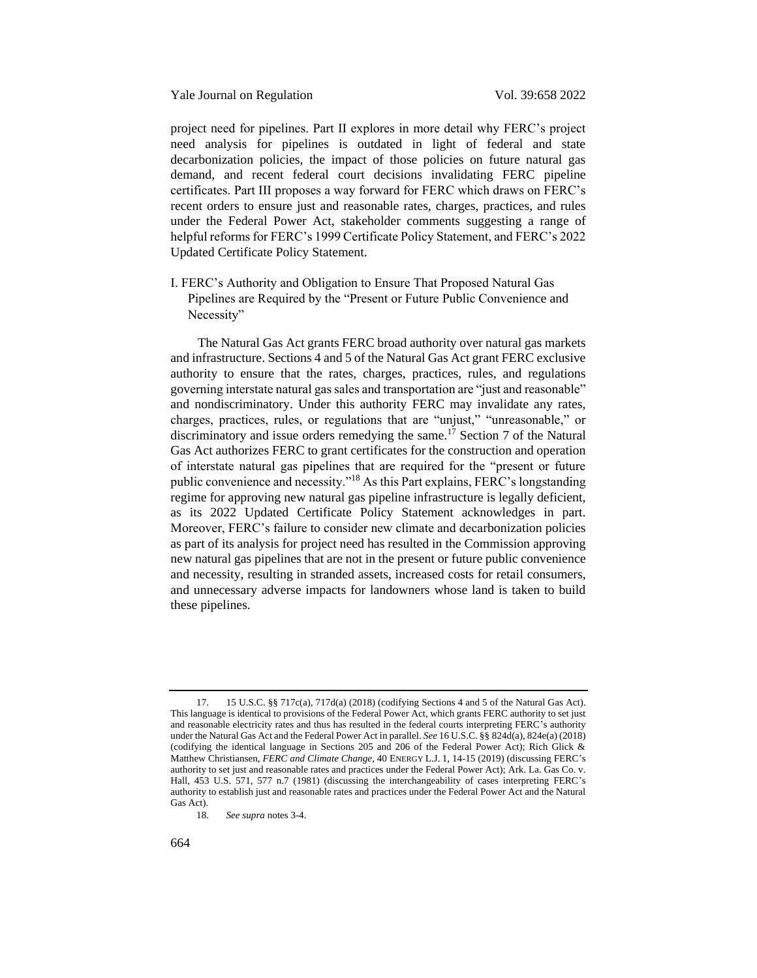project need for pipelines. Part II explores in more detail why FERC's project need analysis for pipelines is outdated in light of federal and state decarbonization policies, the impact of those policies on future natural gas demand, and recent federal court decisions invalidating FERC pipeline certificates. Part III proposes a way forward for FERC which draws on FERC's recent orders to ensure just and reasonable rates, charges, practices, and rules under the Federal Power Act, stakeholder comments suggesting a range of helpful reforms for FERC's 1999 Certificate Policy Statement, and FERC's 2022 Updated Certificate Policy Statement.

<span id="page-6-0"></span>I. FERC's Authority and Obligation to Ensure That Proposed Natural Gas Pipelines are Required by the "Present or Future Public Convenience and Necessity"

<span id="page-6-1"></span>The Natural Gas Act grants FERC broad authority over natural gas markets and infrastructure. Sections 4 and 5 of the Natural Gas Act grant FERC exclusive authority to ensure that the rates, charges, practices, rules, and regulations governing interstate natural gas sales and transportation are "just and reasonable" and nondiscriminatory. Under this authority FERC may invalidate any rates, charges, practices, rules, or regulations that are "unjust," "unreasonable," or discriminatory and issue orders remedying the same.<sup>17</sup> Section 7 of the Natural Gas Act authorizes FERC to grant certificates for the construction and operation of interstate natural gas pipelines that are required for the "present or future public convenience and necessity."<sup>18</sup> As this Part explains, FERC's longstanding regime for approving new natural gas pipeline infrastructure is legally deficient, as its 2022 Updated Certificate Policy Statement acknowledges in part. Moreover, FERC's failure to consider new climate and decarbonization policies as part of its analysis for project need has resulted in the Commission approving new natural gas pipelines that are not in the present or future public convenience and necessity, resulting in stranded assets, increased costs for retail consumers, and unnecessary adverse impacts for landowners whose land is taken to build these pipelines.

<sup>17.</sup> 15 U.S.C. §§ 717c(a), 717d(a) (2018) (codifying Sections 4 and 5 of the Natural Gas Act). This language is identical to provisions of the Federal Power Act, which grants FERC authority to set just and reasonable electricity rates and thus has resulted in the federal courts interpreting FERC's authority under the Natural Gas Act and the Federal Power Act in parallel. *See* 16 U.S.C. §§ 824d(a), 824e(a) (2018) (codifying the identical language in Sections 205 and 206 of the Federal Power Act); Rich Glick & Matthew Christiansen, *FERC and Climate Change*, 40 ENERGY L.J. 1, 14-15 (2019) (discussing FERC's authority to set just and reasonable rates and practices under the Federal Power Act); Ark. La. Gas Co. v. Hall, 453 U.S. 571, 577 n.7 (1981) (discussing the interchangeability of cases interpreting FERC's authority to establish just and reasonable rates and practices under the Federal Power Act and the Natural Gas Act).

<sup>18.</sup> *See supra* note[s 3](#page-2-1)[-4.](#page-2-2)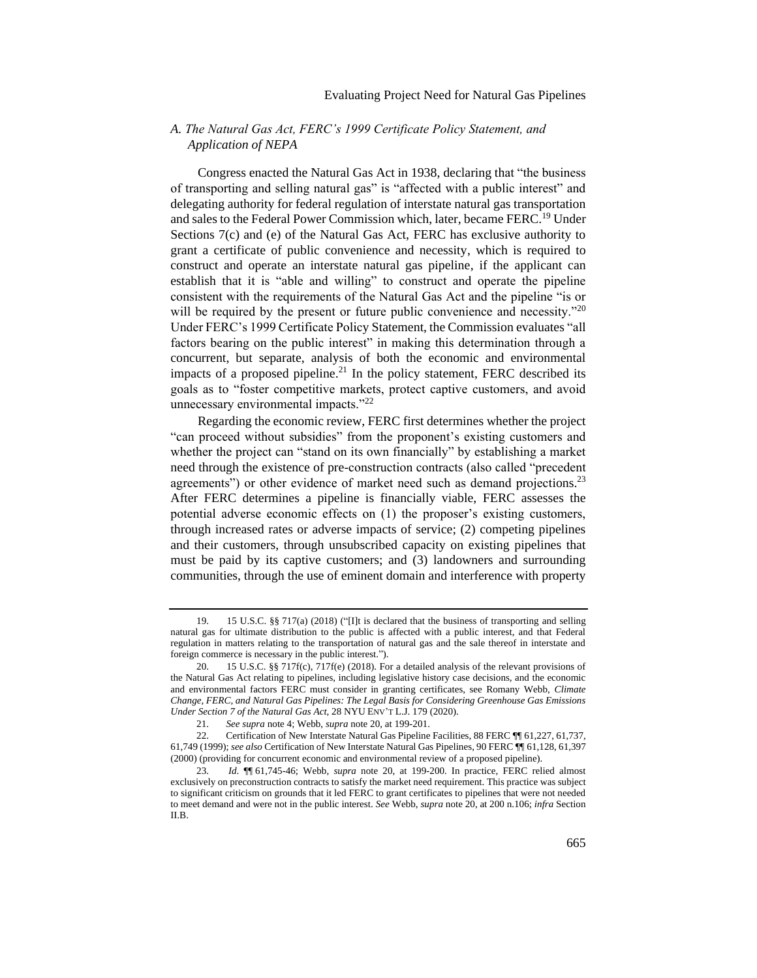# <span id="page-7-0"></span>*A. The Natural Gas Act, FERC's 1999 Certificate Policy Statement, and Application of NEPA*

Congress enacted the Natural Gas Act in 1938, declaring that "the business of transporting and selling natural gas" is "affected with a public interest" and delegating authority for federal regulation of interstate natural gas transportation and sales to the Federal Power Commission which, later, became FERC.<sup>19</sup> Under Sections 7(c) and (e) of the Natural Gas Act, FERC has exclusive authority to grant a certificate of public convenience and necessity, which is required to construct and operate an interstate natural gas pipeline, if the applicant can establish that it is "able and willing" to construct and operate the pipeline consistent with the requirements of the Natural Gas Act and the pipeline "is or will be required by the present or future public convenience and necessity."<sup>20</sup> Under FERC's 1999 Certificate Policy Statement, the Commission evaluates "all factors bearing on the public interest" in making this determination through a concurrent, but separate, analysis of both the economic and environmental impacts of a proposed pipeline.<sup>21</sup> In the policy statement, FERC described its goals as to "foster competitive markets, protect captive customers, and avoid unnecessary environmental impacts. $"^{22}$ 

<span id="page-7-1"></span>Regarding the economic review, FERC first determines whether the project "can proceed without subsidies" from the proponent's existing customers and whether the project can "stand on its own financially" by establishing a market need through the existence of pre-construction contracts (also called "precedent agreements") or other evidence of market need such as demand projections.<sup>23</sup> After FERC determines a pipeline is financially viable, FERC assesses the potential adverse economic effects on (1) the proposer's existing customers, through increased rates or adverse impacts of service; (2) competing pipelines and their customers, through unsubscribed capacity on existing pipelines that must be paid by its captive customers; and (3) landowners and surrounding communities, through the use of eminent domain and interference with property

<sup>19.</sup> 15 U.S.C. §§ 717(a) (2018) ("[I]t is declared that the business of transporting and selling natural gas for ultimate distribution to the public is affected with a public interest, and that Federal regulation in matters relating to the transportation of natural gas and the sale thereof in interstate and foreign commerce is necessary in the public interest.").

<sup>20.</sup> 15 U.S.C. §§ 717f(c), 717f(e) (2018). For a detailed analysis of the relevant provisions of the Natural Gas Act relating to pipelines, including legislative history case decisions, and the economic and environmental factors FERC must consider in granting certificates, see Romany Webb, *Climate Change, FERC, and Natural Gas Pipelines: The Legal Basis for Considering Greenhouse Gas Emissions Under Section 7 of the Natural Gas Act*, 28 NYU ENV'T L.J. 179 (2020).

<sup>21.</sup> *See supra* not[e 4;](#page-2-2) Webb, *supra* not[e 20,](#page-7-1) at 199-201.

<sup>22.</sup> Certification of New Interstate Natural Gas Pipeline Facilities, 88 FERC ¶¶ 61,227, 61,737, 61,749 (1999); *see also* Certification of New Interstate Natural Gas Pipelines, 90 FERC ¶¶ 61,128, 61,397 (2000) (providing for concurrent economic and environmental review of a proposed pipeline).

<sup>23.</sup> *Id*. ¶¶ 61,745-46; Webb, *supra* note [20,](#page-7-1) at 199-200. In practice, FERC relied almost exclusively on preconstruction contracts to satisfy the market need requirement. This practice was subject to significant criticism on grounds that it led FERC to grant certificates to pipelines that were not needed to meet demand and were not in the public interest. *See* Webb, *supra* not[e 20,](#page-7-1) at 200 n.106; *infra* Section II.B.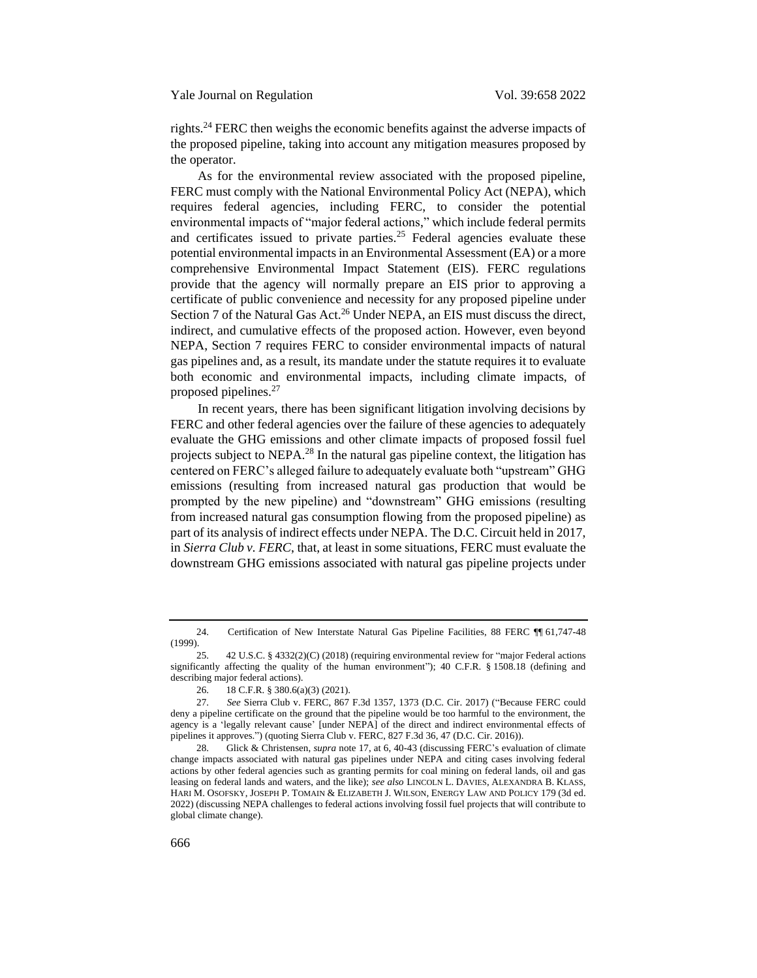rights.<sup>24</sup> FERC then weighs the economic benefits against the adverse impacts of the proposed pipeline, taking into account any mitigation measures proposed by the operator.

As for the environmental review associated with the proposed pipeline, FERC must comply with the National Environmental Policy Act (NEPA), which requires federal agencies, including FERC, to consider the potential environmental impacts of "major federal actions," which include federal permits and certificates issued to private parties.<sup>25</sup> Federal agencies evaluate these potential environmental impacts in an Environmental Assessment (EA) or a more comprehensive Environmental Impact Statement (EIS). FERC regulations provide that the agency will normally prepare an EIS prior to approving a certificate of public convenience and necessity for any proposed pipeline under Section 7 of the Natural Gas Act.<sup>26</sup> Under NEPA, an EIS must discuss the direct, indirect, and cumulative effects of the proposed action. However, even beyond NEPA, Section 7 requires FERC to consider environmental impacts of natural gas pipelines and, as a result, its mandate under the statute requires it to evaluate both economic and environmental impacts, including climate impacts, of proposed pipelines.<sup>27</sup>

<span id="page-8-0"></span>In recent years, there has been significant litigation involving decisions by FERC and other federal agencies over the failure of these agencies to adequately evaluate the GHG emissions and other climate impacts of proposed fossil fuel projects subject to NEPA.<sup>28</sup> In the natural gas pipeline context, the litigation has centered on FERC's alleged failure to adequately evaluate both "upstream" GHG emissions (resulting from increased natural gas production that would be prompted by the new pipeline) and "downstream" GHG emissions (resulting from increased natural gas consumption flowing from the proposed pipeline) as part of its analysis of indirect effects under NEPA. The D.C. Circuit held in 2017, in *Sierra Club v. FERC*, that, at least in some situations, FERC must evaluate the downstream GHG emissions associated with natural gas pipeline projects under

<sup>24.</sup> Certification of New Interstate Natural Gas Pipeline Facilities, 88 FERC ¶¶ 61,747-48 (1999).

<sup>25.</sup> 42 U.S.C. § 4332(2)(C) (2018) (requiring environmental review for "major Federal actions significantly affecting the quality of the human environment"); 40 C.F.R. § 1508.18 (defining and describing major federal actions).

<sup>26.</sup> 18 C.F.R. § 380.6(a)(3) (2021).

<sup>27.</sup> *See* Sierra Club v. FERC, 867 F.3d 1357, 1373 (D.C. Cir. 2017) ("Because FERC could deny a pipeline certificate on the ground that the pipeline would be too harmful to the environment, the agency is a 'legally relevant cause' [under NEPA] of the direct and indirect environmental effects of pipelines it approves.") (quoting Sierra Club v. FERC, 827 F.3d 36, 47 (D.C. Cir. 2016)).

<sup>28.</sup> Glick & Christensen, *supra* not[e 17,](#page-6-1) at 6, 40-43 (discussing FERC's evaluation of climate change impacts associated with natural gas pipelines under NEPA and citing cases involving federal actions by other federal agencies such as granting permits for coal mining on federal lands, oil and gas leasing on federal lands and waters, and the like); *see also* LINCOLN L. DAVIES, ALEXANDRA B. KLASS, HARI M. OSOFSKY, JOSEPH P. TOMAIN & ELIZABETH J. WILSON, ENERGY LAW AND POLICY 179 (3d ed. 2022) (discussing NEPA challenges to federal actions involving fossil fuel projects that will contribute to global climate change).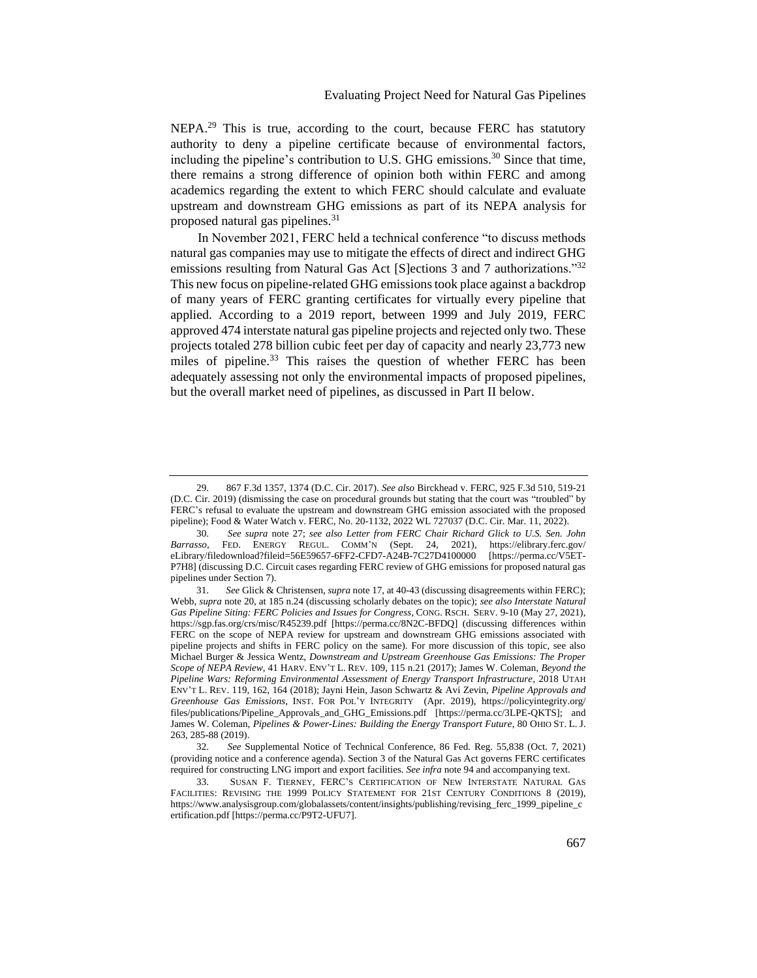NEPA.<sup>29</sup> This is true, according to the court, because FERC has statutory authority to deny a pipeline certificate because of environmental factors, including the pipeline's contribution to U.S. GHG emissions.<sup>30</sup> Since that time, there remains a strong difference of opinion both within FERC and among academics regarding the extent to which FERC should calculate and evaluate upstream and downstream GHG emissions as part of its NEPA analysis for proposed natural gas pipelines.<sup>31</sup>

<span id="page-9-1"></span><span id="page-9-0"></span>In November 2021, FERC held a technical conference "to discuss methods natural gas companies may use to mitigate the effects of direct and indirect GHG emissions resulting from Natural Gas Act [S]ections 3 and 7 authorizations.<sup>332</sup> This new focus on pipeline-related GHG emissions took place against a backdrop of many years of FERC granting certificates for virtually every pipeline that applied. According to a 2019 report, between 1999 and July 2019, FERC approved 474 interstate natural gas pipeline projects and rejected only two. These projects totaled 278 billion cubic feet per day of capacity and nearly 23,773 new miles of pipeline.<sup>33</sup> This raises the question of whether FERC has been adequately assessing not only the environmental impacts of proposed pipelines, but the overall market need of pipelines, as discussed in Part II below.

<sup>29.</sup> 867 F.3d 1357, 1374 (D.C. Cir. 2017). *See also* Birckhead v. FERC, 925 F.3d 510, 519-21 (D.C. Cir. 2019) (dismissing the case on procedural grounds but stating that the court was "troubled" by FERC's refusal to evaluate the upstream and downstream GHG emission associated with the proposed pipeline); Food & Water Watch v. FERC, No. 20-1132, 2022 WL 727037 (D.C. Cir. Mar. 11, 2022).

<sup>30.</sup> *See supra* note [27;](#page-8-0) *see also Letter from FERC Chair Richard Glick to U.S. Sen. John Barrasso*, FED. ENERGY REGUL. COMM'N (Sept. 24, 2021), https://elibrary.ferc.gov/ eLibrary/filedownload?fileid=56E59657-6FF2-CFD7-A24B-7C27D4100000 [https://perma.cc/V5ET-P7H8] (discussing D.C. Circuit cases regarding FERC review of GHG emissions for proposed natural gas pipelines under Section 7).

<sup>31.</sup> *See* Glick & Christensen, *supra* not[e 17,](#page-6-1) at 40-43 (discussing disagreements within FERC); Webb, *supra* not[e 20,](#page-7-1) at 185 n.24 (discussing scholarly debates on the topic); *see also Interstate Natural Gas Pipeline Siting: FERC Policies and Issues for Congress*, CONG. RSCH. SERV. 9-10 (May 27, 2021), https://sgp.fas.org/crs/misc/R45239.pdf [https://perma.cc/8N2C-BFDQ] (discussing differences within FERC on the scope of NEPA review for upstream and downstream GHG emissions associated with pipeline projects and shifts in FERC policy on the same). For more discussion of this topic, see also Michael Burger & Jessica Wentz, *Downstream and Upstream Greenhouse Gas Emissions: The Proper Scope of NEPA Review*, 41 HARV. ENV'T L. REV. 109, 115 n.21 (2017); James W. Coleman, *Beyond the Pipeline Wars: Reforming Environmental Assessment of Energy Transport Infrastructure*, 2018 UTAH ENV'T L. REV. 119, 162, 164 (2018); Jayni Hein, Jason Schwartz & Avi Zevin, *Pipeline Approvals and Greenhouse Gas Emissions*, INST. FOR POL'Y INTEGRITY (Apr. 2019), https://policyintegrity.org/ files/publications/Pipeline\_Approvals\_and\_GHG\_Emissions.pdf [https://perma.cc/3LPE-QKTS]; and James W. Coleman, *Pipelines & Power-Lines: Building the Energy Transport Future*, 80 OHIO ST. L. J. 263, 285-88 (2019).

<sup>32.</sup> *See* Supplemental Notice of Technical Conference, 86 Fed. Reg. 55,838 (Oct. 7, 2021) (providing notice and a conference agenda). Section 3 of the Natural Gas Act governs FERC certificates required for constructing LNG import and export facilities. *See infra* not[e 94](#page-22-0) and accompanying text.

<sup>33.</sup> SUSAN F. TIERNEY, FERC'S CERTIFICATION OF NEW INTERSTATE NATURAL GAS FACILITIES: REVISING THE 1999 POLICY STATEMENT FOR 21ST CENTURY CONDITIONS 8 (2019), https://www.analysisgroup.com/globalassets/content/insights/publishing/revising\_ferc\_1999\_pipeline\_c ertification.pdf [https://perma.cc/P9T2-UFU7].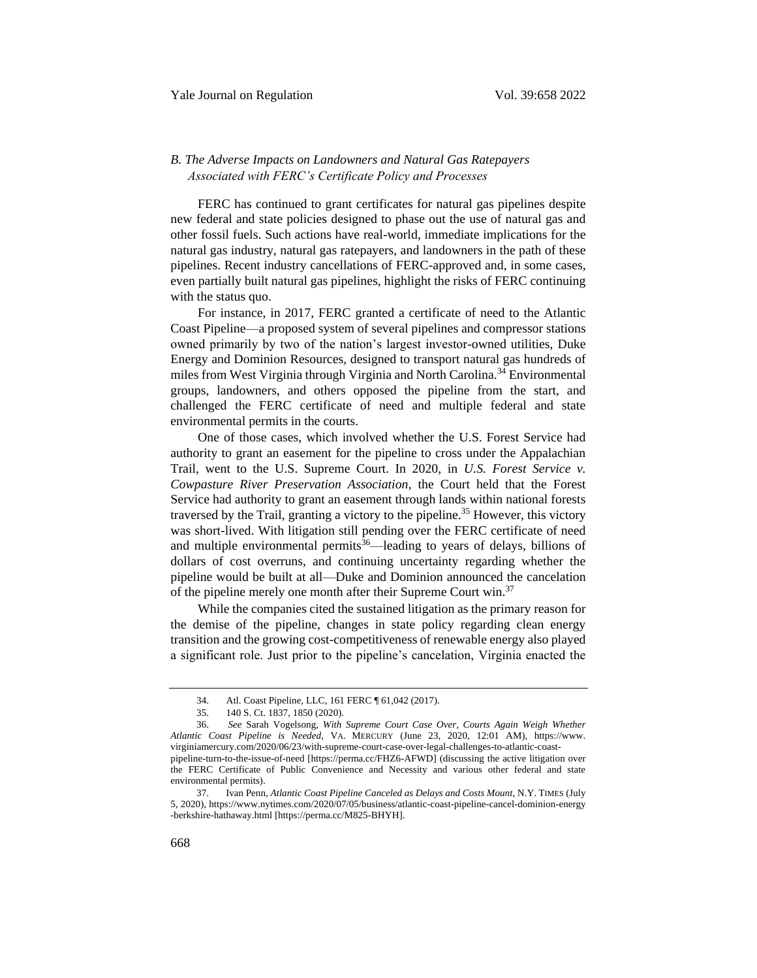# <span id="page-10-0"></span>*B. The Adverse Impacts on Landowners and Natural Gas Ratepayers Associated with FERC's Certificate Policy and Processes*

FERC has continued to grant certificates for natural gas pipelines despite new federal and state policies designed to phase out the use of natural gas and other fossil fuels. Such actions have real-world, immediate implications for the natural gas industry, natural gas ratepayers, and landowners in the path of these pipelines. Recent industry cancellations of FERC-approved and, in some cases, even partially built natural gas pipelines, highlight the risks of FERC continuing with the status quo.

For instance, in 2017, FERC granted a certificate of need to the Atlantic Coast Pipeline—a proposed system of several pipelines and compressor stations owned primarily by two of the nation's largest investor-owned utilities, Duke Energy and Dominion Resources, designed to transport natural gas hundreds of miles from West Virginia through Virginia and North Carolina.<sup>34</sup> Environmental groups, landowners, and others opposed the pipeline from the start, and challenged the FERC certificate of need and multiple federal and state environmental permits in the courts.

One of those cases, which involved whether the U.S. Forest Service had authority to grant an easement for the pipeline to cross under the Appalachian Trail, went to the U.S. Supreme Court. In 2020, in *U.S. Forest Service v. Cowpasture River Preservation Association*, the Court held that the Forest Service had authority to grant an easement through lands within national forests traversed by the Trail, granting a victory to the pipeline.<sup>35</sup> However, this victory was short-lived. With litigation still pending over the FERC certificate of need and multiple environmental permits<sup>36</sup>—leading to years of delays, billions of dollars of cost overruns, and continuing uncertainty regarding whether the pipeline would be built at all—Duke and Dominion announced the cancelation of the pipeline merely one month after their Supreme Court win.<sup>37</sup>

While the companies cited the sustained litigation as the primary reason for the demise of the pipeline, changes in state policy regarding clean energy transition and the growing cost-competitiveness of renewable energy also played a significant role. Just prior to the pipeline's cancelation, Virginia enacted the

environmental permits).

<span id="page-10-1"></span><sup>34.</sup> Atl. Coast Pipeline, LLC, 161 FERC ¶ 61,042 (2017).

<sup>35.</sup> 140 S. Ct. 1837, 1850 (2020).

<sup>36.</sup> *See* Sarah Vogelsong, *With Supreme Court Case Over, Courts Again Weigh Whether Atlantic Coast Pipeline is Needed*, VA. MERCURY (June 23, 2020, 12:01 AM), https://www. virginiamercury.com/2020/06/23/with-supreme-court-case-over-legal-challenges-to-atlantic-coastpipeline-turn-to-the-issue-of-need [https://perma.cc/FHZ6-AFWD] (discussing the active litigation over the FERC Certificate of Public Convenience and Necessity and various other federal and state

<sup>37.</sup> Ivan Penn, *Atlantic Coast Pipeline Canceled as Delays and Costs Mount*, N.Y. TIMES (July 5, 2020), https://www.nytimes.com/2020/07/05/business/atlantic-coast-pipeline-cancel-dominion-energy -berkshire-hathaway.html [https://perma.cc/M825-BHYH].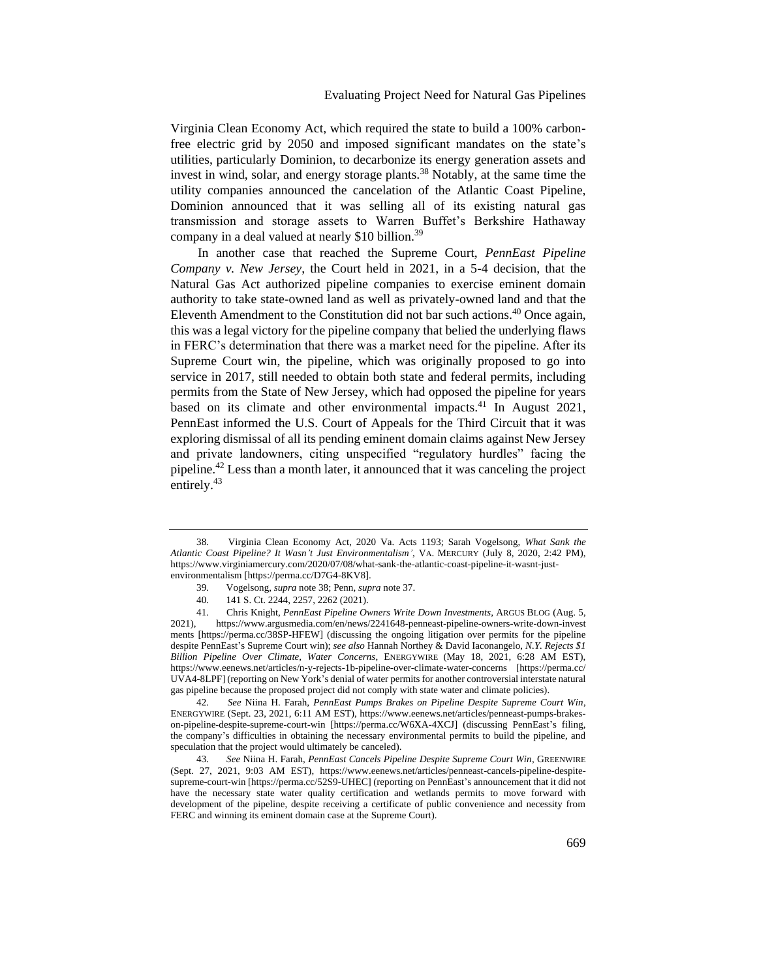<span id="page-11-0"></span>Virginia Clean Economy Act, which required the state to build a 100% carbonfree electric grid by 2050 and imposed significant mandates on the state's utilities, particularly Dominion, to decarbonize its energy generation assets and invest in wind, solar, and energy storage plants.<sup>38</sup> Notably, at the same time the utility companies announced the cancelation of the Atlantic Coast Pipeline, Dominion announced that it was selling all of its existing natural gas transmission and storage assets to Warren Buffet's Berkshire Hathaway company in a deal valued at nearly \$10 billion.<sup>39</sup>

In another case that reached the Supreme Court, *PennEast Pipeline Company v. New Jersey*, the Court held in 2021, in a 5-4 decision, that the Natural Gas Act authorized pipeline companies to exercise eminent domain authority to take state-owned land as well as privately-owned land and that the Eleventh Amendment to the Constitution did not bar such actions.<sup>40</sup> Once again, this was a legal victory for the pipeline company that belied the underlying flaws in FERC's determination that there was a market need for the pipeline. After its Supreme Court win, the pipeline, which was originally proposed to go into service in 2017, still needed to obtain both state and federal permits, including permits from the State of New Jersey, which had opposed the pipeline for years based on its climate and other environmental impacts.<sup>41</sup> In August 2021, PennEast informed the U.S. Court of Appeals for the Third Circuit that it was exploring dismissal of all its pending eminent domain claims against New Jersey and private landowners, citing unspecified "regulatory hurdles" facing the pipeline.<sup>42</sup> Less than a month later, it announced that it was canceling the project entirely.<sup>43</sup>

42. *See* Niina H. Farah, *PennEast Pumps Brakes on Pipeline Despite Supreme Court Win*, ENERGYWIRE (Sept. 23, 2021, 6:11 AM EST), https://www.eenews.net/articles/penneast-pumps-brakeson-pipeline-despite-supreme-court-win [https://perma.cc/W6XA-4XCJ] (discussing PennEast's filing, the company's difficulties in obtaining the necessary environmental permits to build the pipeline, and speculation that the project would ultimately be canceled).

43. *See* Niina H. Farah, *PennEast Cancels Pipeline Despite Supreme Court Win*, GREENWIRE (Sept. 27, 2021, 9:03 AM EST), https://www.eenews.net/articles/penneast-cancels-pipeline-despitesupreme-court-win [https://perma.cc/52S9-UHEC] (reporting on PennEast's announcement that it did not have the necessary state water quality certification and wetlands permits to move forward with development of the pipeline, despite receiving a certificate of public convenience and necessity from FERC and winning its eminent domain case at the Supreme Court).

<sup>38.</sup> Virginia Clean Economy Act, 2020 Va. Acts 1193; Sarah Vogelsong, *What Sank the Atlantic Coast Pipeline? It Wasn't Just Environmentalism'*, VA. MERCURY (July 8, 2020, 2:42 PM), https://www.virginiamercury.com/2020/07/08/what-sank-the-atlantic-coast-pipeline-it-wasnt-justenvironmentalism [https://perma.cc/D7G4-8KV8].

<sup>39.</sup> Vogelsong, *supra* not[e 38;](#page-11-0) Penn, *supra* note [37.](#page-10-1)

<sup>40.</sup> 141 S. Ct. 2244, 2257, 2262 (2021).

<sup>41.</sup> Chris Knight, *PennEast Pipeline Owners Write Down Investments*, ARGUS BLOG (Aug. 5, https://www.argusmedia.com/en/news/2241648-penneast-pipeline-owners-write-down-invest ments [https://perma.cc/38SP-HFEW] (discussing the ongoing litigation over permits for the pipeline despite PennEast's Supreme Court win); *see also* Hannah Northey & David Iaconangelo, *N.Y. Rejects \$1 Billion Pipeline Over Climate, Water Concerns*, ENERGYWIRE (May 18, 2021, 6:28 AM EST), https://www.eenews.net/articles/n-y-rejects-1b-pipeline-over-climate-water-concerns [https://perma.cc/ UVA4-8LPF] (reporting on New York's denial of water permits for another controversial interstate natural gas pipeline because the proposed project did not comply with state water and climate policies).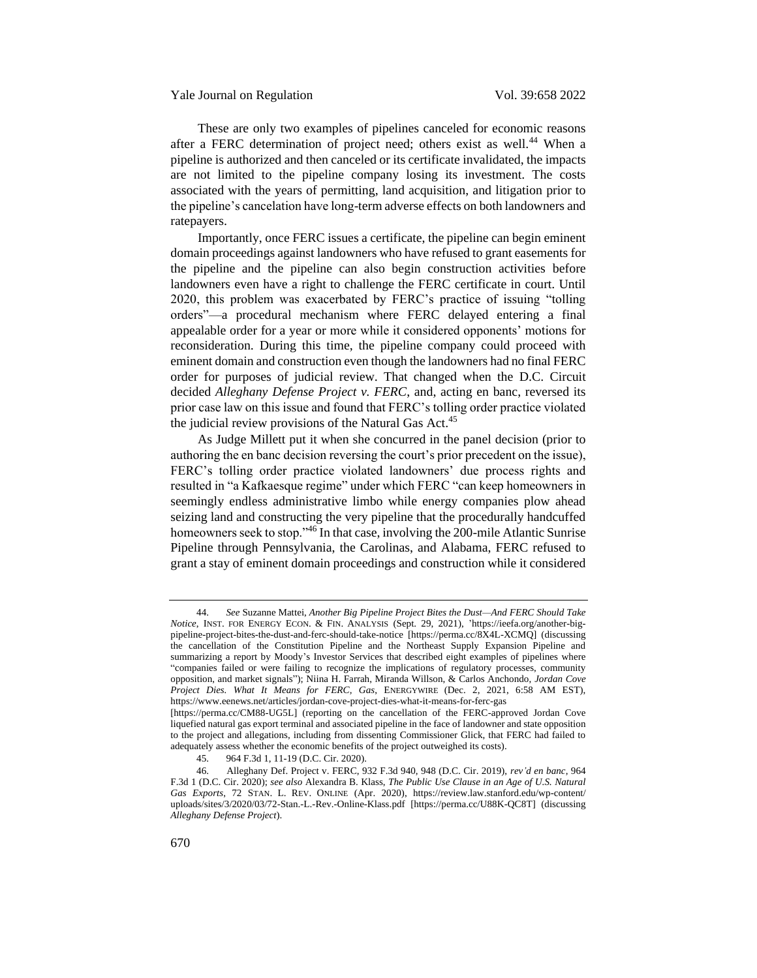<span id="page-12-0"></span>These are only two examples of pipelines canceled for economic reasons after a FERC determination of project need; others exist as well.<sup>44</sup> When a pipeline is authorized and then canceled or its certificate invalidated, the impacts are not limited to the pipeline company losing its investment. The costs associated with the years of permitting, land acquisition, and litigation prior to the pipeline's cancelation have long-term adverse effects on both landowners and ratepayers.

Importantly, once FERC issues a certificate, the pipeline can begin eminent domain proceedings against landowners who have refused to grant easements for the pipeline and the pipeline can also begin construction activities before landowners even have a right to challenge the FERC certificate in court. Until 2020, this problem was exacerbated by FERC's practice of issuing "tolling orders"—a procedural mechanism where FERC delayed entering a final appealable order for a year or more while it considered opponents' motions for reconsideration. During this time, the pipeline company could proceed with eminent domain and construction even though the landowners had no final FERC order for purposes of judicial review. That changed when the D.C. Circuit decided *Alleghany Defense Project v. FERC*, and, acting en banc, reversed its prior case law on this issue and found that FERC's tolling order practice violated the judicial review provisions of the Natural Gas Act.<sup>45</sup>

As Judge Millett put it when she concurred in the panel decision (prior to authoring the en banc decision reversing the court's prior precedent on the issue), FERC's tolling order practice violated landowners' due process rights and resulted in "a Kafkaesque regime" under which FERC "can keep homeowners in seemingly endless administrative limbo while energy companies plow ahead seizing land and constructing the very pipeline that the procedurally handcuffed homeowners seek to stop."<sup>46</sup> In that case, involving the 200-mile Atlantic Sunrise Pipeline through Pennsylvania, the Carolinas, and Alabama, FERC refused to grant a stay of eminent domain proceedings and construction while it considered

<sup>44.</sup> *See* Suzanne Mattei, *Another Big Pipeline Project Bites the Dust—And FERC Should Take Notice*, INST. FOR ENERGY ECON. & FIN. ANALYSIS (Sept. 29, 2021), 'https://ieefa.org/another-bigpipeline-project-bites-the-dust-and-ferc-should-take-notice [https://perma.cc/8X4L-XCMQ] (discussing the cancellation of the Constitution Pipeline and the Northeast Supply Expansion Pipeline and summarizing a report by Moody's Investor Services that described eight examples of pipelines where "companies failed or were failing to recognize the implications of regulatory processes, community opposition, and market signals"); Niina H. Farrah, Miranda Willson, & Carlos Anchondo, *Jordan Cove Project Dies. What It Means for FERC, Gas*, ENERGYWIRE (Dec. 2, 2021, 6:58 AM EST), https://www.eenews.net/articles/jordan-cove-project-dies-what-it-means-for-ferc-gas

<sup>[</sup>https://perma.cc/CM88-UG5L] (reporting on the cancellation of the FERC-approved Jordan Cove liquefied natural gas export terminal and associated pipeline in the face of landowner and state opposition to the project and allegations, including from dissenting Commissioner Glick, that FERC had failed to adequately assess whether the economic benefits of the project outweighed its costs).

<sup>45.</sup> 964 F.3d 1, 11-19 (D.C. Cir. 2020).

<sup>46.</sup> Alleghany Def. Project v. FERC, 932 F.3d 940, 948 (D.C. Cir. 2019), *rev'd en banc*, 964 F.3d 1 (D.C. Cir. 2020); *see also* Alexandra B. Klass, *The Public Use Clause in an Age of U.S. Natural Gas Exports*, 72 STAN. L. REV. ONLINE (Apr. 2020), https://review.law.stanford.edu/wp-content/ uploads/sites/3/2020/03/72-Stan.-L.-Rev.-Online-Klass.pdf [https://perma.cc/U88K-QC8T] (discussing *Alleghany Defense Project*).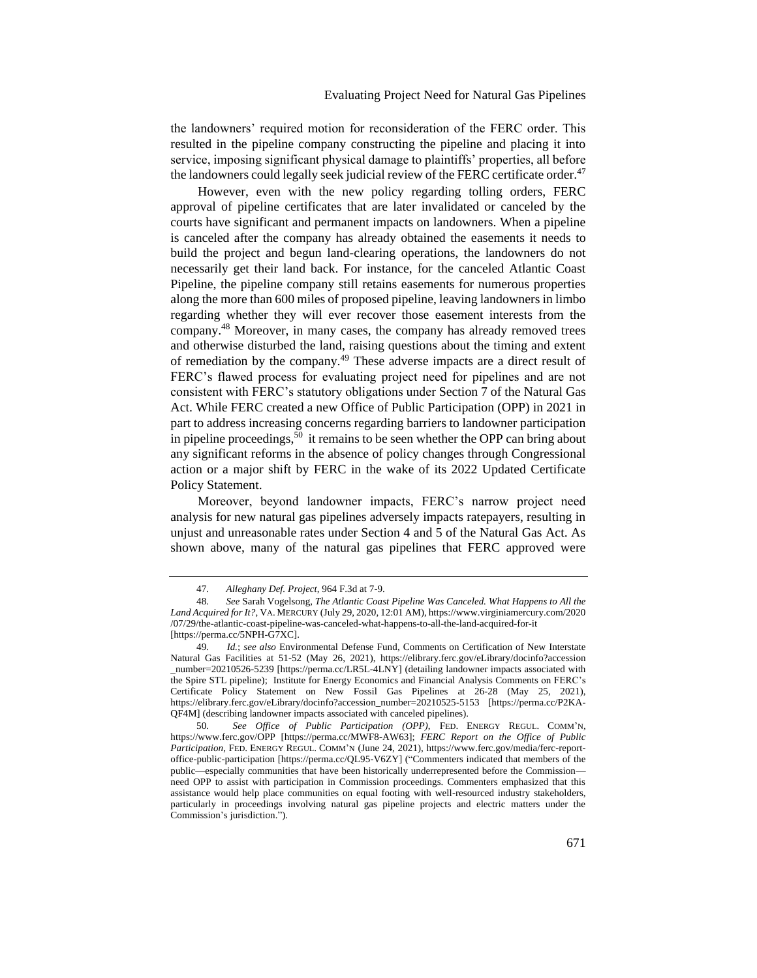the landowners' required motion for reconsideration of the FERC order. This resulted in the pipeline company constructing the pipeline and placing it into service, imposing significant physical damage to plaintiffs' properties, all before the landowners could legally seek judicial review of the FERC certificate order. $47$ 

However, even with the new policy regarding tolling orders, FERC approval of pipeline certificates that are later invalidated or canceled by the courts have significant and permanent impacts on landowners. When a pipeline is canceled after the company has already obtained the easements it needs to build the project and begun land-clearing operations, the landowners do not necessarily get their land back. For instance, for the canceled Atlantic Coast Pipeline, the pipeline company still retains easements for numerous properties along the more than 600 miles of proposed pipeline, leaving landowners in limbo regarding whether they will ever recover those easement interests from the company.<sup>48</sup> Moreover, in many cases, the company has already removed trees and otherwise disturbed the land, raising questions about the timing and extent of remediation by the company.<sup>49</sup> These adverse impacts are a direct result of FERC's flawed process for evaluating project need for pipelines and are not consistent with FERC's statutory obligations under Section 7 of the Natural Gas Act. While FERC created a new Office of Public Participation (OPP) in 2021 in part to address increasing concerns regarding barriers to landowner participation in pipeline proceedings,  $50$  it remains to be seen whether the OPP can bring about any significant reforms in the absence of policy changes through Congressional action or a major shift by FERC in the wake of its 2022 Updated Certificate Policy Statement.

<span id="page-13-0"></span>Moreover, beyond landowner impacts, FERC's narrow project need analysis for new natural gas pipelines adversely impacts ratepayers, resulting in unjust and unreasonable rates under Section 4 and 5 of the Natural Gas Act. As shown above, many of the natural gas pipelines that FERC approved were

<sup>47.</sup> *Alleghany Def. Project*, 964 F.3d at 7-9.

<sup>48.</sup> *See* Sarah Vogelsong, *The Atlantic Coast Pipeline Was Canceled. What Happens to All the Land Acquired for It?*, VA. MERCURY (July 29, 2020, 12:01 AM), https://www.virginiamercury.com/2020 /07/29/the-atlantic-coast-pipeline-was-canceled-what-happens-to-all-the-land-acquired-for-it [https://perma.cc/5NPH-G7XC].

<sup>49.</sup> *Id.*; *see also* Environmental Defense Fund, Comments on Certification of New Interstate Natural Gas Facilities at 51-52 (May 26, 2021), https://elibrary.ferc.gov/eLibrary/docinfo?accession \_number=20210526-5239 [https://perma.cc/LR5L-4LNY] (detailing landowner impacts associated with the Spire STL pipeline); Institute for Energy Economics and Financial Analysis Comments on FERC's Certificate Policy Statement on New Fossil Gas Pipelines at 26-28 (May 25, 2021), https://elibrary.ferc.gov/eLibrary/docinfo?accession\_number=20210525-5153 [https://perma.cc/P2KA-QF4M] (describing landowner impacts associated with canceled pipelines).

<sup>50.</sup> *See Office of Public Participation (OPP)*, FED. ENERGY REGUL. COMM'N, https://www.ferc.gov/OPP [https://perma.cc/MWF8-AW63]; *FERC Report on the Office of Public Participation*, FED. ENERGY REGUL. COMM'N (June 24, 2021), https://www.ferc.gov/media/ferc-reportoffice-public-participation [https://perma.cc/QL95-V6ZY] ("Commenters indicated that members of the public—especially communities that have been historically underrepresented before the Commission need OPP to assist with participation in Commission proceedings. Commenters emphasized that this assistance would help place communities on equal footing with well-resourced industry stakeholders, particularly in proceedings involving natural gas pipeline projects and electric matters under the Commission's jurisdiction.").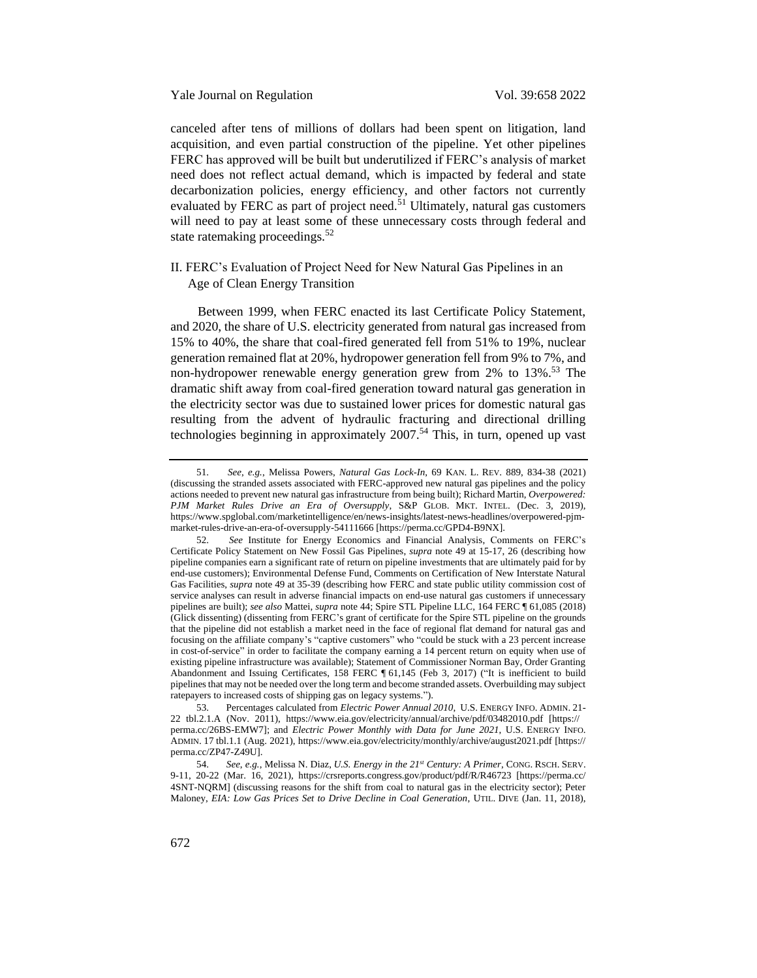canceled after tens of millions of dollars had been spent on litigation, land acquisition, and even partial construction of the pipeline. Yet other pipelines FERC has approved will be built but underutilized if FERC's analysis of market need does not reflect actual demand, which is impacted by federal and state decarbonization policies, energy efficiency, and other factors not currently evaluated by FERC as part of project need.<sup>51</sup> Ultimately, natural gas customers will need to pay at least some of these unnecessary costs through federal and state ratemaking proceedings. $52$ 

# <span id="page-14-1"></span><span id="page-14-0"></span>II. FERC's Evaluation of Project Need for New Natural Gas Pipelines in an Age of Clean Energy Transition

Between 1999, when FERC enacted its last Certificate Policy Statement, and 2020, the share of U.S. electricity generated from natural gas increased from 15% to 40%, the share that coal-fired generated fell from 51% to 19%, nuclear generation remained flat at 20%, hydropower generation fell from 9% to 7%, and non-hydropower renewable energy generation grew from  $2\%$  to  $13\%$ .<sup>53</sup> The dramatic shift away from coal-fired generation toward natural gas generation in the electricity sector was due to sustained lower prices for domestic natural gas resulting from the advent of hydraulic fracturing and directional drilling technologies beginning in approximately  $2007$ .<sup>54</sup> This, in turn, opened up vast

<sup>51.</sup> *See*, *e.g.*, Melissa Powers, *Natural Gas Lock-In*, 69 KAN. L. REV. 889, 834-38 (2021) (discussing the stranded assets associated with FERC-approved new natural gas pipelines and the policy actions needed to prevent new natural gas infrastructure from being built); Richard Martin, *Overpowered: PJM Market Rules Drive an Era of Oversupply*, S&P GLOB. MKT. INTEL. (Dec. 3, 2019), https://www.spglobal.com/marketintelligence/en/news-insights/latest-news-headlines/overpowered-pjmmarket-rules-drive-an-era-of-oversupply-54111666 [https://perma.cc/GPD4-B9NX].

<sup>52.</sup> *See* Institute for Energy Economics and Financial Analysis, Comments on FERC's Certificate Policy Statement on New Fossil Gas Pipelines, *supra* note [49](#page-13-0) at 15-17, 26 (describing how pipeline companies earn a significant rate of return on pipeline investments that are ultimately paid for by end-use customers); Environmental Defense Fund, Comments on Certification of New Interstate Natural Gas Facilities, *supra* not[e 49](#page-13-0) at 35-39 (describing how FERC and state public utility commission cost of service analyses can result in adverse financial impacts on end-use natural gas customers if unnecessary pipelines are built); *see also* Mattei, *supra* not[e 44;](#page-12-0) Spire STL Pipeline LLC, 164 FERC ¶ 61,085 (2018) (Glick dissenting) (dissenting from FERC's grant of certificate for the Spire STL pipeline on the grounds that the pipeline did not establish a market need in the face of regional flat demand for natural gas and focusing on the affiliate company's "captive customers" who "could be stuck with a 23 percent increase in cost-of-service" in order to facilitate the company earning a 14 percent return on equity when use of existing pipeline infrastructure was available); Statement of Commissioner Norman Bay, Order Granting Abandonment and Issuing Certificates, 158 FERC ¶ 61,145 (Feb 3, 2017) ("It is inefficient to build pipelines that may not be needed over the long term and become stranded assets. Overbuilding may subject ratepayers to increased costs of shipping gas on legacy systems.").

<sup>53.</sup> Percentages calculated from *Electric Power Annual 2010*, U.S. ENERGY INFO. ADMIN. 21- 22 tbl.2.1.A (Nov. 2011), https://www.eia.gov/electricity/annual/archive/pdf/03482010.pdf [https:// perma.cc/26BS-EMW7]; and *Electric Power Monthly with Data for June 2021*, U.S. ENERGY INFO. ADMIN. 17 tbl.1.1 (Aug. 2021), https://www.eia.gov/electricity/monthly/archive/august2021.pdf [https:// perma.cc/ZP47-Z49U].

<sup>54.</sup> *See*, *e.g.*, Melissa N. Diaz, *U.S. Energy in the 21st Century: A Primer*, CONG. RSCH. SERV. 9-11, 20-22 (Mar. 16, 2021), https://crsreports.congress.gov/product/pdf/R/R46723 [https://perma.cc/ 4SNT-NQRM] (discussing reasons for the shift from coal to natural gas in the electricity sector); Peter Maloney, *EIA: Low Gas Prices Set to Drive Decline in Coal Generation*, UTIL. DIVE (Jan. 11, 2018),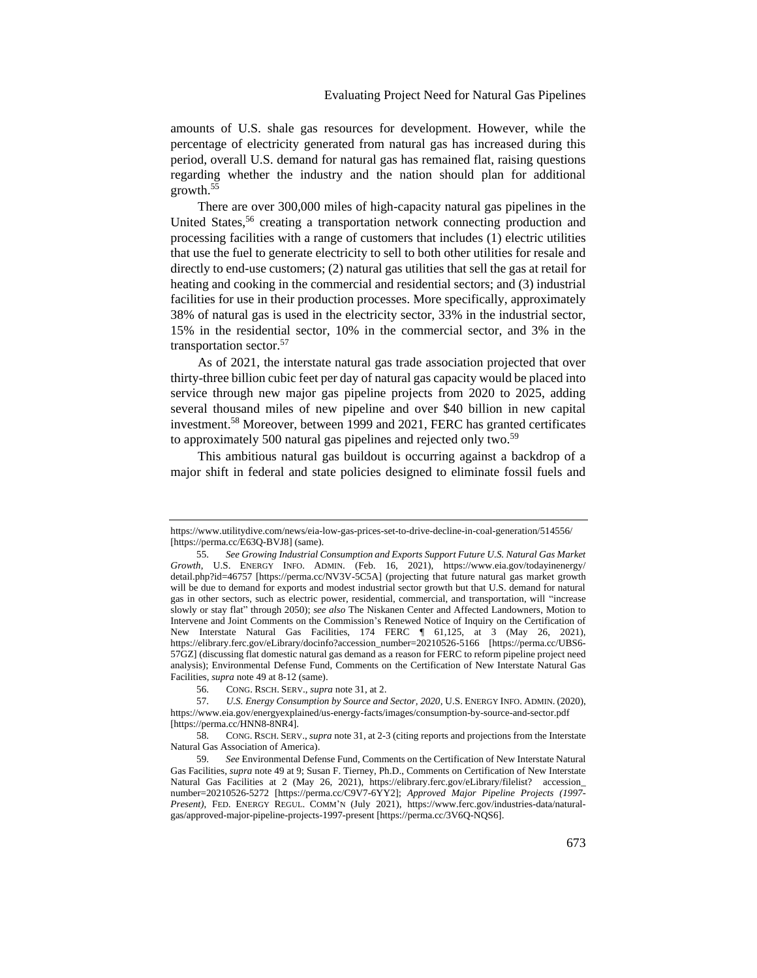amounts of U.S. shale gas resources for development. However, while the percentage of electricity generated from natural gas has increased during this period, overall U.S. demand for natural gas has remained flat, raising questions regarding whether the industry and the nation should plan for additional growth.<sup>55</sup>

<span id="page-15-0"></span>There are over 300,000 miles of high-capacity natural gas pipelines in the United States,<sup>56</sup> creating a transportation network connecting production and processing facilities with a range of customers that includes (1) electric utilities that use the fuel to generate electricity to sell to both other utilities for resale and directly to end-use customers; (2) natural gas utilities that sell the gas at retail for heating and cooking in the commercial and residential sectors; and (3) industrial facilities for use in their production processes. More specifically, approximately 38% of natural gas is used in the electricity sector, 33% in the industrial sector, 15% in the residential sector, 10% in the commercial sector, and 3% in the transportation sector.<sup>57</sup>

As of 2021, the interstate natural gas trade association projected that over thirty-three billion cubic feet per day of natural gas capacity would be placed into service through new major gas pipeline projects from 2020 to 2025, adding several thousand miles of new pipeline and over \$40 billion in new capital investment.<sup>58</sup> Moreover, between 1999 and 2021, FERC has granted certificates to approximately 500 natural gas pipelines and rejected only two.<sup>59</sup>

This ambitious natural gas buildout is occurring against a backdrop of a major shift in federal and state policies designed to eliminate fossil fuels and

https://www.utilitydive.com/news/eia-low-gas-prices-set-to-drive-decline-in-coal-generation/514556/ [https://perma.cc/E63Q-BVJ8] (same).

<sup>55.</sup> *See Growing Industrial Consumption and Exports Support Future U.S. Natural Gas Market Growth*, U.S. ENERGY INFO. ADMIN. (Feb. 16, 2021), https://www.eia.gov/todayinenergy/ detail.php?id=46757 [https://perma.cc/NV3V-5C5A] (projecting that future natural gas market growth will be due to demand for exports and modest industrial sector growth but that U.S. demand for natural gas in other sectors, such as electric power, residential, commercial, and transportation, will "increase slowly or stay flat" through 2050); *see also* The Niskanen Center and Affected Landowners, Motion to Intervene and Joint Comments on the Commission's Renewed Notice of Inquiry on the Certification of New Interstate Natural Gas Facilities, 174 FERC ¶ 61,125, at 3 (May 26, 2021), https://elibrary.ferc.gov/eLibrary/docinfo?accession\_number=20210526-5166 [https://perma.cc/UBS6-57GZ] (discussing flat domestic natural gas demand as a reason for FERC to reform pipeline project need analysis); Environmental Defense Fund, Comments on the Certification of New Interstate Natural Gas Facilities*, supra* not[e 49](#page-13-0) at 8-12 (same).

<sup>56.</sup> CONG. RSCH. SERV., *supra* not[e 31,](#page-9-0) at 2.

<sup>57.</sup> *U.S. Energy Consumption by Source and Sector, 2020*, U.S. ENERGY INFO. ADMIN. (2020), https://www.eia.gov/energyexplained/us-energy-facts/images/consumption-by-source-and-sector.pdf [https://perma.cc/HNN8-8NR4].

<sup>58.</sup> CONG. RSCH. SERV., *supra* not[e 31,](#page-9-0) at 2-3 (citing reports and projections from the Interstate Natural Gas Association of America).

<sup>59.</sup> *See* Environmental Defense Fund, Comments on the Certification of New Interstate Natural Gas Facilities, *supra* note [49](#page-13-0) at 9; Susan F. Tierney, Ph.D., Comments on Certification of New Interstate Natural Gas Facilities at 2 (May 26, 2021), https://elibrary.ferc.gov/eLibrary/filelist? accession\_ number=20210526-5272 [https://perma.cc/C9V7-6YY2]; *Approved Major Pipeline Projects (1997- Present)*, FED. ENERGY REGUL. COMM'N (July 2021), https://www.ferc.gov/industries-data/naturalgas/approved-major-pipeline-projects-1997-present [https://perma.cc/3V6Q-NQS6].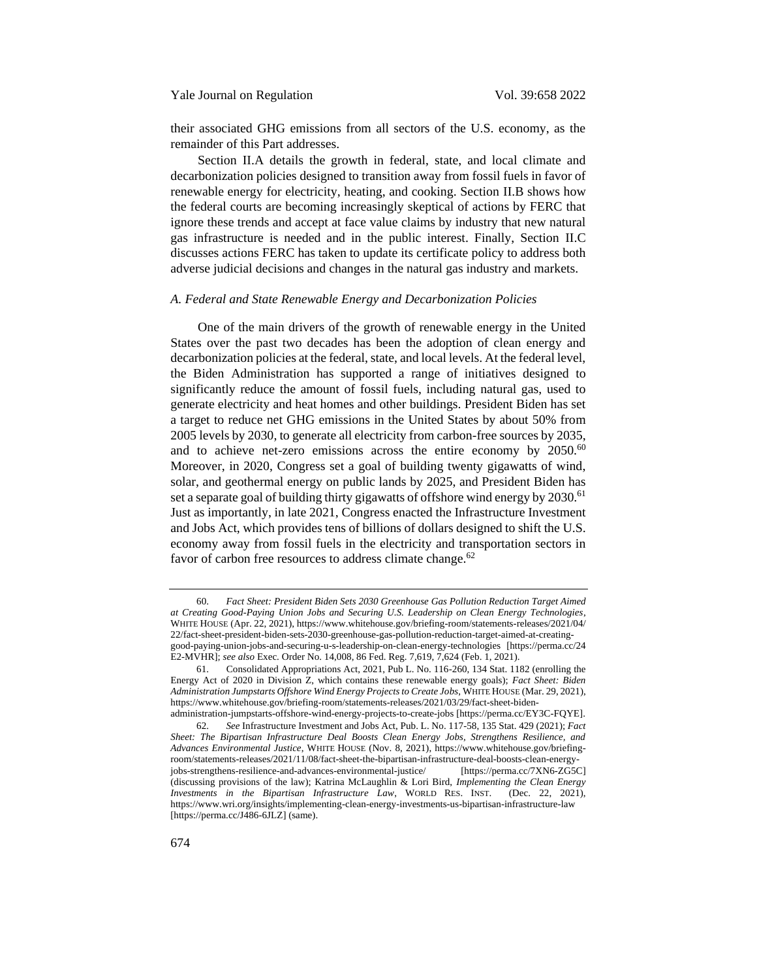their associated GHG emissions from all sectors of the U.S. economy, as the remainder of this Part addresses.

Section II.A details the growth in federal, state, and local climate and decarbonization policies designed to transition away from fossil fuels in favor of renewable energy for electricity, heating, and cooking. Section II.B shows how the federal courts are becoming increasingly skeptical of actions by FERC that ignore these trends and accept at face value claims by industry that new natural gas infrastructure is needed and in the public interest. Finally, Section II.C discusses actions FERC has taken to update its certificate policy to address both adverse judicial decisions and changes in the natural gas industry and markets.

## <span id="page-16-0"></span>*A. Federal and State Renewable Energy and Decarbonization Policies*

One of the main drivers of the growth of renewable energy in the United States over the past two decades has been the adoption of clean energy and decarbonization policies at the federal, state, and local levels. At the federal level, the Biden Administration has supported a range of initiatives designed to significantly reduce the amount of fossil fuels, including natural gas, used to generate electricity and heat homes and other buildings. President Biden has set a target to reduce net GHG emissions in the United States by about 50% from 2005 levels by 2030, to generate all electricity from carbon-free sources by 2035, and to achieve net-zero emissions across the entire economy by  $2050$ .<sup>60</sup> Moreover, in 2020, Congress set a goal of building twenty gigawatts of wind, solar, and geothermal energy on public lands by 2025, and President Biden has set a separate goal of building thirty gigawatts of offshore wind energy by  $2030$ .<sup>61</sup> Just as importantly, in late 2021, Congress enacted the Infrastructure Investment and Jobs Act, which provides tens of billions of dollars designed to shift the U.S. economy away from fossil fuels in the electricity and transportation sectors in favor of carbon free resources to address climate change.<sup>62</sup>

<sup>60.</sup> *Fact Sheet: President Biden Sets 2030 Greenhouse Gas Pollution Reduction Target Aimed at Creating Good-Paying Union Jobs and Securing U.S. Leadership on Clean Energy Technologies*, WHITE HOUSE (Apr. 22, 2021), https://www.whitehouse.gov/briefing-room/statements-releases/2021/04/ 22/fact-sheet-president-biden-sets-2030-greenhouse-gas-pollution-reduction-target-aimed-at-creatinggood-paying-union-jobs-and-securing-u-s-leadership-on-clean-energy-technologies [https://perma.cc/24 E2-MVHR]; *see also* Exec. Order No. 14,008, 86 Fed. Reg. 7,619, 7,624 (Feb. 1, 2021).

<sup>61.</sup> Consolidated Appropriations Act, 2021, Pub L. No. 116-260, 134 Stat. 1182 (enrolling the Energy Act of 2020 in Division Z, which contains these renewable energy goals); *Fact Sheet: Biden Administration Jumpstarts Offshore Wind Energy Projects to Create Jobs*, WHITE HOUSE (Mar. 29, 2021), https://www.whitehouse.gov/briefing-room/statements-releases/2021/03/29/fact-sheet-bidenadministration-jumpstarts-offshore-wind-energy-projects-to-create-jobs [https://perma.cc/EY3C-FQYE].

<sup>62.</sup> *See* Infrastructure Investment and Jobs Act, Pub. L. No. 117-58, 135 Stat. 429 (2021); *Fact Sheet: The Bipartisan Infrastructure Deal Boosts Clean Energy Jobs, Strengthens Resilience, and Advances Environmental Justice*, WHITE HOUSE (Nov. 8, 2021), https://www.whitehouse.gov/briefingroom/statements-releases/2021/11/08/fact-sheet-the-bipartisan-infrastructure-deal-boosts-clean-energyjobs-strengthens-resilience-and-advances-environmental-justice/ [https://perma.cc/7XN6-ZG5C] (discussing provisions of the law); Katrina McLaughlin & Lori Bird, *Implementing the Clean Energy Investments in the Bipartisan Infrastructure Law*, WORLD RES. INST. (Dec. 22, 2021), https://www.wri.org/insights/implementing-clean-energy-investments-us-bipartisan-infrastructure-law [https://perma.cc/J486-6JLZ] (same).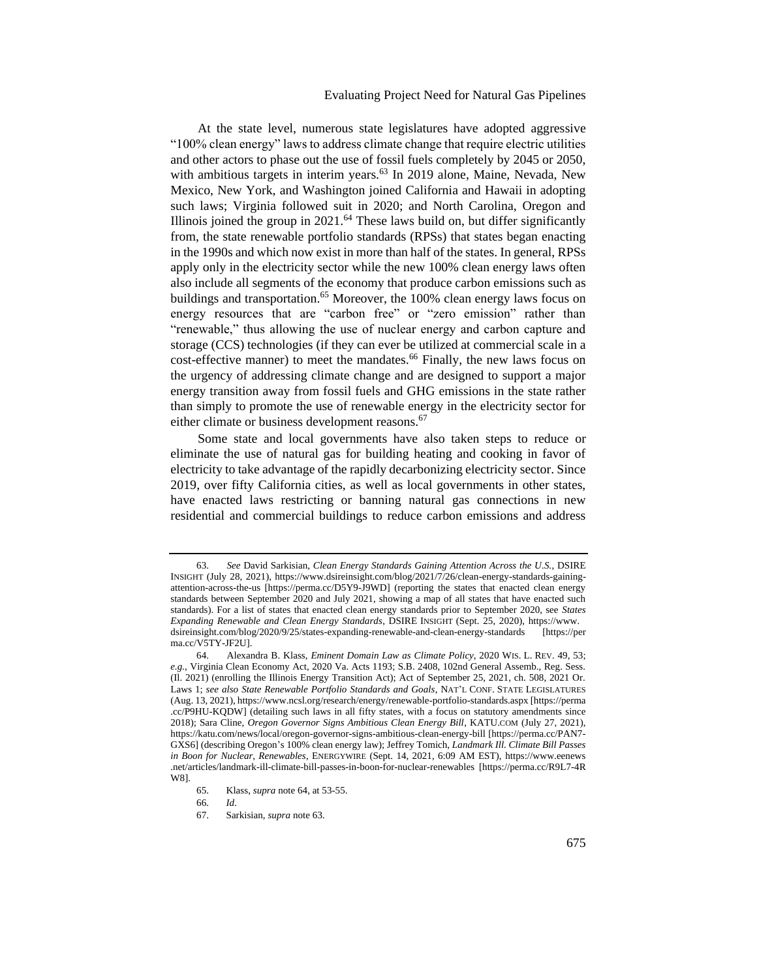# <span id="page-17-1"></span><span id="page-17-0"></span>Evaluating Project Need for Natural Gas Pipelines

At the state level, numerous state legislatures have adopted aggressive "100% clean energy" laws to address climate change that require electric utilities and other actors to phase out the use of fossil fuels completely by 2045 or 2050, with ambitious targets in interim years.<sup>63</sup> In 2019 alone, Maine, Nevada, New Mexico, New York, and Washington joined California and Hawaii in adopting such laws; Virginia followed suit in 2020; and North Carolina, Oregon and Illinois joined the group in  $2021$ .<sup>64</sup> These laws build on, but differ significantly from, the state renewable portfolio standards (RPSs) that states began enacting in the 1990s and which now exist in more than half of the states. In general, RPSs apply only in the electricity sector while the new 100% clean energy laws often also include all segments of the economy that produce carbon emissions such as buildings and transportation.<sup>65</sup> Moreover, the 100% clean energy laws focus on energy resources that are "carbon free" or "zero emission" rather than "renewable," thus allowing the use of nuclear energy and carbon capture and storage (CCS) technologies (if they can ever be utilized at commercial scale in a cost-effective manner) to meet the mandates.<sup>66</sup> Finally, the new laws focus on the urgency of addressing climate change and are designed to support a major energy transition away from fossil fuels and GHG emissions in the state rather than simply to promote the use of renewable energy in the electricity sector for either climate or business development reasons.<sup>67</sup>

Some state and local governments have also taken steps to reduce or eliminate the use of natural gas for building heating and cooking in favor of electricity to take advantage of the rapidly decarbonizing electricity sector. Since 2019, over fifty California cities, as well as local governments in other states, have enacted laws restricting or banning natural gas connections in new residential and commercial buildings to reduce carbon emissions and address

<sup>63.</sup> *See* David Sarkisian, *Clean Energy Standards Gaining Attention Across the U.S.*, DSIRE INSIGHT (July 28, 2021), https://www.dsireinsight.com/blog/2021/7/26/clean-energy-standards-gainingattention-across-the-us [https://perma.cc/D5Y9-J9WD] (reporting the states that enacted clean energy standards between September 2020 and July 2021, showing a map of all states that have enacted such standards). For a list of states that enacted clean energy standards prior to September 2020, see *States Expanding Renewable and Clean Energy Standards*, DSIRE INSIGHT (Sept. 25, 2020), https://www. dsireinsight.com/blog/2020/9/25/states-expanding-renewable-and-clean-energy-standards [https://per ma.cc/V5TY-JF2UL

<sup>64.</sup> Alexandra B. Klass, *Eminent Domain Law as Climate Policy*, 2020 WIS. L. REV. 49, 53; *e.g.*, Virginia Clean Economy Act, 2020 Va. Acts 1193; S.B. 2408, 102nd General Assemb., Reg. Sess. (Il. 2021) (enrolling the Illinois Energy Transition Act); Act of September 25, 2021, ch. 508, 2021 Or. Laws 1; *see also State Renewable Portfolio Standards and Goals*, NAT'L CONF. STATE LEGISLATURES (Aug. 13, 2021), https://www.ncsl.org/research/energy/renewable-portfolio-standards.aspx [https://perma .cc/P9HU-KQDW] (detailing such laws in all fifty states, with a focus on statutory amendments since 2018); Sara Cline, *Oregon Governor Signs Ambitious Clean Energy Bill*, KATU.COM (July 27, 2021), https://katu.com/news/local/oregon-governor-signs-ambitious-clean-energy-bill [https://perma.cc/PAN7- GXS6] (describing Oregon's 100% clean energy law); Jeffrey Tomich, *Landmark Ill. Climate Bill Passes in Boon for Nuclear, Renewables*, ENERGYWIRE (Sept. 14, 2021, 6:09 AM EST), https://www.eenews .net/articles/landmark-ill-climate-bill-passes-in-boon-for-nuclear-renewables [https://perma.cc/R9L7-4R W8].

<sup>65.</sup> Klass, *supra* note [64,](#page-17-0) at 53-55.

<sup>66.</sup> *Id*.

<sup>67.</sup> Sarkisian, *supra* note [63.](#page-17-1)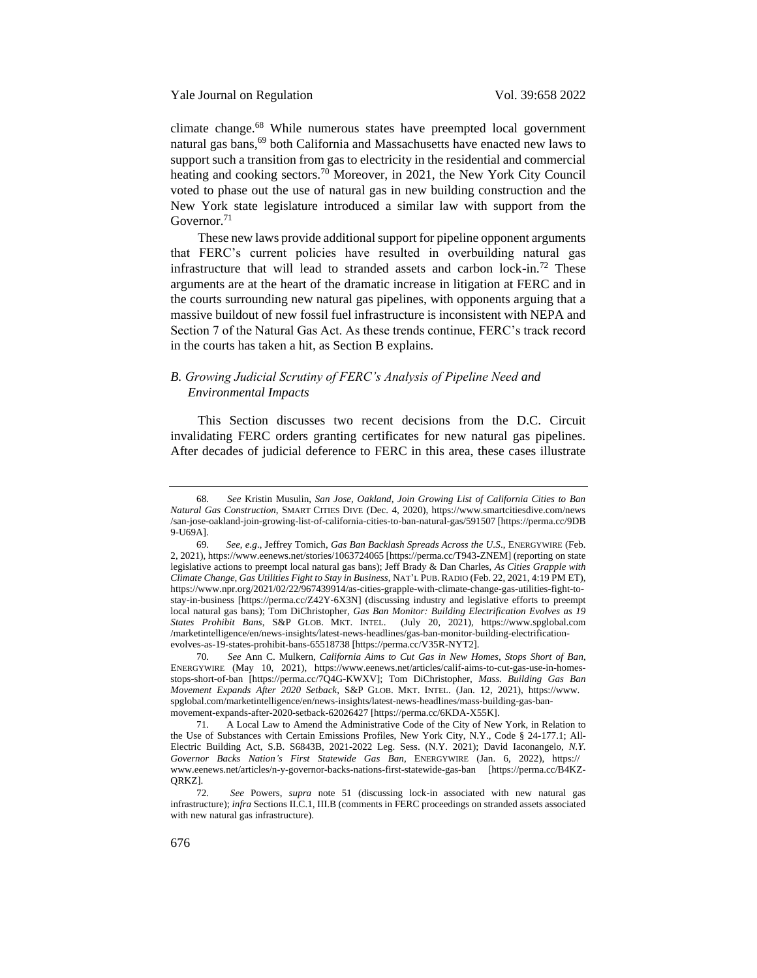climate change.<sup>68</sup> While numerous states have preempted local government natural gas bans,<sup>69</sup> both California and Massachusetts have enacted new laws to support such a transition from gas to electricity in the residential and commercial heating and cooking sectors.<sup>70</sup> Moreover, in 2021, the New York City Council voted to phase out the use of natural gas in new building construction and the New York state legislature introduced a similar law with support from the Governor.<sup>71</sup>

These new laws provide additional support for pipeline opponent arguments that FERC's current policies have resulted in overbuilding natural gas infrastructure that will lead to stranded assets and carbon lock-in.<sup>72</sup> These arguments are at the heart of the dramatic increase in litigation at FERC and in the courts surrounding new natural gas pipelines, with opponents arguing that a massive buildout of new fossil fuel infrastructure is inconsistent with NEPA and Section 7 of the Natural Gas Act. As these trends continue, FERC's track record in the courts has taken a hit, as Section B explains.

# <span id="page-18-0"></span>*B. Growing Judicial Scrutiny of FERC's Analysis of Pipeline Need and Environmental Impacts*

This Section discusses two recent decisions from the D.C. Circuit invalidating FERC orders granting certificates for new natural gas pipelines. After decades of judicial deference to FERC in this area, these cases illustrate

<sup>68.</sup> *See* Kristin Musulin, *San Jose, Oakland, Join Growing List of California Cities to Ban Natural Gas Construction*, SMART CITIES DIVE (Dec. 4, 2020), https://www.smartcitiesdive.com/news /san-jose-oakland-join-growing-list-of-california-cities-to-ban-natural-gas/591507 [https://perma.cc/9DB 9-U69A].

<sup>69.</sup> *See*, *e.g*., Jeffrey Tomich, *Gas Ban Backlash Spreads Across the U.S*., ENERGYWIRE (Feb. 2, 2021), https://www.eenews.net/stories/1063724065 [https://perma.cc/T943-ZNEM] (reporting on state legislative actions to preempt local natural gas bans); Jeff Brady & Dan Charles, *As Cities Grapple with Climate Change, Gas Utilities Fight to Stay in Business*, NAT'L PUB. RADIO (Feb. 22, 2021, 4:19 PM ET), https://www.npr.org/2021/02/22/967439914/as-cities-grapple-with-climate-change-gas-utilities-fight-tostay-in-business [https://perma.cc/Z42Y-6X3N] (discussing industry and legislative efforts to preempt local natural gas bans); Tom DiChristopher, *Gas Ban Monitor: Building Electrification Evolves as 19 States Prohibit Bans*, S&P GLOB. MKT. INTEL. (July 20, 2021), https://www.spglobal.com /marketintelligence/en/news-insights/latest-news-headlines/gas-ban-monitor-building-electrificationevolves-as-19-states-prohibit-bans-65518738 [https://perma.cc/V35R-NYT2].

<sup>70.</sup> *See* Ann C. Mulkern, *California Aims to Cut Gas in New Homes, Stops Short of Ban*, ENERGYWIRE (May 10, 2021), https://www.eenews.net/articles/calif-aims-to-cut-gas-use-in-homesstops-short-of-ban [https://perma.cc/7Q4G-KWXV]; Tom DiChristopher, *Mass. Building Gas Ban Movement Expands After 2020 Setback*, S&P GLOB. MKT. INTEL. (Jan. 12, 2021), https://www. spglobal.com/marketintelligence/en/news-insights/latest-news-headlines/mass-building-gas-banmovement-expands-after-2020-setback-62026427 [https://perma.cc/6KDA-X55K].

<sup>71.</sup> A Local Law to Amend the Administrative Code of the City of New York, in Relation to the Use of Substances with Certain Emissions Profiles, New York City, N.Y., Code § 24-177.1; All-Electric Building Act, S.B. S6843B, 2021-2022 Leg. Sess. (N.Y. 2021); David Iaconangelo, *N.Y. Governor Backs Nation's First Statewide Gas Ban*, ENERGYWIRE (Jan. 6, 2022), https:// www.eenews.net/articles/n-y-governor-backs-nations-first-statewide-gas-ban [https://perma.cc/B4KZ-QRKZ].

<sup>72.</sup> *See* Powers, *supra* note [51](#page-14-1) (discussing lock-in associated with new natural gas infrastructure); *infra* Sections II.C.1, III.B (comments in FERC proceedings on stranded assets associated with new natural gas infrastructure).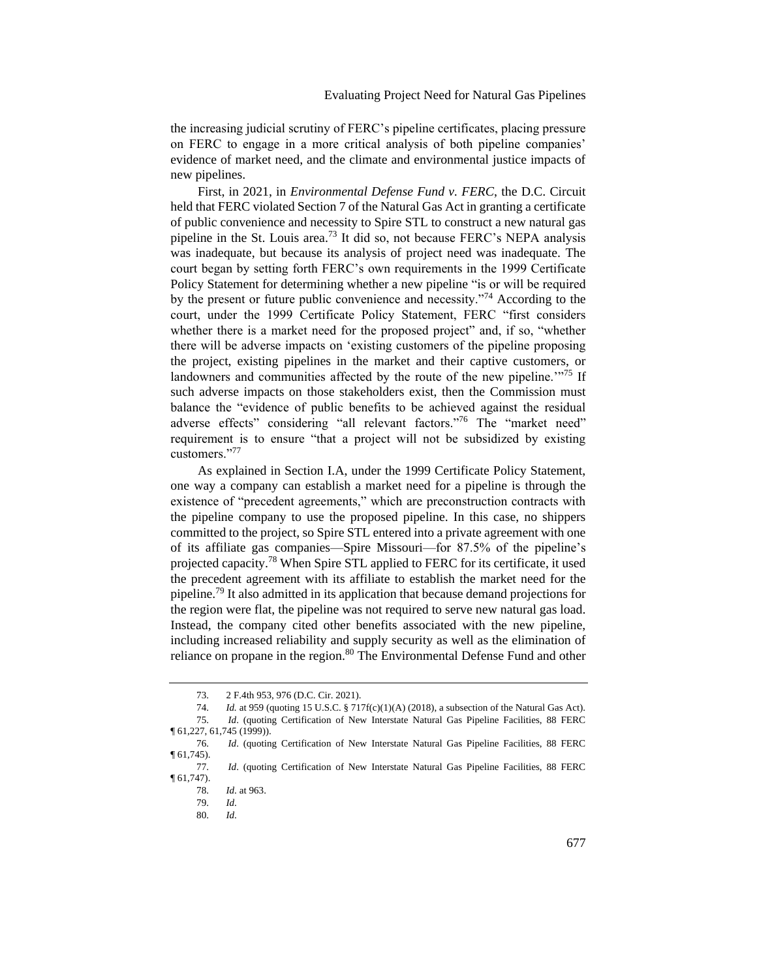the increasing judicial scrutiny of FERC's pipeline certificates, placing pressure on FERC to engage in a more critical analysis of both pipeline companies' evidence of market need, and the climate and environmental justice impacts of new pipelines.

First, in 2021, in *Environmental Defense Fund v. FERC*, the D.C. Circuit held that FERC violated Section 7 of the Natural Gas Act in granting a certificate of public convenience and necessity to Spire STL to construct a new natural gas pipeline in the St. Louis area.<sup>73</sup> It did so, not because FERC's NEPA analysis was inadequate, but because its analysis of project need was inadequate. The court began by setting forth FERC's own requirements in the 1999 Certificate Policy Statement for determining whether a new pipeline "is or will be required by the present or future public convenience and necessity."<sup>74</sup> According to the court, under the 1999 Certificate Policy Statement, FERC "first considers whether there is a market need for the proposed project" and, if so, "whether there will be adverse impacts on 'existing customers of the pipeline proposing the project, existing pipelines in the market and their captive customers, or landowners and communities affected by the route of the new pipeline.<sup>'"75</sup> If such adverse impacts on those stakeholders exist, then the Commission must balance the "evidence of public benefits to be achieved against the residual adverse effects" considering "all relevant factors."<sup>76</sup> The "market need" requirement is to ensure "that a project will not be subsidized by existing customers."<sup>77</sup>

As explained in Section I.A, under the 1999 Certificate Policy Statement, one way a company can establish a market need for a pipeline is through the existence of "precedent agreements," which are preconstruction contracts with the pipeline company to use the proposed pipeline. In this case, no shippers committed to the project, so Spire STL entered into a private agreement with one of its affiliate gas companies—Spire Missouri—for 87.5% of the pipeline's projected capacity.<sup>78</sup> When Spire STL applied to FERC for its certificate, it used the precedent agreement with its affiliate to establish the market need for the pipeline.<sup>79</sup> It also admitted in its application that because demand projections for the region were flat, the pipeline was not required to serve new natural gas load. Instead, the company cited other benefits associated with the new pipeline, including increased reliability and supply security as well as the elimination of reliance on propane in the region.<sup>80</sup> The Environmental Defense Fund and other

80. *Id*.

<sup>73.</sup> 2 F.4th 953, 976 (D.C. Cir. 2021).

<sup>74.</sup> *Id.* at 959 (quoting 15 U.S.C. § 717f(c)(1)(A) (2018), a subsection of the Natural Gas Act). 75. *Id*. (quoting Certification of New Interstate Natural Gas Pipeline Facilities, 88 FERC ¶ 61,227, 61,745 (1999)).

<sup>76.</sup> *Id*. (quoting Certification of New Interstate Natural Gas Pipeline Facilities, 88 FERC

 $\P(61,745)$ .

<sup>77.</sup> *Id*. (quoting Certification of New Interstate Natural Gas Pipeline Facilities, 88 FERC ¶ 61,747).

<sup>78.</sup> *Id*. at 963.

<sup>79.</sup> *Id*.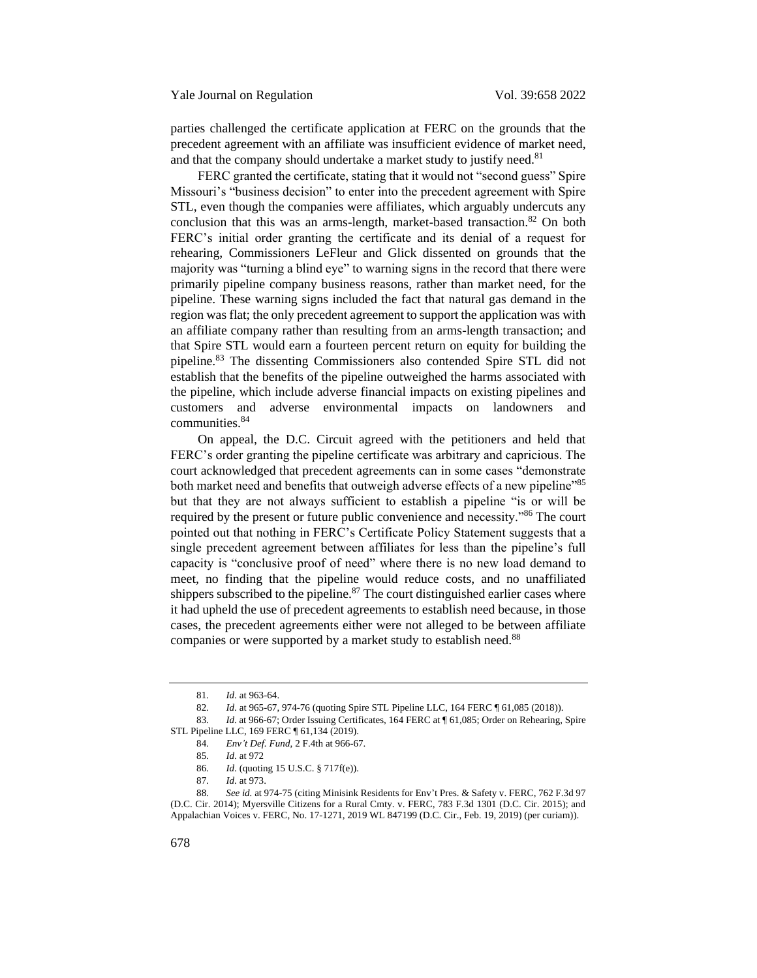parties challenged the certificate application at FERC on the grounds that the precedent agreement with an affiliate was insufficient evidence of market need, and that the company should undertake a market study to justify need.<sup>81</sup>

FERC granted the certificate, stating that it would not "second guess" Spire Missouri's "business decision" to enter into the precedent agreement with Spire STL, even though the companies were affiliates, which arguably undercuts any conclusion that this was an arms-length, market-based transaction.<sup>82</sup> On both FERC's initial order granting the certificate and its denial of a request for rehearing, Commissioners LeFleur and Glick dissented on grounds that the majority was "turning a blind eye" to warning signs in the record that there were primarily pipeline company business reasons, rather than market need, for the pipeline. These warning signs included the fact that natural gas demand in the region was flat; the only precedent agreement to support the application was with an affiliate company rather than resulting from an arms-length transaction; and that Spire STL would earn a fourteen percent return on equity for building the pipeline.<sup>83</sup> The dissenting Commissioners also contended Spire STL did not establish that the benefits of the pipeline outweighed the harms associated with the pipeline, which include adverse financial impacts on existing pipelines and customers and adverse environmental impacts on landowners and communities.<sup>84</sup>

On appeal, the D.C. Circuit agreed with the petitioners and held that FERC's order granting the pipeline certificate was arbitrary and capricious. The court acknowledged that precedent agreements can in some cases "demonstrate both market need and benefits that outweigh adverse effects of a new pipeline<sup>785</sup> but that they are not always sufficient to establish a pipeline "is or will be required by the present or future public convenience and necessity."<sup>86</sup> The court pointed out that nothing in FERC's Certificate Policy Statement suggests that a single precedent agreement between affiliates for less than the pipeline's full capacity is "conclusive proof of need" where there is no new load demand to meet, no finding that the pipeline would reduce costs, and no unaffiliated shippers subscribed to the pipeline. $87$  The court distinguished earlier cases where it had upheld the use of precedent agreements to establish need because, in those cases, the precedent agreements either were not alleged to be between affiliate companies or were supported by a market study to establish need.<sup>88</sup>

<sup>81.</sup> *Id*. at 963-64.

<sup>82.</sup> *Id*. at 965-67, 974-76 (quoting Spire STL Pipeline LLC, 164 FERC ¶ 61,085 (2018)).

<sup>83.</sup> *Id.* at 966-67; Order Issuing Certificates, 164 FERC at ¶ 61,085; Order on Rehearing, Spire STL Pipeline LLC, 169 FERC ¶ 61,134 (2019).

<sup>84.</sup> *Env't Def. Fund*, 2 F.4th at 966-67.

<sup>85.</sup> *Id*. at 972

<sup>86.</sup> *Id*. (quoting 15 U.S.C. § 717f(e)).

<sup>87.</sup> *Id*. at 973.

<sup>88.</sup> *See id.* at 974-75 (citing Minisink Residents for Env't Pres. & Safety v. FERC, 762 F.3d 97 (D.C. Cir. 2014); Myersville Citizens for a Rural Cmty. v. FERC, 783 F.3d 1301 (D.C. Cir. 2015); and Appalachian Voices v. FERC, No. 17-1271, 2019 WL 847199 (D.C. Cir., Feb. 19, 2019) (per curiam)).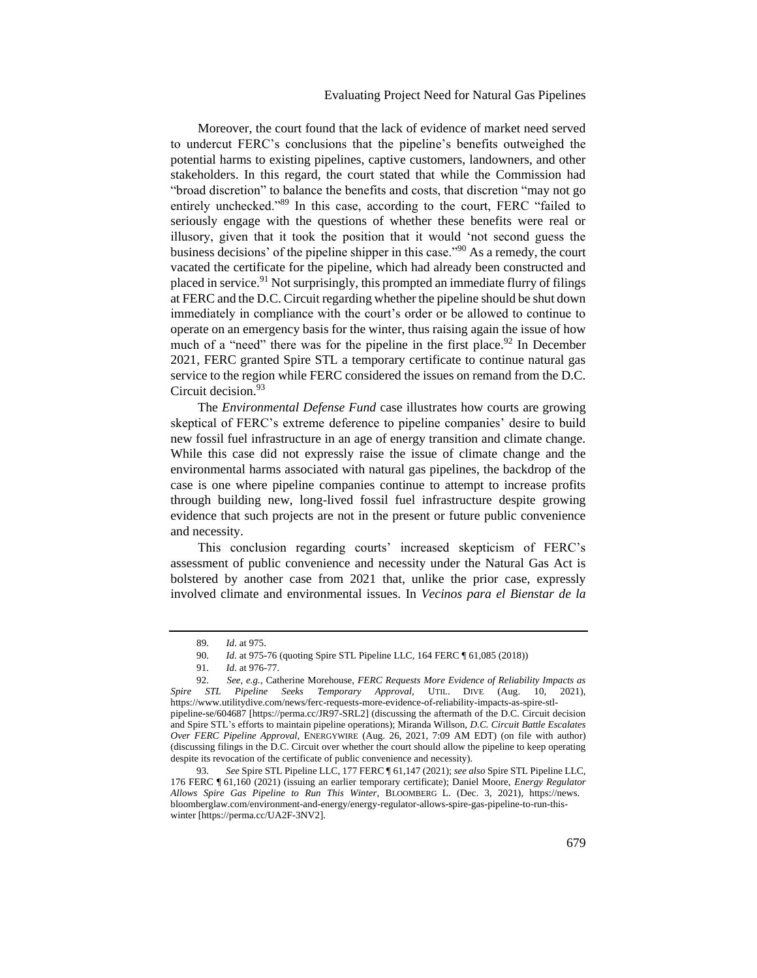# Evaluating Project Need for Natural Gas Pipelines

Moreover, the court found that the lack of evidence of market need served to undercut FERC's conclusions that the pipeline's benefits outweighed the potential harms to existing pipelines, captive customers, landowners, and other stakeholders. In this regard, the court stated that while the Commission had "broad discretion" to balance the benefits and costs, that discretion "may not go entirely unchecked."<sup>89</sup> In this case, according to the court, FERC "failed to seriously engage with the questions of whether these benefits were real or illusory, given that it took the position that it would 'not second guess the business decisions' of the pipeline shipper in this case."<sup>90</sup> As a remedy, the court vacated the certificate for the pipeline, which had already been constructed and placed in service.<sup>91</sup> Not surprisingly, this prompted an immediate flurry of filings at FERC and the D.C. Circuit regarding whether the pipeline should be shut down immediately in compliance with the court's order or be allowed to continue to operate on an emergency basis for the winter, thus raising again the issue of how much of a "need" there was for the pipeline in the first place.<sup>92</sup> In December 2021, FERC granted Spire STL a temporary certificate to continue natural gas service to the region while FERC considered the issues on remand from the D.C. Circuit decision.<sup>93</sup>

The *Environmental Defense Fund* case illustrates how courts are growing skeptical of FERC's extreme deference to pipeline companies' desire to build new fossil fuel infrastructure in an age of energy transition and climate change. While this case did not expressly raise the issue of climate change and the environmental harms associated with natural gas pipelines, the backdrop of the case is one where pipeline companies continue to attempt to increase profits through building new, long-lived fossil fuel infrastructure despite growing evidence that such projects are not in the present or future public convenience and necessity.

This conclusion regarding courts' increased skepticism of FERC's assessment of public convenience and necessity under the Natural Gas Act is bolstered by another case from 2021 that, unlike the prior case, expressly involved climate and environmental issues. In *Vecinos para el Bienstar de la* 

<sup>89.</sup> *Id*. at 975.

<sup>90.</sup> *Id*. at 975-76 (quoting Spire STL Pipeline LLC, 164 FERC ¶ 61,085 (2018))

<sup>91.</sup> *Id*. at 976-77.

<sup>92.</sup> *See*, *e.g.*, Catherine Morehouse, *FERC Requests More Evidence of Reliability Impacts as*  Spire STL Pipeline Seeks Temporary Approval, UTIL. DIVE (Aug. 10, https://www.utilitydive.com/news/ferc-requests-more-evidence-of-reliability-impacts-as-spire-stlpipeline-se/604687 [https://perma.cc/JR97-SRL2] (discussing the aftermath of the D.C. Circuit decision and Spire STL's efforts to maintain pipeline operations); Miranda Willson, *D.C. Circuit Battle Escalates Over FERC Pipeline Approval*, ENERGYWIRE (Aug. 26, 2021, 7:09 AM EDT) (on file with author) (discussing filings in the D.C. Circuit over whether the court should allow the pipeline to keep operating despite its revocation of the certificate of public convenience and necessity).

<sup>93.</sup> *See* Spire STL Pipeline LLC, 177 FERC ¶ 61,147 (2021); *see also* Spire STL Pipeline LLC, 176 FERC ¶ 61,160 (2021) (issuing an earlier temporary certificate); Daniel Moore, *Energy Regulator Allows Spire Gas Pipeline to Run This Winter*, BLOOMBERG L. (Dec. 3, 2021), https://news. bloomberglaw.com/environment-and-energy/energy-regulator-allows-spire-gas-pipeline-to-run-thiswinter [https://perma.cc/UA2F-3NV2].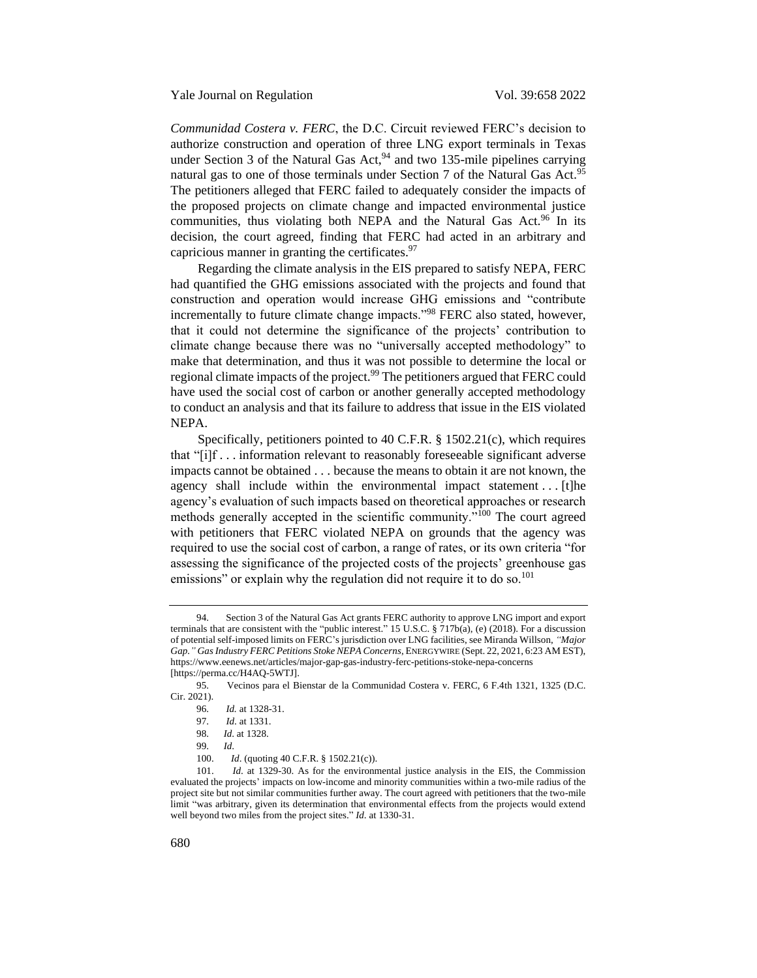<span id="page-22-0"></span>*Communidad Costera v. FERC*, the D.C. Circuit reviewed FERC's decision to authorize construction and operation of three LNG export terminals in Texas under Section 3 of the Natural Gas Act,  $94$  and two 135-mile pipelines carrying natural gas to one of those terminals under Section 7 of the Natural Gas Act.<sup>95</sup> The petitioners alleged that FERC failed to adequately consider the impacts of the proposed projects on climate change and impacted environmental justice communities, thus violating both NEPA and the Natural Gas Act.<sup>96</sup> In its decision, the court agreed, finding that FERC had acted in an arbitrary and capricious manner in granting the certificates.<sup>97</sup>

Regarding the climate analysis in the EIS prepared to satisfy NEPA, FERC had quantified the GHG emissions associated with the projects and found that construction and operation would increase GHG emissions and "contribute incrementally to future climate change impacts."<sup>98</sup> FERC also stated, however, that it could not determine the significance of the projects' contribution to climate change because there was no "universally accepted methodology" to make that determination, and thus it was not possible to determine the local or regional climate impacts of the project.<sup>99</sup> The petitioners argued that FERC could have used the social cost of carbon or another generally accepted methodology to conduct an analysis and that its failure to address that issue in the EIS violated NEPA.

Specifically, petitioners pointed to 40 C.F.R. § 1502.21(c), which requires that "[i]f . . . information relevant to reasonably foreseeable significant adverse impacts cannot be obtained . . . because the means to obtain it are not known, the agency shall include within the environmental impact statement . . . [t]he agency's evaluation of such impacts based on theoretical approaches or research methods generally accepted in the scientific community."<sup>100</sup> The court agreed with petitioners that FERC violated NEPA on grounds that the agency was required to use the social cost of carbon, a range of rates, or its own criteria "for assessing the significance of the projected costs of the projects' greenhouse gas emissions" or explain why the regulation did not require it to do so.<sup>101</sup>

<sup>94.</sup> Section 3 of the Natural Gas Act grants FERC authority to approve LNG import and export terminals that are consistent with the "public interest." 15 U.S.C. § 717b(a), (e) (2018). For a discussion of potential self-imposed limits on FERC's jurisdiction over LNG facilities, see Miranda Willson, *"Major Gap." Gas Industry FERC Petitions Stoke NEPA Concerns*, ENERGYWIRE (Sept. 22, 2021, 6:23 AM EST), https://www.eenews.net/articles/major-gap-gas-industry-ferc-petitions-stoke-nepa-concerns [https://perma.cc/H4AQ-5WTJ].

<sup>95.</sup> Vecinos para el Bienstar de la Communidad Costera v. FERC, 6 F.4th 1321, 1325 (D.C. Cir. 2021).

<sup>96.</sup> *Id.* at 1328-31.

<sup>97.</sup> *Id*. at 1331.

<sup>98.</sup> *Id*. at 1328.

<sup>99.</sup> *Id*.

<sup>100.</sup> *Id*. (quoting 40 C.F.R. § 1502.21(c)).

<sup>101.</sup> *Id*. at 1329-30. As for the environmental justice analysis in the EIS, the Commission evaluated the projects' impacts on low-income and minority communities within a two-mile radius of the project site but not similar communities further away. The court agreed with petitioners that the two-mile limit "was arbitrary, given its determination that environmental effects from the projects would extend well beyond two miles from the project sites." *Id*. at 1330-31.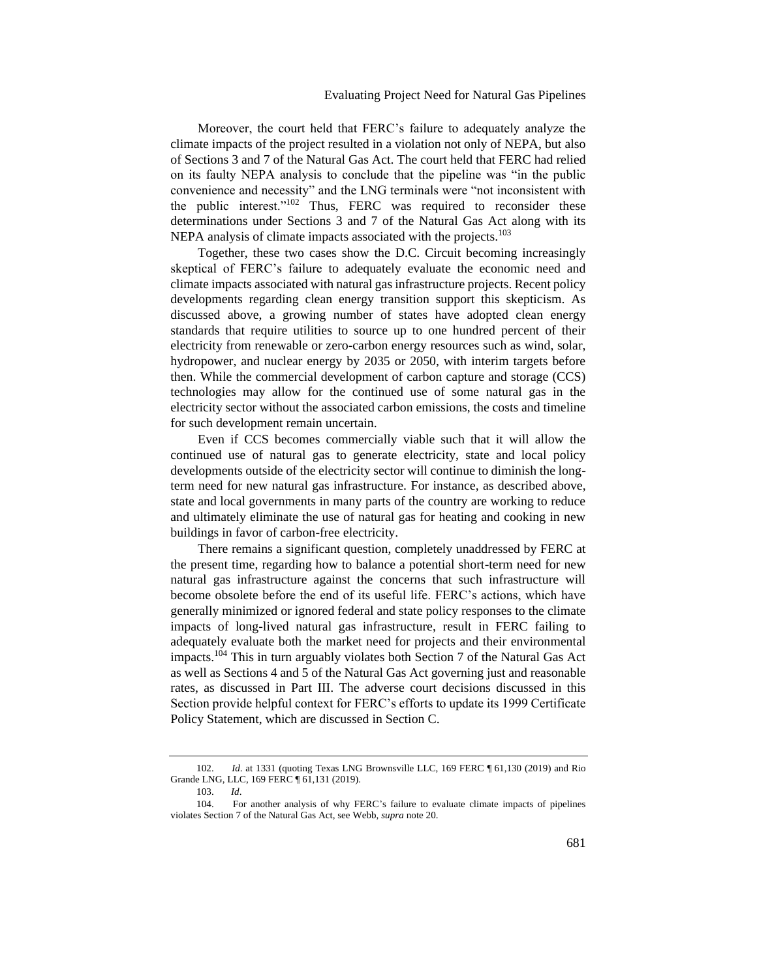Moreover, the court held that FERC's failure to adequately analyze the climate impacts of the project resulted in a violation not only of NEPA, but also of Sections 3 and 7 of the Natural Gas Act. The court held that FERC had relied on its faulty NEPA analysis to conclude that the pipeline was "in the public convenience and necessity" and the LNG terminals were "not inconsistent with the public interest."<sup>102</sup> Thus, FERC was required to reconsider these determinations under Sections 3 and 7 of the Natural Gas Act along with its NEPA analysis of climate impacts associated with the projects.<sup>103</sup>

Together, these two cases show the D.C. Circuit becoming increasingly skeptical of FERC's failure to adequately evaluate the economic need and climate impacts associated with natural gas infrastructure projects. Recent policy developments regarding clean energy transition support this skepticism. As discussed above, a growing number of states have adopted clean energy standards that require utilities to source up to one hundred percent of their electricity from renewable or zero-carbon energy resources such as wind, solar, hydropower, and nuclear energy by 2035 or 2050, with interim targets before then. While the commercial development of carbon capture and storage (CCS) technologies may allow for the continued use of some natural gas in the electricity sector without the associated carbon emissions, the costs and timeline for such development remain uncertain.

Even if CCS becomes commercially viable such that it will allow the continued use of natural gas to generate electricity, state and local policy developments outside of the electricity sector will continue to diminish the longterm need for new natural gas infrastructure. For instance, as described above, state and local governments in many parts of the country are working to reduce and ultimately eliminate the use of natural gas for heating and cooking in new buildings in favor of carbon-free electricity.

There remains a significant question, completely unaddressed by FERC at the present time, regarding how to balance a potential short-term need for new natural gas infrastructure against the concerns that such infrastructure will become obsolete before the end of its useful life. FERC's actions, which have generally minimized or ignored federal and state policy responses to the climate impacts of long-lived natural gas infrastructure, result in FERC failing to adequately evaluate both the market need for projects and their environmental impacts.<sup>104</sup> This in turn arguably violates both Section 7 of the Natural Gas Act as well as Sections 4 and 5 of the Natural Gas Act governing just and reasonable rates, as discussed in Part III. The adverse court decisions discussed in this Section provide helpful context for FERC's efforts to update its 1999 Certificate Policy Statement, which are discussed in Section C.

<sup>102.</sup> *Id*. at 1331 (quoting Texas LNG Brownsville LLC, 169 FERC ¶ 61,130 (2019) and Rio Grande LNG, LLC, 169 FERC ¶ 61,131 (2019).

<sup>103.</sup> *Id*.

<sup>104.</sup> For another analysis of why FERC's failure to evaluate climate impacts of pipelines violates Section 7 of the Natural Gas Act, see Webb, *supra* not[e 20.](#page-7-1)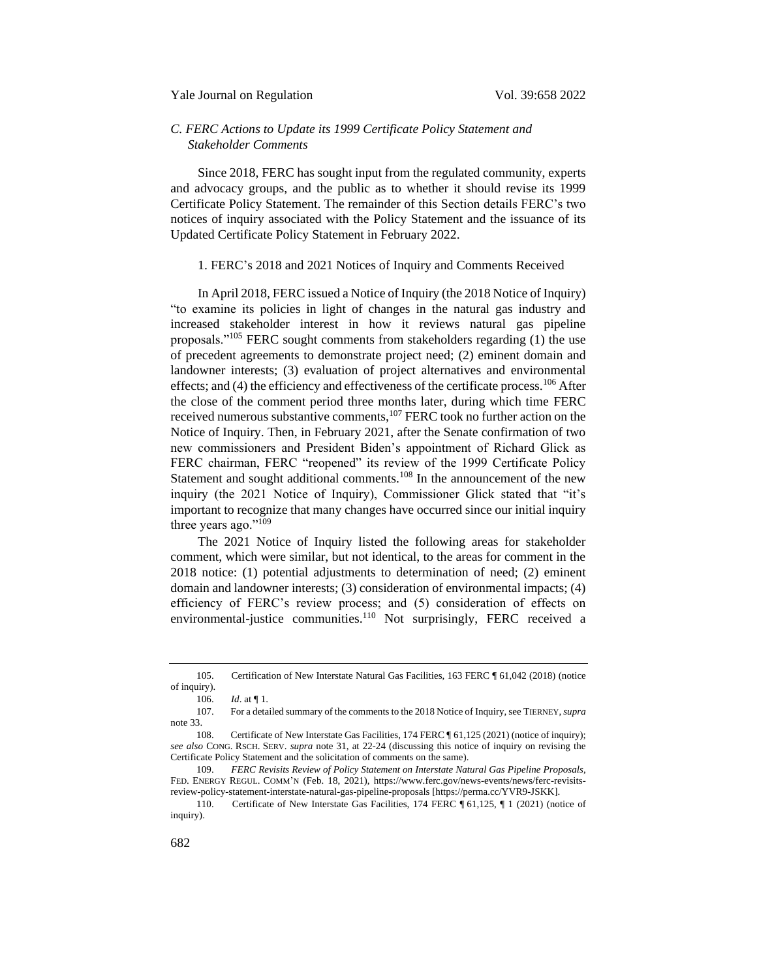# <span id="page-24-0"></span>*C. FERC Actions to Update its 1999 Certificate Policy Statement and Stakeholder Comments*

Since 2018, FERC has sought input from the regulated community, experts and advocacy groups, and the public as to whether it should revise its 1999 Certificate Policy Statement. The remainder of this Section details FERC's two notices of inquiry associated with the Policy Statement and the issuance of its Updated Certificate Policy Statement in February 2022.

### <span id="page-24-1"></span>1. FERC's 2018 and 2021 Notices of Inquiry and Comments Received

In April 2018, FERC issued a Notice of Inquiry (the 2018 Notice of Inquiry) "to examine its policies in light of changes in the natural gas industry and increased stakeholder interest in how it reviews natural gas pipeline proposals."<sup>105</sup> FERC sought comments from stakeholders regarding (1) the use of precedent agreements to demonstrate project need; (2) eminent domain and landowner interests; (3) evaluation of project alternatives and environmental effects; and  $(4)$  the efficiency and effectiveness of the certificate process.<sup>106</sup> After the close of the comment period three months later, during which time FERC received numerous substantive comments,<sup>107</sup> FERC took no further action on the Notice of Inquiry. Then, in February 2021, after the Senate confirmation of two new commissioners and President Biden's appointment of Richard Glick as FERC chairman, FERC "reopened" its review of the 1999 Certificate Policy Statement and sought additional comments.<sup>108</sup> In the announcement of the new inquiry (the 2021 Notice of Inquiry), Commissioner Glick stated that "it's important to recognize that many changes have occurred since our initial inquiry three years ago."<sup>109</sup>

The 2021 Notice of Inquiry listed the following areas for stakeholder comment, which were similar, but not identical, to the areas for comment in the 2018 notice: (1) potential adjustments to determination of need; (2) eminent domain and landowner interests; (3) consideration of environmental impacts; (4) efficiency of FERC's review process; and (5) consideration of effects on environmental-justice communities.<sup>110</sup> Not surprisingly, FERC received a

<sup>105.</sup> Certification of New Interstate Natural Gas Facilities, 163 FERC ¶ 61,042 (2018) (notice of inquiry).

<sup>106.</sup> *Id*. at ¶ 1.

<sup>107.</sup> For a detailed summary of the comments to the 2018 Notice of Inquiry, see TIERNEY, *supra*  note [33.](#page-9-1)

<sup>108.</sup> Certificate of New Interstate Gas Facilities, 174 FERC ¶ 61,125 (2021) (notice of inquiry); *see also* CONG. RSCH. SERV. *supra* note [31,](#page-9-0) at 22-24 (discussing this notice of inquiry on revising the Certificate Policy Statement and the solicitation of comments on the same).

<sup>109.</sup> *FERC Revisits Review of Policy Statement on Interstate Natural Gas Pipeline Proposals*, FED. ENERGY REGUL. COMM'N (Feb. 18, 2021), https://www.ferc.gov/news-events/news/ferc-revisitsreview-policy-statement-interstate-natural-gas-pipeline-proposals [https://perma.cc/YVR9-JSKK].

<sup>110.</sup> Certificate of New Interstate Gas Facilities, 174 FERC  $\parallel$  61,125,  $\parallel$  1 (2021) (notice of inquiry).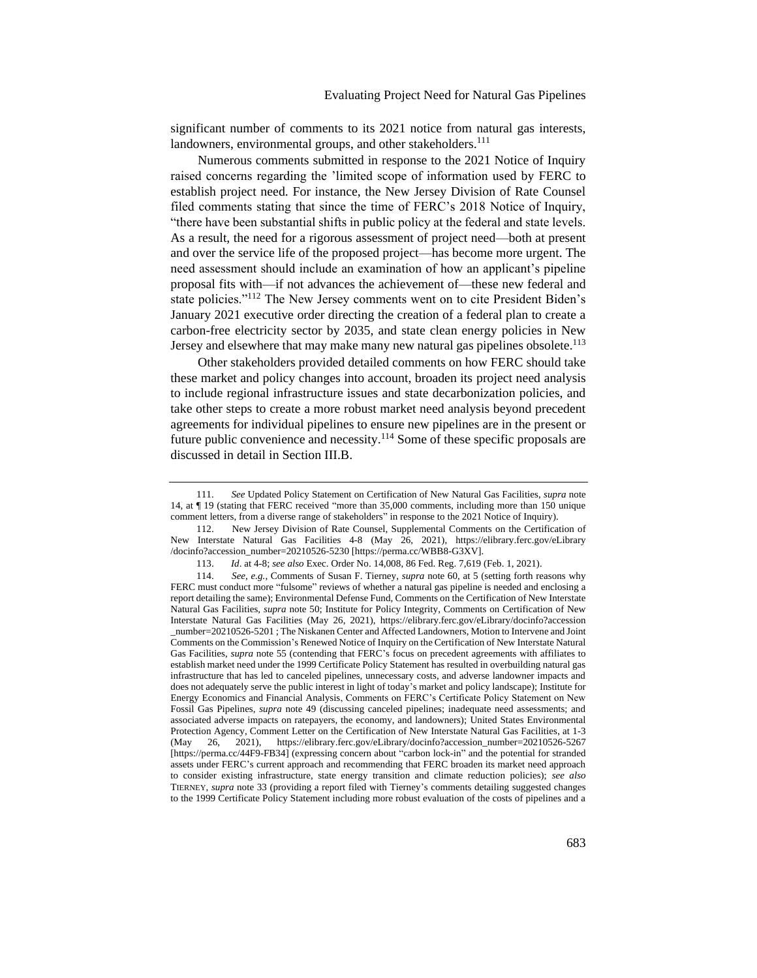significant number of comments to its 2021 notice from natural gas interests, landowners, environmental groups, and other stakeholders.<sup>111</sup>

Numerous comments submitted in response to the 2021 Notice of Inquiry raised concerns regarding the 'limited scope of information used by FERC to establish project need. For instance, the New Jersey Division of Rate Counsel filed comments stating that since the time of FERC's 2018 Notice of Inquiry, "there have been substantial shifts in public policy at the federal and state levels. As a result, the need for a rigorous assessment of project need—both at present and over the service life of the proposed project—has become more urgent. The need assessment should include an examination of how an applicant's pipeline proposal fits with—if not advances the achievement of—these new federal and state policies."<sup>112</sup> The New Jersey comments went on to cite President Biden's January 2021 executive order directing the creation of a federal plan to create a carbon-free electricity sector by 2035, and state clean energy policies in New Jersey and elsewhere that may make many new natural gas pipelines obsolete.<sup>113</sup>

Other stakeholders provided detailed comments on how FERC should take these market and policy changes into account, broaden its project need analysis to include regional infrastructure issues and state decarbonization policies, and take other steps to create a more robust market need analysis beyond precedent agreements for individual pipelines to ensure new pipelines are in the present or future public convenience and necessity. $1^{14}$  Some of these specific proposals are discussed in detail in Section III.B.

<span id="page-25-0"></span><sup>111.</sup> *See* Updated Policy Statement on Certification of New Natural Gas Facilities, *supra* note [14,](#page-4-0) at ¶ 19 (stating that FERC received "more than 35,000 comments, including more than 150 unique comment letters, from a diverse range of stakeholders" in response to the 2021 Notice of Inquiry).

<sup>112.</sup> New Jersey Division of Rate Counsel, Supplemental Comments on the Certification of New Interstate Natural Gas Facilities 4-8 (May 26, 2021), https://elibrary.ferc.gov/eLibrary /docinfo?accession\_number=20210526-5230 [https://perma.cc/WBB8-G3XV].

<sup>113.</sup> *Id*. at 4-8; *see also* Exec. Order No. 14,008, 86 Fed. Reg. 7,619 (Feb. 1, 2021).

<sup>114.</sup> *See*, *e.g.*, Comments of Susan F. Tierney, *supra* note 60, at 5 (setting forth reasons why FERC must conduct more "fulsome" reviews of whether a natural gas pipeline is needed and enclosing a report detailing the same); Environmental Defense Fund, Comments on the Certification of New Interstate Natural Gas Facilities, *supra* note 50; Institute for Policy Integrity, Comments on Certification of New Interstate Natural Gas Facilities (May 26, 2021), https://elibrary.ferc.gov/eLibrary/docinfo?accession \_number=20210526-5201 ; The Niskanen Center and Affected Landowners, Motion to Intervene and Joint Comments on the Commission's Renewed Notice of Inquiry on the Certification of New Interstate Natural Gas Facilities, *supra* note [55](#page-15-0) (contending that FERC's focus on precedent agreements with affiliates to establish market need under the 1999 Certificate Policy Statement has resulted in overbuilding natural gas infrastructure that has led to canceled pipelines, unnecessary costs, and adverse landowner impacts and does not adequately serve the public interest in light of today's market and policy landscape); Institute for Energy Economics and Financial Analysis, Comments on FERC's Certificate Policy Statement on New Fossil Gas Pipelines, *supra* note [49](#page-13-0) (discussing canceled pipelines; inadequate need assessments; and associated adverse impacts on ratepayers, the economy, and landowners); United States Environmental Protection Agency, Comment Letter on the Certification of New Interstate Natural Gas Facilities, at 1-3 (May 26, 2021), https://elibrary.ferc.gov/eLibrary/docinfo?accession\_number=20210526-5267 [https://perma.cc/44F9-FB34] (expressing concern about "carbon lock-in" and the potential for stranded assets under FERC's current approach and recommending that FERC broaden its market need approach to consider existing infrastructure, state energy transition and climate reduction policies); *see also* TIERNEY, *supra* note [33](#page-9-1) (providing a report filed with Tierney's comments detailing suggested changes to the 1999 Certificate Policy Statement including more robust evaluation of the costs of pipelines and a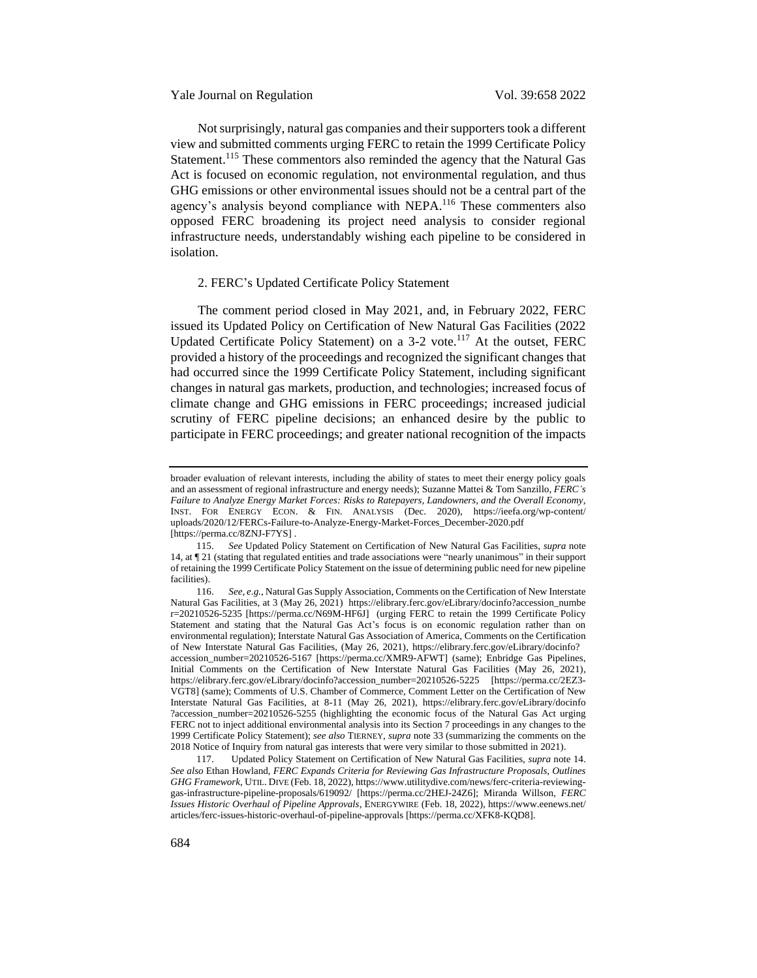Not surprisingly, natural gas companies and their supporters took a different view and submitted comments urging FERC to retain the 1999 Certificate Policy Statement.<sup>115</sup> These commentors also reminded the agency that the Natural Gas Act is focused on economic regulation, not environmental regulation, and thus GHG emissions or other environmental issues should not be a central part of the agency's analysis beyond compliance with NEPA.<sup>116</sup> These commenters also opposed FERC broadening its project need analysis to consider regional infrastructure needs, understandably wishing each pipeline to be considered in isolation.

# <span id="page-26-0"></span>2. FERC's Updated Certificate Policy Statement

The comment period closed in May 2021, and, in February 2022, FERC issued its Updated Policy on Certification of New Natural Gas Facilities (2022 Updated Certificate Policy Statement) on a  $3-2$  vote.<sup>117</sup> At the outset, FERC provided a history of the proceedings and recognized the significant changes that had occurred since the 1999 Certificate Policy Statement, including significant changes in natural gas markets, production, and technologies; increased focus of climate change and GHG emissions in FERC proceedings; increased judicial scrutiny of FERC pipeline decisions; an enhanced desire by the public to participate in FERC proceedings; and greater national recognition of the impacts

broader evaluation of relevant interests, including the ability of states to meet their energy policy goals and an assessment of regional infrastructure and energy needs); Suzanne Mattei & Tom Sanzillo, *FERC's Failure to Analyze Energy Market Forces: Risks to Ratepayers, Landowners, and the Overall Economy*, INST. FOR ENERGY ECON. & FIN. ANALYSIS (Dec. 2020), https://ieefa.org/wp-content/ uploads/2020/12/FERCs-Failure-to-Analyze-Energy-Market-Forces\_December-2020.pdf [https://perma.cc/8ZNJ-F7YS] .

<sup>115.</sup> *See* Updated Policy Statement on Certification of New Natural Gas Facilities, *supra* note [14,](#page-4-0) at ¶ 21 (stating that regulated entities and trade associations were "nearly unanimous" in their support of retaining the 1999 Certificate Policy Statement on the issue of determining public need for new pipeline facilities).

<sup>116.</sup> *See*, *e.g.*, Natural Gas Supply Association, Comments on the Certification of New Interstate Natural Gas Facilities, at 3 (May 26, 2021) https://elibrary.ferc.gov/eLibrary/docinfo?accession\_numbe r=20210526-5235 [https://perma.cc/N69M-HF6J] (urging FERC to retain the 1999 Certificate Policy Statement and stating that the Natural Gas Act's focus is on economic regulation rather than on environmental regulation); Interstate Natural Gas Association of America, Comments on the Certification of New Interstate Natural Gas Facilities, (May 26, 2021), https://elibrary.ferc.gov/eLibrary/docinfo? accession\_number=20210526-5167 [https://perma.cc/XMR9-AFWT] (same); Enbridge Gas Pipelines, Initial Comments on the Certification of New Interstate Natural Gas Facilities (May 26, 2021), https://elibrary.ferc.gov/eLibrary/docinfo?accession\_number=20210526-5225 [https://perma.cc/2EZ3- VGT8] (same); Comments of U.S. Chamber of Commerce, Comment Letter on the Certification of New Interstate Natural Gas Facilities, at 8-11 (May 26, 2021), https://elibrary.ferc.gov/eLibrary/docinfo ?accession\_number=20210526-5255 (highlighting the economic focus of the Natural Gas Act urging FERC not to inject additional environmental analysis into its Section 7 proceedings in any changes to the 1999 Certificate Policy Statement); *see also* TIERNEY, *supra* not[e 33](#page-9-1) (summarizing the comments on the 2018 Notice of Inquiry from natural gas interests that were very similar to those submitted in 2021).

<sup>117.</sup> Updated Policy Statement on Certification of New Natural Gas Facilities, *supra* note [14.](#page-4-0) *See also* Ethan Howland, *FERC Expands Criteria for Reviewing Gas Infrastructure Proposals, Outlines GHG Framework*, UTIL. DIVE (Feb. 18, 2022), https://www.utilitydive.com/news/ferc-criteria-reviewinggas-infrastructure-pipeline-proposals/619092/ [https://perma.cc/2HEJ-24Z6]; Miranda Willson, *FERC Issues Historic Overhaul of Pipeline Approvals*, ENERGYWIRE (Feb. 18, 2022), https://www.eenews.net/ articles/ferc-issues-historic-overhaul-of-pipeline-approvals [https://perma.cc/XFK8-KQD8].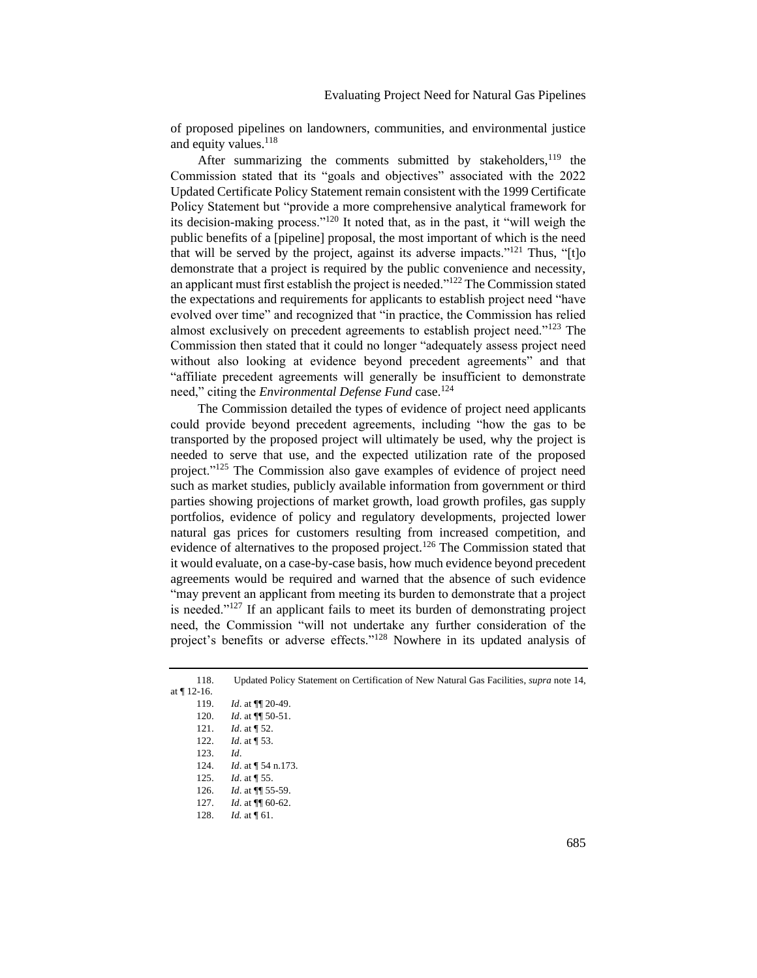of proposed pipelines on landowners, communities, and environmental justice and equity values.<sup>118</sup>

After summarizing the comments submitted by stakeholders, $119$  the Commission stated that its "goals and objectives" associated with the 2022 Updated Certificate Policy Statement remain consistent with the 1999 Certificate Policy Statement but "provide a more comprehensive analytical framework for its decision-making process."<sup>120</sup> It noted that, as in the past, it "will weigh the public benefits of a [pipeline] proposal, the most important of which is the need that will be served by the project, against its adverse impacts."<sup>121</sup> Thus, "[t]o demonstrate that a project is required by the public convenience and necessity, an applicant must first establish the project is needed."<sup>122</sup> The Commission stated the expectations and requirements for applicants to establish project need "have evolved over time" and recognized that "in practice, the Commission has relied almost exclusively on precedent agreements to establish project need."<sup>123</sup> The Commission then stated that it could no longer "adequately assess project need without also looking at evidence beyond precedent agreements" and that "affiliate precedent agreements will generally be insufficient to demonstrate need," citing the *Environmental Defense Fund* case.<sup>124</sup>

The Commission detailed the types of evidence of project need applicants could provide beyond precedent agreements, including "how the gas to be transported by the proposed project will ultimately be used, why the project is needed to serve that use, and the expected utilization rate of the proposed project."<sup>125</sup> The Commission also gave examples of evidence of project need such as market studies, publicly available information from government or third parties showing projections of market growth, load growth profiles, gas supply portfolios, evidence of policy and regulatory developments, projected lower natural gas prices for customers resulting from increased competition, and evidence of alternatives to the proposed project.<sup>126</sup> The Commission stated that it would evaluate, on a case-by-case basis, how much evidence beyond precedent agreements would be required and warned that the absence of such evidence "may prevent an applicant from meeting its burden to demonstrate that a project is needed." $127$  If an applicant fails to meet its burden of demonstrating project need, the Commission "will not undertake any further consideration of the project's benefits or adverse effects."<sup>128</sup> Nowhere in its updated analysis of

|             | Updated Policy Statement on Certification of New Natural Gas Facilities, <i>supra</i> note 14, |
|-------------|------------------------------------------------------------------------------------------------|
| at ¶ 12-16. |                                                                                                |
| 110         | <i>IJ</i> o+ 111 20 40                                                                         |

- 119. *Id*. at ¶¶ 20-49. 120. *Id*. at ¶¶ 50-51.
- 121. *Id*. at ¶ 52.
- 122. *Id*. at ¶ 53.
- 123. *Id*.
- 124. *Id*. at ¶ 54 n.173.
- 125. *Id*. at ¶ 55.
- 126. *Id*. at ¶¶ 55-59.
- 127. *Id*. at ¶¶ 60-62.
- 128. *Id.* at ¶ 61.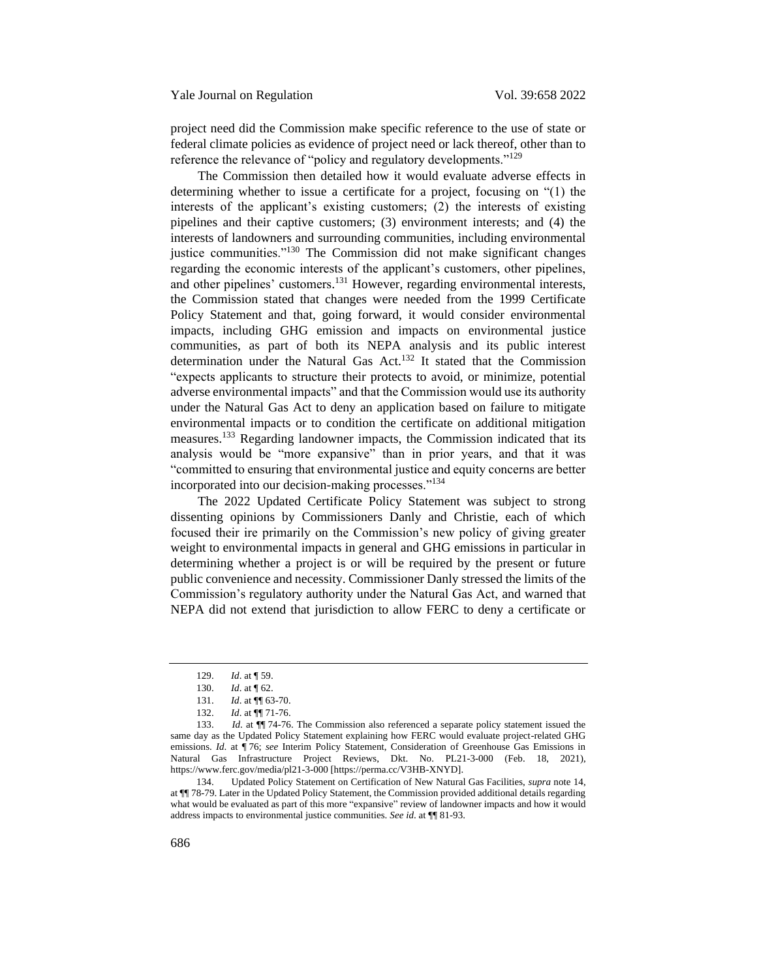project need did the Commission make specific reference to the use of state or federal climate policies as evidence of project need or lack thereof, other than to reference the relevance of "policy and regulatory developments."<sup>129</sup>

The Commission then detailed how it would evaluate adverse effects in determining whether to issue a certificate for a project, focusing on "(1) the interests of the applicant's existing customers; (2) the interests of existing pipelines and their captive customers; (3) environment interests; and (4) the interests of landowners and surrounding communities, including environmental justice communities."<sup>130</sup> The Commission did not make significant changes regarding the economic interests of the applicant's customers, other pipelines, and other pipelines' customers.<sup>131</sup> However, regarding environmental interests, the Commission stated that changes were needed from the 1999 Certificate Policy Statement and that, going forward, it would consider environmental impacts, including GHG emission and impacts on environmental justice communities, as part of both its NEPA analysis and its public interest determination under the Natural Gas Act.<sup>132</sup> It stated that the Commission "expects applicants to structure their protects to avoid, or minimize, potential adverse environmental impacts" and that the Commission would use its authority under the Natural Gas Act to deny an application based on failure to mitigate environmental impacts or to condition the certificate on additional mitigation measures.<sup>133</sup> Regarding landowner impacts, the Commission indicated that its analysis would be "more expansive" than in prior years, and that it was "committed to ensuring that environmental justice and equity concerns are better incorporated into our decision-making processes."<sup>134</sup>

The 2022 Updated Certificate Policy Statement was subject to strong dissenting opinions by Commissioners Danly and Christie, each of which focused their ire primarily on the Commission's new policy of giving greater weight to environmental impacts in general and GHG emissions in particular in determining whether a project is or will be required by the present or future public convenience and necessity. Commissioner Danly stressed the limits of the Commission's regulatory authority under the Natural Gas Act, and warned that NEPA did not extend that jurisdiction to allow FERC to deny a certificate or

<sup>129.</sup> *Id*. at ¶ 59.

<sup>130.</sup> *Id*. at ¶ 62.

<sup>131.</sup> *Id*. at ¶¶ 63-70.

<sup>132.</sup> *Id*. at ¶¶ 71-76.

<sup>133.</sup> *Id*. at ¶¶ 74-76. The Commission also referenced a separate policy statement issued the same day as the Updated Policy Statement explaining how FERC would evaluate project-related GHG emissions. *Id*. at ¶ 76; *see* Interim Policy Statement, Consideration of Greenhouse Gas Emissions in Natural Gas Infrastructure Project Reviews, Dkt. No. PL21-3-000 (Feb. 18, 2021), https://www.ferc.gov/media/pl21-3-000 [https://perma.cc/V3HB-XNYD].

<sup>134.</sup> Updated Policy Statement on Certification of New Natural Gas Facilities, *supra* note [14,](#page-4-0) at ¶¶ 78-79. Later in the Updated Policy Statement, the Commission provided additional details regarding what would be evaluated as part of this more "expansive" review of landowner impacts and how it would address impacts to environmental justice communities. *See id*. at ¶¶ 81-93.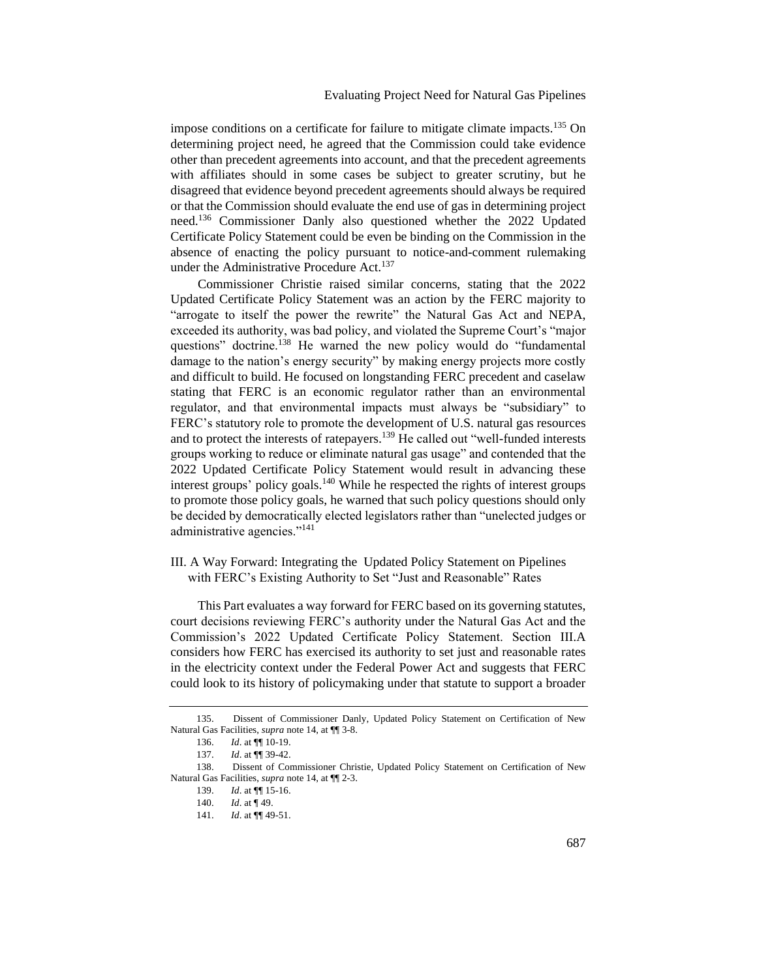impose conditions on a certificate for failure to mitigate climate impacts.<sup>135</sup> On determining project need, he agreed that the Commission could take evidence other than precedent agreements into account, and that the precedent agreements with affiliates should in some cases be subject to greater scrutiny, but he disagreed that evidence beyond precedent agreements should always be required or that the Commission should evaluate the end use of gas in determining project need.<sup>136</sup> Commissioner Danly also questioned whether the 2022 Updated Certificate Policy Statement could be even be binding on the Commission in the absence of enacting the policy pursuant to notice-and-comment rulemaking under the Administrative Procedure Act.<sup>137</sup>

Commissioner Christie raised similar concerns, stating that the 2022 Updated Certificate Policy Statement was an action by the FERC majority to "arrogate to itself the power the rewrite" the Natural Gas Act and NEPA, exceeded its authority, was bad policy, and violated the Supreme Court's "major questions" doctrine.<sup>138</sup> He warned the new policy would do "fundamental damage to the nation's energy security" by making energy projects more costly and difficult to build. He focused on longstanding FERC precedent and caselaw stating that FERC is an economic regulator rather than an environmental regulator, and that environmental impacts must always be "subsidiary" to FERC's statutory role to promote the development of U.S. natural gas resources and to protect the interests of ratepayers.<sup>139</sup> He called out "well-funded interests" groups working to reduce or eliminate natural gas usage" and contended that the 2022 Updated Certificate Policy Statement would result in advancing these interest groups' policy goals.<sup>140</sup> While he respected the rights of interest groups to promote those policy goals, he warned that such policy questions should only be decided by democratically elected legislators rather than "unelected judges or administrative agencies."<sup>141</sup>

<span id="page-29-0"></span>III. A Way Forward: Integrating the Updated Policy Statement on Pipelines with FERC's Existing Authority to Set "Just and Reasonable" Rates

This Part evaluates a way forward for FERC based on its governing statutes, court decisions reviewing FERC's authority under the Natural Gas Act and the Commission's 2022 Updated Certificate Policy Statement. Section III.A considers how FERC has exercised its authority to set just and reasonable rates in the electricity context under the Federal Power Act and suggests that FERC could look to its history of policymaking under that statute to support a broader

<sup>135.</sup> Dissent of Commissioner Danly, Updated Policy Statement on Certification of New Natural Gas Facilities, *supra* note [14,](#page-4-0) at ¶¶ 3-8.

<sup>136.</sup> *Id*. at ¶¶ 10-19.

<sup>137.</sup> *Id*. at ¶¶ 39-42.

<sup>138.</sup> Dissent of Commissioner Christie, Updated Policy Statement on Certification of New Natural Gas Facilities, *supra* note [14,](#page-4-0) at ¶¶ 2-3.

<sup>139.</sup> *Id*. at ¶¶ 15-16.

<sup>140.</sup> *Id*. at ¶ 49.

<sup>141.</sup> *Id*. at ¶¶ 49-51.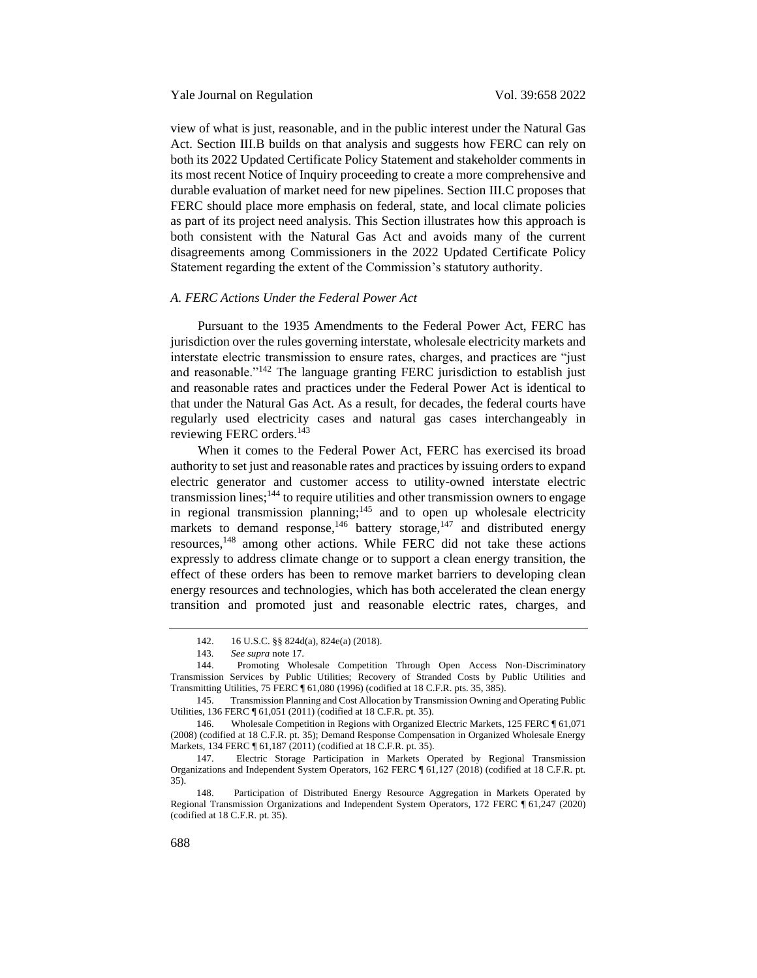view of what is just, reasonable, and in the public interest under the Natural Gas Act. Section III.B builds on that analysis and suggests how FERC can rely on both its 2022 Updated Certificate Policy Statement and stakeholder comments in its most recent Notice of Inquiry proceeding to create a more comprehensive and durable evaluation of market need for new pipelines. Section III.C proposes that FERC should place more emphasis on federal, state, and local climate policies as part of its project need analysis. This Section illustrates how this approach is both consistent with the Natural Gas Act and avoids many of the current disagreements among Commissioners in the 2022 Updated Certificate Policy Statement regarding the extent of the Commission's statutory authority.

# <span id="page-30-0"></span>*A. FERC Actions Under the Federal Power Act*

Pursuant to the 1935 Amendments to the Federal Power Act, FERC has jurisdiction over the rules governing interstate, wholesale electricity markets and interstate electric transmission to ensure rates, charges, and practices are "just and reasonable."<sup>142</sup> The language granting FERC jurisdiction to establish just and reasonable rates and practices under the Federal Power Act is identical to that under the Natural Gas Act. As a result, for decades, the federal courts have regularly used electricity cases and natural gas cases interchangeably in reviewing FERC orders.<sup>143</sup>

When it comes to the Federal Power Act, FERC has exercised its broad authority to set just and reasonable rates and practices by issuing orders to expand electric generator and customer access to utility-owned interstate electric transmission lines;<sup>144</sup> to require utilities and other transmission owners to engage in regional transmission planning; $145$  and to open up wholesale electricity markets to demand response,<sup>146</sup> battery storage,<sup>147</sup> and distributed energy resources,<sup>148</sup> among other actions. While FERC did not take these actions expressly to address climate change or to support a clean energy transition, the effect of these orders has been to remove market barriers to developing clean energy resources and technologies, which has both accelerated the clean energy transition and promoted just and reasonable electric rates, charges, and

<sup>142.</sup> 16 U.S.C. §§ 824d(a), 824e(a) (2018).

<sup>143</sup>*. See supra* not[e 17.](#page-6-1)

<sup>144.</sup> Promoting Wholesale Competition Through Open Access Non-Discriminatory Transmission Services by Public Utilities; Recovery of Stranded Costs by Public Utilities and Transmitting Utilities, 75 FERC ¶ 61,080 (1996) (codified at 18 C.F.R. pts. 35, 385).

<sup>145.</sup> Transmission Planning and Cost Allocation by Transmission Owning and Operating Public Utilities, 136 FERC ¶ 61,051 (2011) (codified at 18 C.F.R. pt. 35).

<sup>146.</sup> Wholesale Competition in Regions with Organized Electric Markets, 125 FERC ¶ 61,071 (2008) (codified at 18 C.F.R. pt. 35); Demand Response Compensation in Organized Wholesale Energy Markets, 134 FERC ¶ 61,187 (2011) (codified at 18 C.F.R. pt. 35).

<sup>147.</sup> Electric Storage Participation in Markets Operated by Regional Transmission Organizations and Independent System Operators, 162 FERC ¶ 61,127 (2018) (codified at 18 C.F.R. pt. 35).

<sup>148.</sup> Participation of Distributed Energy Resource Aggregation in Markets Operated by Regional Transmission Organizations and Independent System Operators, 172 FERC ¶ 61,247 (2020) (codified at 18 C.F.R. pt. 35).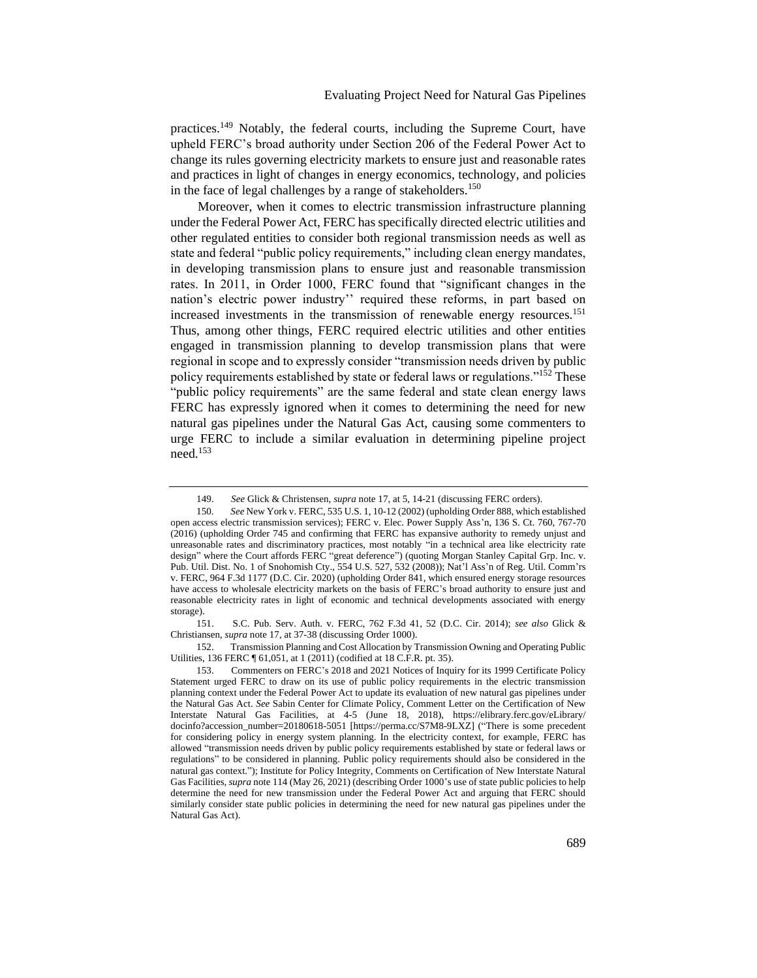practices.<sup>149</sup> Notably, the federal courts, including the Supreme Court, have upheld FERC's broad authority under Section 206 of the Federal Power Act to change its rules governing electricity markets to ensure just and reasonable rates and practices in light of changes in energy economics, technology, and policies in the face of legal challenges by a range of stakeholders.<sup>150</sup>

Moreover, when it comes to electric transmission infrastructure planning under the Federal Power Act, FERC has specifically directed electric utilities and other regulated entities to consider both regional transmission needs as well as state and federal "public policy requirements," including clean energy mandates, in developing transmission plans to ensure just and reasonable transmission rates. In 2011, in Order 1000, FERC found that "significant changes in the nation's electric power industry'' required these reforms, in part based on increased investments in the transmission of renewable energy resources.<sup>151</sup> Thus, among other things, FERC required electric utilities and other entities engaged in transmission planning to develop transmission plans that were regional in scope and to expressly consider "transmission needs driven by public policy requirements established by state or federal laws or regulations."<sup>152</sup> These "public policy requirements" are the same federal and state clean energy laws FERC has expressly ignored when it comes to determining the need for new natural gas pipelines under the Natural Gas Act, causing some commenters to urge FERC to include a similar evaluation in determining pipeline project need.<sup>153</sup>

151. S.C. Pub. Serv. Auth. v. FERC, 762 F.3d 41, 52 (D.C. Cir. 2014); *see also* Glick & Christiansen, *supra* not[e 17,](#page-6-1) at 37-38 (discussing Order 1000).

152. Transmission Planning and Cost Allocation by Transmission Owning and Operating Public Utilities, 136 FERC ¶ 61,051, at 1 (2011) (codified at 18 C.F.R. pt. 35).

<sup>149.</sup> *See* Glick & Christensen, *supra* note [17,](#page-6-1) at 5, 14-21 (discussing FERC orders).

<sup>150</sup>*. See* New York v. FERC, 535 U.S. 1, 10-12 (2002) (upholding Order 888, which established open access electric transmission services); FERC v. Elec. Power Supply Ass'n, 136 S. Ct. 760, 767-70 (2016) (upholding Order 745 and confirming that FERC has expansive authority to remedy unjust and unreasonable rates and discriminatory practices, most notably "in a technical area like electricity rate design" where the Court affords FERC "great deference") (quoting Morgan Stanley Capital Grp. Inc. v. Pub. Util. Dist. No. 1 of Snohomish Cty., 554 U.S. 527, 532 (2008)); Nat'l Ass'n of Reg. Util. Comm'rs v. FERC, 964 F.3d 1177 (D.C. Cir. 2020) (upholding Order 841, which ensured energy storage resources have access to wholesale electricity markets on the basis of FERC's broad authority to ensure just and reasonable electricity rates in light of economic and technical developments associated with energy storage).

<sup>153.</sup> Commenters on FERC's 2018 and 2021 Notices of Inquiry for its 1999 Certificate Policy Statement urged FERC to draw on its use of public policy requirements in the electric transmission planning context under the Federal Power Act to update its evaluation of new natural gas pipelines under the Natural Gas Act. *See* Sabin Center for Climate Policy, Comment Letter on the Certification of New Interstate Natural Gas Facilities, at 4-5 (June 18, 2018), https://elibrary.ferc.gov/eLibrary/ docinfo?accession\_number=20180618-5051 [https://perma.cc/S7M8-9LXZ] ("There is some precedent for considering policy in energy system planning. In the electricity context, for example, FERC has allowed "transmission needs driven by public policy requirements established by state or federal laws or regulations" to be considered in planning. Public policy requirements should also be considered in the natural gas context."); Institute for Policy Integrity, Comments on Certification of New Interstate Natural Gas Facilities, *supra* not[e 114](#page-25-0) (May 26, 2021) (describing Order 1000's use of state public policies to help determine the need for new transmission under the Federal Power Act and arguing that FERC should similarly consider state public policies in determining the need for new natural gas pipelines under the Natural Gas Act).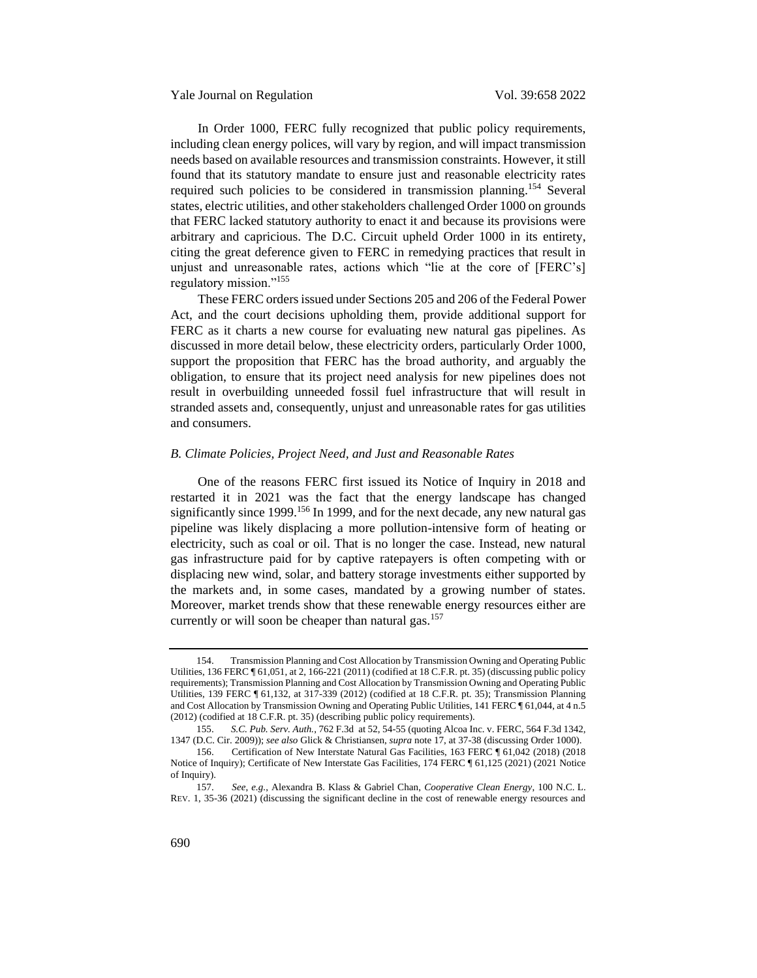In Order 1000, FERC fully recognized that public policy requirements, including clean energy polices, will vary by region, and will impact transmission needs based on available resources and transmission constraints. However, it still found that its statutory mandate to ensure just and reasonable electricity rates required such policies to be considered in transmission planning.<sup>154</sup> Several states, electric utilities, and other stakeholders challenged Order 1000 on grounds that FERC lacked statutory authority to enact it and because its provisions were arbitrary and capricious. The D.C. Circuit upheld Order 1000 in its entirety, citing the great deference given to FERC in remedying practices that result in unjust and unreasonable rates, actions which "lie at the core of [FERC's] regulatory mission."<sup>155</sup>

These FERC orders issued under Sections 205 and 206 of the Federal Power Act, and the court decisions upholding them, provide additional support for FERC as it charts a new course for evaluating new natural gas pipelines. As discussed in more detail below, these electricity orders, particularly Order 1000, support the proposition that FERC has the broad authority, and arguably the obligation, to ensure that its project need analysis for new pipelines does not result in overbuilding unneeded fossil fuel infrastructure that will result in stranded assets and, consequently, unjust and unreasonable rates for gas utilities and consumers.

# <span id="page-32-0"></span>*B. Climate Policies, Project Need, and Just and Reasonable Rates*

One of the reasons FERC first issued its Notice of Inquiry in 2018 and restarted it in 2021 was the fact that the energy landscape has changed significantly since 1999.<sup>156</sup> In 1999, and for the next decade, any new natural gas pipeline was likely displacing a more pollution-intensive form of heating or electricity, such as coal or oil. That is no longer the case. Instead, new natural gas infrastructure paid for by captive ratepayers is often competing with or displacing new wind, solar, and battery storage investments either supported by the markets and, in some cases, mandated by a growing number of states. Moreover, market trends show that these renewable energy resources either are currently or will soon be cheaper than natural gas.<sup>157</sup>

<sup>154.</sup> Transmission Planning and Cost Allocation by Transmission Owning and Operating Public Utilities, 136 FERC ¶ 61,051, at 2, 166-221 (2011) (codified at 18 C.F.R. pt. 35) (discussing public policy requirements); Transmission Planning and Cost Allocation by Transmission Owning and Operating Public Utilities, 139 FERC ¶ 61,132, at 317-339 (2012) (codified at 18 C.F.R. pt. 35); Transmission Planning and Cost Allocation by Transmission Owning and Operating Public Utilities, 141 FERC ¶ 61,044, at 4 n.5 (2012) (codified at 18 C.F.R. pt. 35) (describing public policy requirements).

<sup>155.</sup> *S.C. Pub. Serv. Auth.*, 762 F.3d at 52, 54-55 (quoting Alcoa Inc. v. FERC, 564 F.3d 1342, 1347 (D.C. Cir. 2009)); *see also* Glick & Christiansen, *supra* not[e 17,](#page-6-1) at 37-38 (discussing Order 1000).

<sup>156.</sup> Certification of New Interstate Natural Gas Facilities, 163 FERC ¶ 61,042 (2018) (2018 Notice of Inquiry); Certificate of New Interstate Gas Facilities, 174 FERC ¶ 61,125 (2021) (2021 Notice of Inquiry).

<sup>157.</sup> *See*, *e.g.*, Alexandra B. Klass & Gabriel Chan, *Cooperative Clean Energy*, 100 N.C. L. REV. 1, 35-36 (2021) (discussing the significant decline in the cost of renewable energy resources and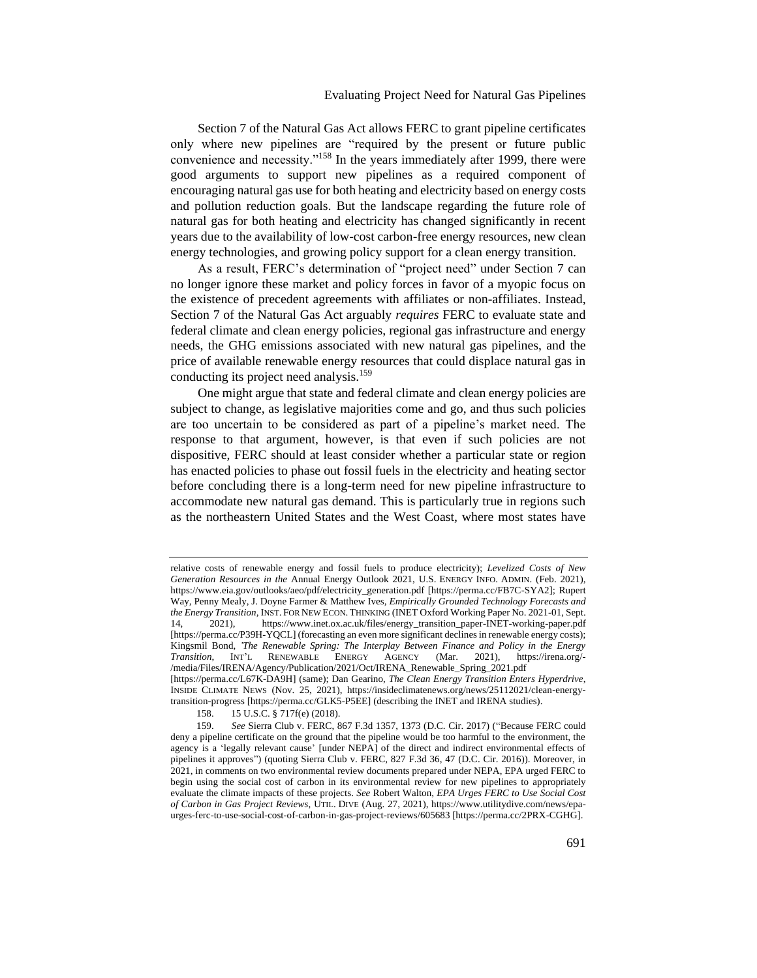# Evaluating Project Need for Natural Gas Pipelines

Section 7 of the Natural Gas Act allows FERC to grant pipeline certificates only where new pipelines are "required by the present or future public convenience and necessity."<sup>158</sup> In the years immediately after 1999, there were good arguments to support new pipelines as a required component of encouraging natural gas use for both heating and electricity based on energy costs and pollution reduction goals. But the landscape regarding the future role of natural gas for both heating and electricity has changed significantly in recent years due to the availability of low-cost carbon-free energy resources, new clean energy technologies, and growing policy support for a clean energy transition.

As a result, FERC's determination of "project need" under Section 7 can no longer ignore these market and policy forces in favor of a myopic focus on the existence of precedent agreements with affiliates or non-affiliates. Instead, Section 7 of the Natural Gas Act arguably *requires* FERC to evaluate state and federal climate and clean energy policies, regional gas infrastructure and energy needs, the GHG emissions associated with new natural gas pipelines, and the price of available renewable energy resources that could displace natural gas in conducting its project need analysis.<sup>159</sup>

One might argue that state and federal climate and clean energy policies are subject to change, as legislative majorities come and go, and thus such policies are too uncertain to be considered as part of a pipeline's market need. The response to that argument, however, is that even if such policies are not dispositive, FERC should at least consider whether a particular state or region has enacted policies to phase out fossil fuels in the electricity and heating sector before concluding there is a long-term need for new pipeline infrastructure to accommodate new natural gas demand. This is particularly true in regions such as the northeastern United States and the West Coast, where most states have

relative costs of renewable energy and fossil fuels to produce electricity); *Levelized Costs of New Generation Resources in the* Annual Energy Outlook 2021, U.S. ENERGY INFO. ADMIN. (Feb. 2021), https://www.eia.gov/outlooks/aeo/pdf/electricity\_generation.pdf [https://perma.cc/FB7C-SYA2]; Rupert Way, Penny Mealy, J. Doyne Farmer & Matthew Ives, *Empirically Grounded Technology Forecasts and the Energy Transition*, INST. FOR NEW ECON. THINKING (INET Oxford Working Paper No. 2021-01, Sept. 14, 2021), https://www.inet.ox.ac.uk/files/energy\_transition\_paper-INET-working-paper.pdf [https://perma.cc/P39H-YQCL] (forecasting an even more significant declines in renewable energy costs); Kingsmil Bond, *'The Renewable Spring: The Interplay Between Finance and Policy in the Energy Transition*, INT'L RENEWABLE ENERGY AGENCY (Mar. 2021), https://irena.org/- /media/Files/IRENA/Agency/Publication/2021/Oct/IRENA\_Renewable\_Spring\_2021.pdf [https://perma.cc/L67K-DA9H] (same); Dan Gearino, *The Clean Energy Transition Enters Hyperdrive*, INSIDE CLIMATE NEWS (Nov. 25, 2021), https://insideclimatenews.org/news/25112021/clean-energytransition-progress [https://perma.cc/GLK5-P5EE] (describing the INET and IRENA studies).

<sup>158.</sup> 15 U.S.C. § 717f(e) (2018).

<sup>159.</sup> *See* Sierra Club v. FERC, 867 F.3d 1357, 1373 (D.C. Cir. 2017) ("Because FERC could deny a pipeline certificate on the ground that the pipeline would be too harmful to the environment, the agency is a 'legally relevant cause' [under NEPA] of the direct and indirect environmental effects of pipelines it approves") (quoting Sierra Club v. FERC, 827 F.3d 36, 47 (D.C. Cir. 2016)). Moreover, in 2021, in comments on two environmental review documents prepared under NEPA, EPA urged FERC to begin using the social cost of carbon in its environmental review for new pipelines to appropriately evaluate the climate impacts of these projects. *See* Robert Walton, *EPA Urges FERC to Use Social Cost of Carbon in Gas Project Reviews*, UTIL. DIVE (Aug. 27, 2021), https://www.utilitydive.com/news/epaurges-ferc-to-use-social-cost-of-carbon-in-gas-project-reviews/605683 [https://perma.cc/2PRX-CGHG].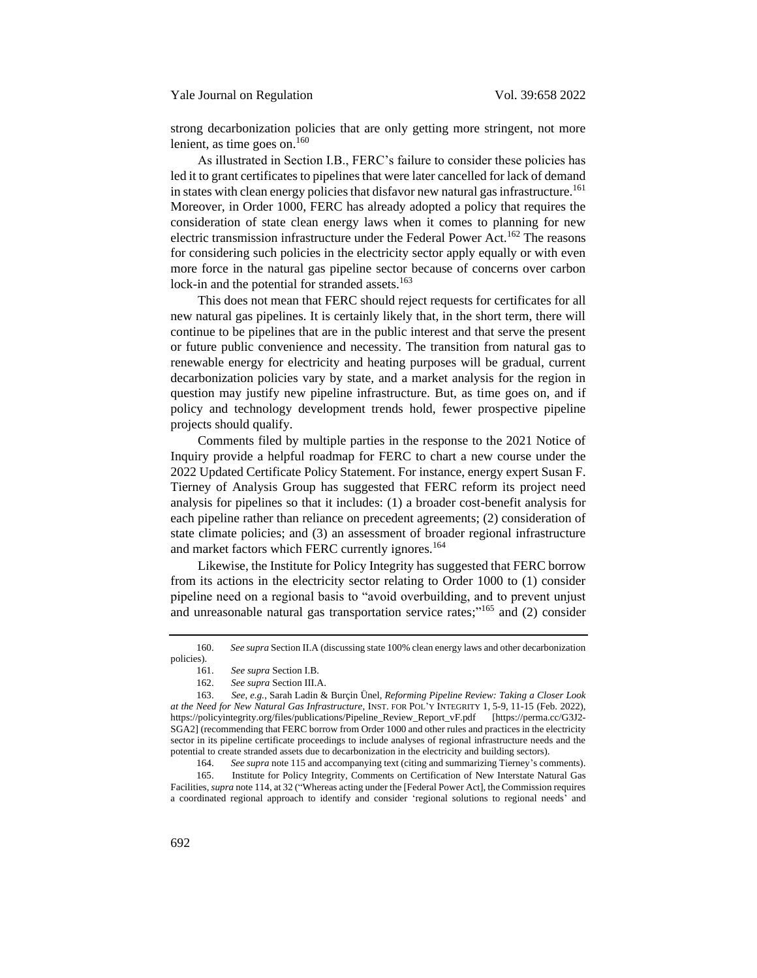strong decarbonization policies that are only getting more stringent, not more lenient, as time goes on. $160$ 

As illustrated in Section I.B., FERC's failure to consider these policies has led it to grant certificates to pipelines that were later cancelled for lack of demand in states with clean energy policies that disfavor new natural gas infrastructure.<sup>161</sup> Moreover, in Order 1000, FERC has already adopted a policy that requires the consideration of state clean energy laws when it comes to planning for new electric transmission infrastructure under the Federal Power Act.<sup>162</sup> The reasons for considering such policies in the electricity sector apply equally or with even more force in the natural gas pipeline sector because of concerns over carbon lock-in and the potential for stranded assets.<sup>163</sup>

This does not mean that FERC should reject requests for certificates for all new natural gas pipelines. It is certainly likely that, in the short term, there will continue to be pipelines that are in the public interest and that serve the present or future public convenience and necessity. The transition from natural gas to renewable energy for electricity and heating purposes will be gradual, current decarbonization policies vary by state, and a market analysis for the region in question may justify new pipeline infrastructure. But, as time goes on, and if policy and technology development trends hold, fewer prospective pipeline projects should qualify.

Comments filed by multiple parties in the response to the 2021 Notice of Inquiry provide a helpful roadmap for FERC to chart a new course under the 2022 Updated Certificate Policy Statement. For instance, energy expert Susan F. Tierney of Analysis Group has suggested that FERC reform its project need analysis for pipelines so that it includes: (1) a broader cost-benefit analysis for each pipeline rather than reliance on precedent agreements; (2) consideration of state climate policies; and (3) an assessment of broader regional infrastructure and market factors which FERC currently ignores.<sup>164</sup>

Likewise, the Institute for Policy Integrity has suggested that FERC borrow from its actions in the electricity sector relating to Order 1000 to (1) consider pipeline need on a regional basis to "avoid overbuilding, and to prevent unjust and unreasonable natural gas transportation service rates;"<sup>165</sup> and (2) consider

164. *See supra* note 115 and accompanying text (citing and summarizing Tierney's comments).

165. Institute for Policy Integrity, Comments on Certification of New Interstate Natural Gas Facilities, *supra* not[e 114,](#page-25-0) at 32 ("Whereas acting under the [Federal Power Act], the Commission requires a coordinated regional approach to identify and consider 'regional solutions to regional needs' and

<sup>160.</sup> *See supra* Section II.A (discussing state 100% clean energy laws and other decarbonization policies).

<sup>161.</sup> *See supra* Section I.B.

<sup>162.</sup> *See supra* Section III.A.

<sup>163.</sup> *See*, *e.g.*, Sarah Ladin & Burçin Ünel, *Reforming Pipeline Review: Taking a Closer Look at the Need for New Natural Gas Infrastructure*, INST. FOR POL'Y INTEGRITY 1, 5-9, 11-15 (Feb. 2022), https://policyintegrity.org/files/publications/Pipeline\_Review\_Report\_vF.pdf [https://perma.cc/G3J2- SGA2] (recommending that FERC borrow from Order 1000 and other rules and practices in the electricity sector in its pipeline certificate proceedings to include analyses of regional infrastructure needs and the potential to create stranded assets due to decarbonization in the electricity and building sectors).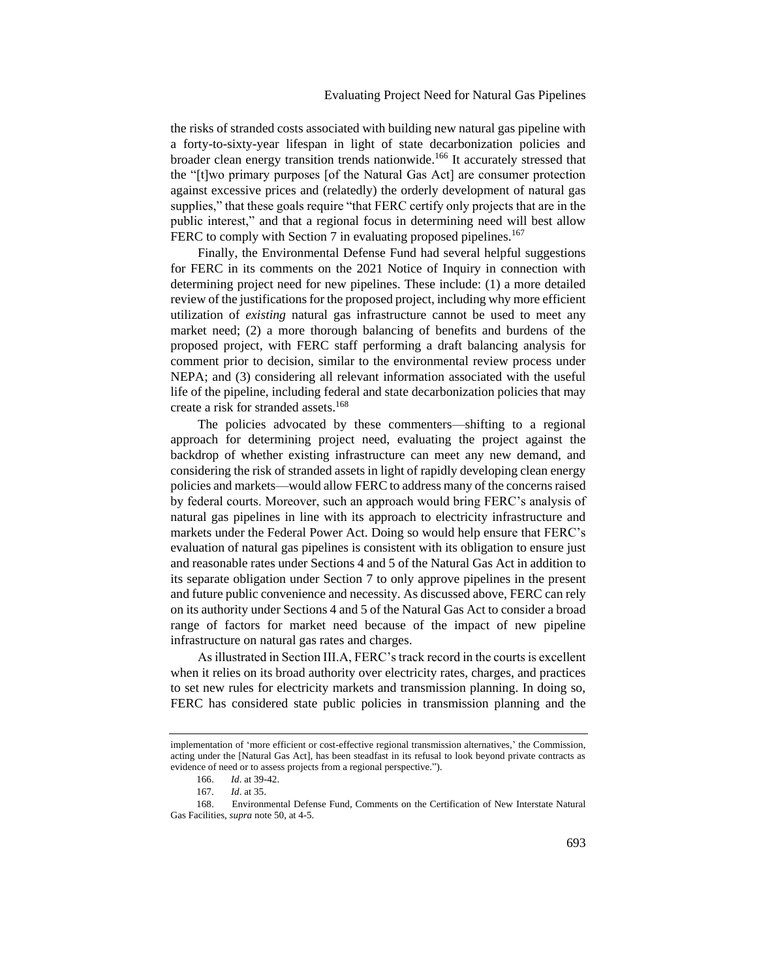the risks of stranded costs associated with building new natural gas pipeline with a forty-to-sixty-year lifespan in light of state decarbonization policies and broader clean energy transition trends nationwide.<sup>166</sup> It accurately stressed that the "[t]wo primary purposes [of the Natural Gas Act] are consumer protection against excessive prices and (relatedly) the orderly development of natural gas supplies," that these goals require "that FERC certify only projects that are in the public interest," and that a regional focus in determining need will best allow FERC to comply with Section 7 in evaluating proposed pipelines.<sup>167</sup>

Finally, the Environmental Defense Fund had several helpful suggestions for FERC in its comments on the 2021 Notice of Inquiry in connection with determining project need for new pipelines. These include: (1) a more detailed review of the justifications for the proposed project, including why more efficient utilization of *existing* natural gas infrastructure cannot be used to meet any market need; (2) a more thorough balancing of benefits and burdens of the proposed project, with FERC staff performing a draft balancing analysis for comment prior to decision, similar to the environmental review process under NEPA; and (3) considering all relevant information associated with the useful life of the pipeline, including federal and state decarbonization policies that may create a risk for stranded assets.<sup>168</sup>

The policies advocated by these commenters—shifting to a regional approach for determining project need, evaluating the project against the backdrop of whether existing infrastructure can meet any new demand, and considering the risk of stranded assets in light of rapidly developing clean energy policies and markets—would allow FERC to address many of the concerns raised by federal courts. Moreover, such an approach would bring FERC's analysis of natural gas pipelines in line with its approach to electricity infrastructure and markets under the Federal Power Act. Doing so would help ensure that FERC's evaluation of natural gas pipelines is consistent with its obligation to ensure just and reasonable rates under Sections 4 and 5 of the Natural Gas Act in addition to its separate obligation under Section 7 to only approve pipelines in the present and future public convenience and necessity. As discussed above, FERC can rely on its authority under Sections 4 and 5 of the Natural Gas Act to consider a broad range of factors for market need because of the impact of new pipeline infrastructure on natural gas rates and charges.

As illustrated in Section III.A, FERC's track record in the courts is excellent when it relies on its broad authority over electricity rates, charges, and practices to set new rules for electricity markets and transmission planning. In doing so, FERC has considered state public policies in transmission planning and the

implementation of 'more efficient or cost-effective regional transmission alternatives,' the Commission, acting under the [Natural Gas Act], has been steadfast in its refusal to look beyond private contracts as evidence of need or to assess projects from a regional perspective.").

<sup>166.</sup> *Id*. at 39-42.

<sup>167.</sup> *Id*. at 35.

<sup>168.</sup> Environmental Defense Fund, Comments on the Certification of New Interstate Natural Gas Facilities, *supra* note 50, at 4-5.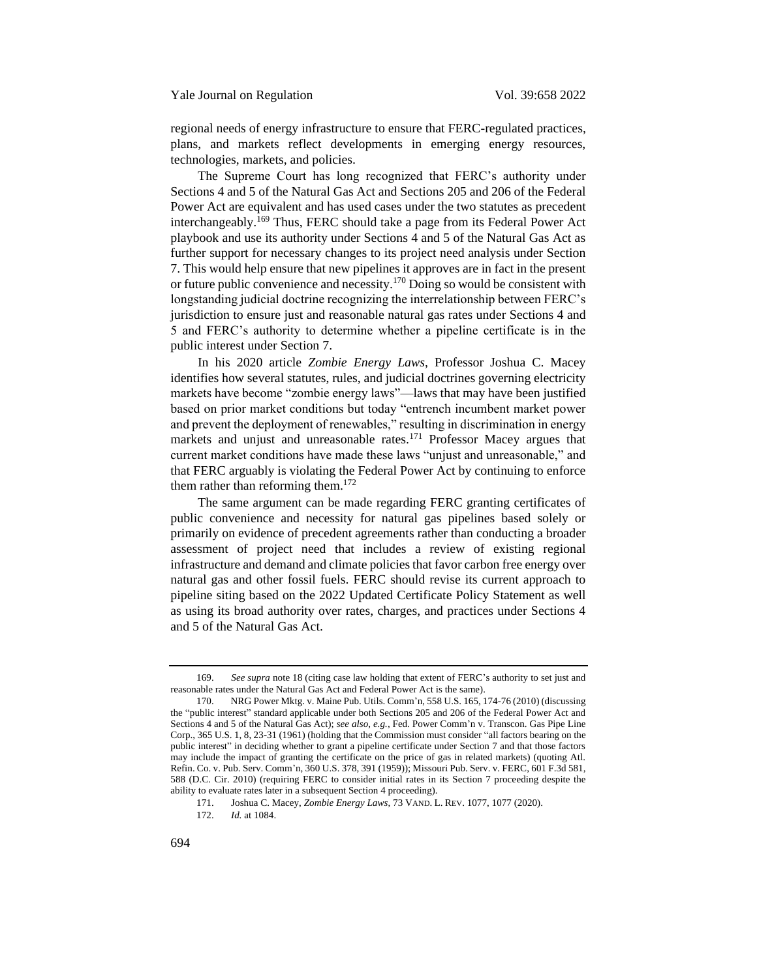regional needs of energy infrastructure to ensure that FERC-regulated practices, plans, and markets reflect developments in emerging energy resources, technologies, markets, and policies.

The Supreme Court has long recognized that FERC's authority under Sections 4 and 5 of the Natural Gas Act and Sections 205 and 206 of the Federal Power Act are equivalent and has used cases under the two statutes as precedent interchangeably.<sup>169</sup> Thus, FERC should take a page from its Federal Power Act playbook and use its authority under Sections 4 and 5 of the Natural Gas Act as further support for necessary changes to its project need analysis under Section 7. This would help ensure that new pipelines it approves are in fact in the present or future public convenience and necessity.<sup>170</sup> Doing so would be consistent with longstanding judicial doctrine recognizing the interrelationship between FERC's jurisdiction to ensure just and reasonable natural gas rates under Sections 4 and 5 and FERC's authority to determine whether a pipeline certificate is in the public interest under Section 7.

In his 2020 article *Zombie Energy Laws*, Professor Joshua C. Macey identifies how several statutes, rules, and judicial doctrines governing electricity markets have become "zombie energy laws"—laws that may have been justified based on prior market conditions but today "entrench incumbent market power and prevent the deployment of renewables," resulting in discrimination in energy markets and unjust and unreasonable rates.<sup>171</sup> Professor Macey argues that current market conditions have made these laws "unjust and unreasonable," and that FERC arguably is violating the Federal Power Act by continuing to enforce them rather than reforming them. $172$ 

The same argument can be made regarding FERC granting certificates of public convenience and necessity for natural gas pipelines based solely or primarily on evidence of precedent agreements rather than conducting a broader assessment of project need that includes a review of existing regional infrastructure and demand and climate policies that favor carbon free energy over natural gas and other fossil fuels. FERC should revise its current approach to pipeline siting based on the 2022 Updated Certificate Policy Statement as well as using its broad authority over rates, charges, and practices under Sections 4 and 5 of the Natural Gas Act.

<sup>169.</sup> *See supra* note 18 (citing case law holding that extent of FERC's authority to set just and reasonable rates under the Natural Gas Act and Federal Power Act is the same).

<sup>170.</sup> NRG Power Mktg. v. Maine Pub. Utils. Comm'n, 558 U.S. 165, 174-76 (2010) (discussing the "public interest" standard applicable under both Sections 205 and 206 of the Federal Power Act and Sections 4 and 5 of the Natural Gas Act); *see also*, *e.g.*, Fed. Power Comm'n v. Transcon. Gas Pipe Line Corp., 365 U.S. 1, 8, 23-31 (1961) (holding that the Commission must consider "all factors bearing on the public interest" in deciding whether to grant a pipeline certificate under Section 7 and that those factors may include the impact of granting the certificate on the price of gas in related markets) (quoting Atl. Refin. Co. v. Pub. Serv. Comm'n, 360 U.S. 378, 391 (1959)); Missouri Pub. Serv. v. FERC, 601 F.3d 581, 588 (D.C. Cir. 2010) (requiring FERC to consider initial rates in its Section 7 proceeding despite the ability to evaluate rates later in a subsequent Section 4 proceeding).

<sup>171.</sup> Joshua C. Macey, *Zombie Energy Laws*, 73 VAND. L. REV. 1077, 1077 (2020).

<sup>172.</sup> *Id.* at 1084.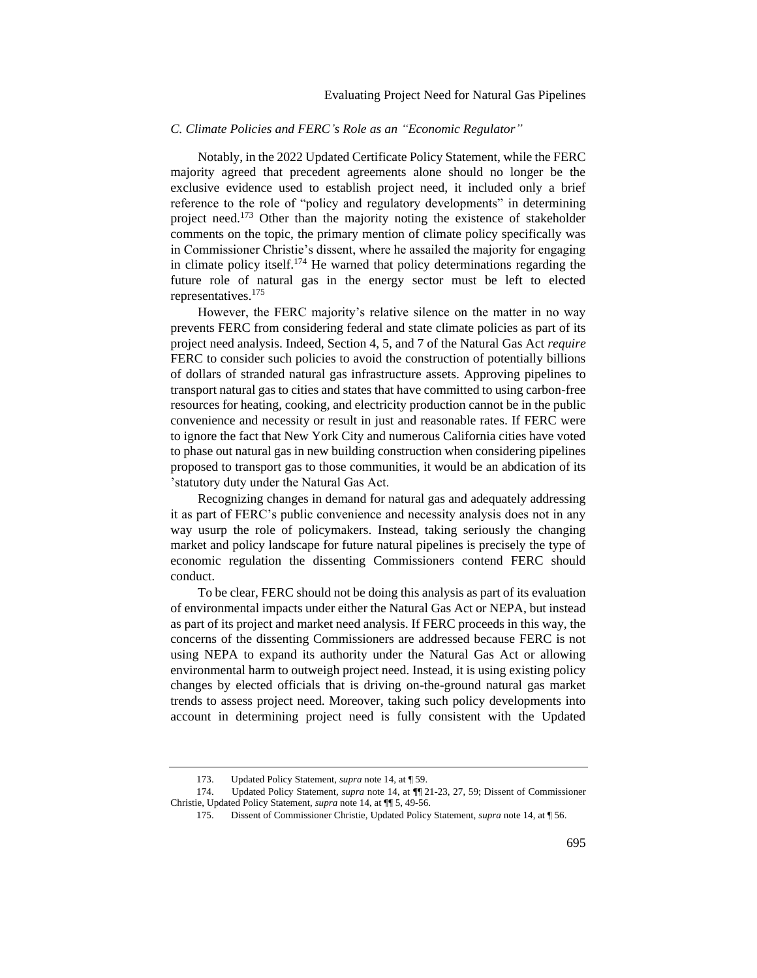# <span id="page-37-0"></span>*C. Climate Policies and FERC's Role as an "Economic Regulator"*

Notably, in the 2022 Updated Certificate Policy Statement, while the FERC majority agreed that precedent agreements alone should no longer be the exclusive evidence used to establish project need, it included only a brief reference to the role of "policy and regulatory developments" in determining project need.<sup>173</sup> Other than the majority noting the existence of stakeholder comments on the topic, the primary mention of climate policy specifically was in Commissioner Christie's dissent, where he assailed the majority for engaging in climate policy itself.<sup>174</sup> He warned that policy determinations regarding the future role of natural gas in the energy sector must be left to elected representatives.<sup>175</sup>

However, the FERC majority's relative silence on the matter in no way prevents FERC from considering federal and state climate policies as part of its project need analysis. Indeed, Section 4, 5, and 7 of the Natural Gas Act *require* FERC to consider such policies to avoid the construction of potentially billions of dollars of stranded natural gas infrastructure assets. Approving pipelines to transport natural gas to cities and states that have committed to using carbon-free resources for heating, cooking, and electricity production cannot be in the public convenience and necessity or result in just and reasonable rates. If FERC were to ignore the fact that New York City and numerous California cities have voted to phase out natural gas in new building construction when considering pipelines proposed to transport gas to those communities, it would be an abdication of its 'statutory duty under the Natural Gas Act.

Recognizing changes in demand for natural gas and adequately addressing it as part of FERC's public convenience and necessity analysis does not in any way usurp the role of policymakers. Instead, taking seriously the changing market and policy landscape for future natural pipelines is precisely the type of economic regulation the dissenting Commissioners contend FERC should conduct.

To be clear, FERC should not be doing this analysis as part of its evaluation of environmental impacts under either the Natural Gas Act or NEPA, but instead as part of its project and market need analysis. If FERC proceeds in this way, the concerns of the dissenting Commissioners are addressed because FERC is not using NEPA to expand its authority under the Natural Gas Act or allowing environmental harm to outweigh project need. Instead, it is using existing policy changes by elected officials that is driving on-the-ground natural gas market trends to assess project need. Moreover, taking such policy developments into account in determining project need is fully consistent with the Updated

175. Dissent of Commissioner Christie, Updated Policy Statement, *supra* not[e 14,](#page-4-0) at ¶ 56.

<sup>173.</sup> Updated Policy Statement, *supra* not[e 14,](#page-4-0) at ¶ 59.

<sup>174.</sup> Updated Policy Statement, *supra* not[e 14,](#page-4-0) at ¶¶ 21-23, 27, 59; Dissent of Commissioner Christie, Updated Policy Statement, *supra* note [14,](#page-4-0) at ¶¶ 5, 49-56.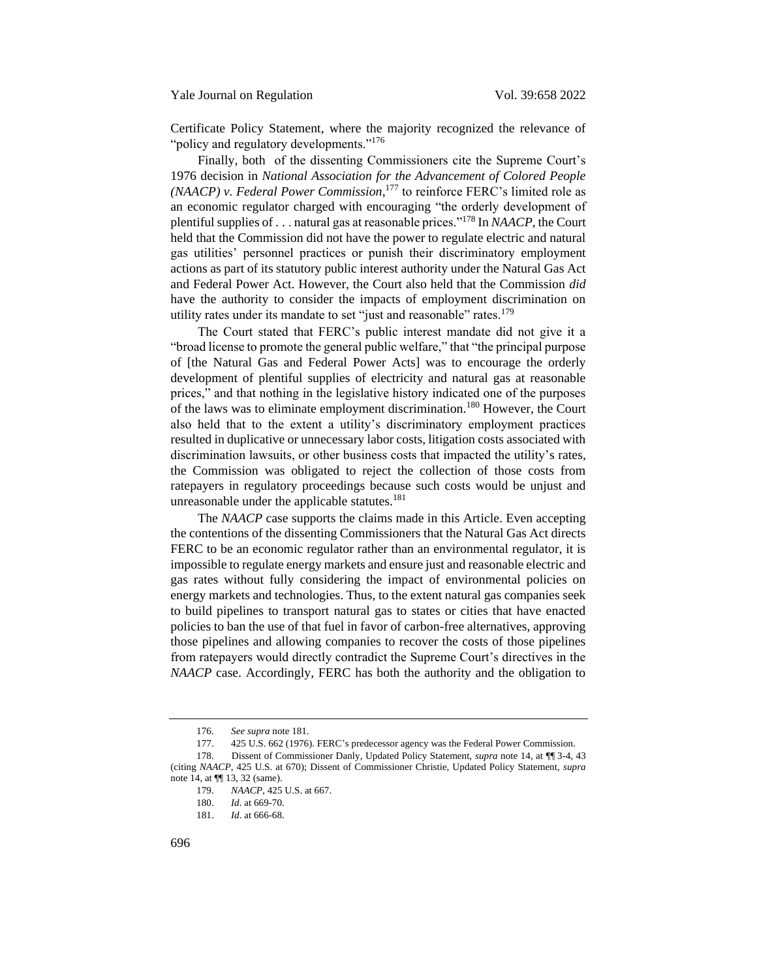Certificate Policy Statement, where the majority recognized the relevance of "policy and regulatory developments."<sup>176</sup>

Finally, both of the dissenting Commissioners cite the Supreme Court's 1976 decision in *National Association for the Advancement of Colored People (NAACP) v. Federal Power Commission*, <sup>177</sup> to reinforce FERC's limited role as an economic regulator charged with encouraging "the orderly development of plentiful supplies of . . . natural gas at reasonable prices."<sup>178</sup> In *NAACP*, the Court held that the Commission did not have the power to regulate electric and natural gas utilities' personnel practices or punish their discriminatory employment actions as part of its statutory public interest authority under the Natural Gas Act and Federal Power Act. However, the Court also held that the Commission *did* have the authority to consider the impacts of employment discrimination on utility rates under its mandate to set "just and reasonable" rates.<sup>179</sup>

The Court stated that FERC's public interest mandate did not give it a "broad license to promote the general public welfare," that "the principal purpose of [the Natural Gas and Federal Power Acts] was to encourage the orderly development of plentiful supplies of electricity and natural gas at reasonable prices," and that nothing in the legislative history indicated one of the purposes of the laws was to eliminate employment discrimination.<sup>180</sup> However, the Court also held that to the extent a utility's discriminatory employment practices resulted in duplicative or unnecessary labor costs, litigation costs associated with discrimination lawsuits, or other business costs that impacted the utility's rates, the Commission was obligated to reject the collection of those costs from ratepayers in regulatory proceedings because such costs would be unjust and unreasonable under the applicable statutes.<sup>181</sup>

The *NAACP* case supports the claims made in this Article. Even accepting the contentions of the dissenting Commissioners that the Natural Gas Act directs FERC to be an economic regulator rather than an environmental regulator, it is impossible to regulate energy markets and ensure just and reasonable electric and gas rates without fully considering the impact of environmental policies on energy markets and technologies. Thus, to the extent natural gas companies seek to build pipelines to transport natural gas to states or cities that have enacted policies to ban the use of that fuel in favor of carbon-free alternatives, approving those pipelines and allowing companies to recover the costs of those pipelines from ratepayers would directly contradict the Supreme Court's directives in the *NAACP* case. Accordingly, FERC has both the authority and the obligation to

<sup>176.</sup> *See supra* note 181.

<sup>177.</sup> 425 U.S. 662 (1976). FERC's predecessor agency was the Federal Power Commission.

<sup>178.</sup> Dissent of Commissioner Danly, Updated Policy Statement, *supra* note 14, at ¶¶ 3-4, 43 (citing *NAACP*, 425 U.S. at 670); Dissent of Commissioner Christie, Updated Policy Statement, *supra* note 14, at  $\P$  13, 32 (same).

<sup>179.</sup> *NAACP*, 425 U.S. at 667.

<sup>180.</sup> *Id*. at 669-70.

<sup>181.</sup> *Id*. at 666-68.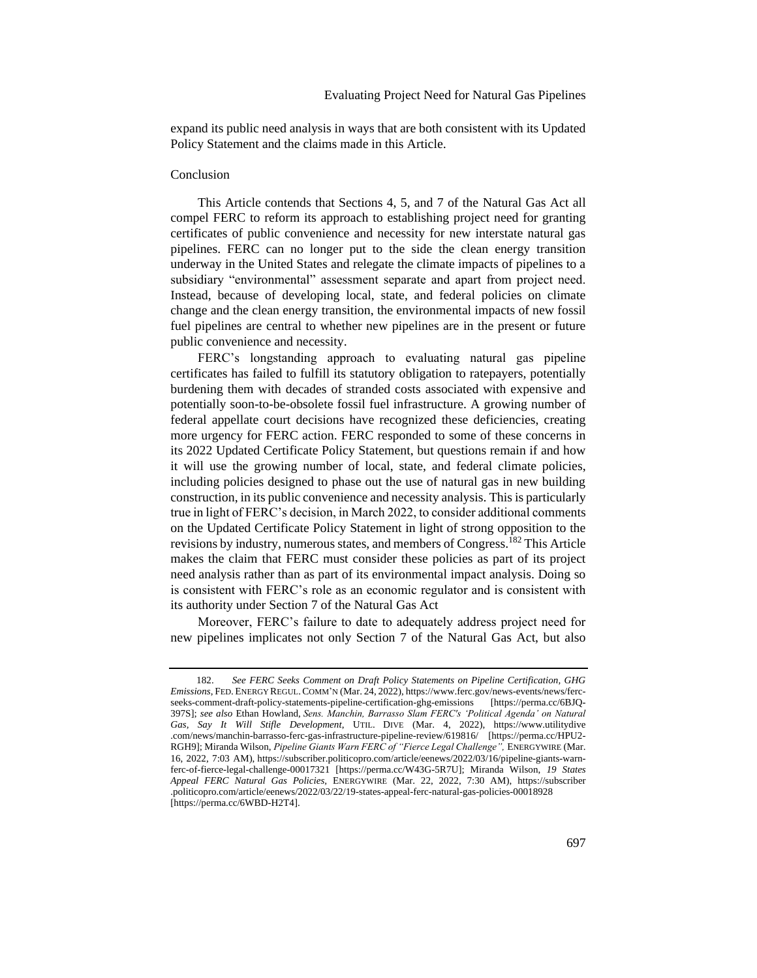expand its public need analysis in ways that are both consistent with its Updated Policy Statement and the claims made in this Article.

# <span id="page-39-0"></span>Conclusion

This Article contends that Sections 4, 5, and 7 of the Natural Gas Act all compel FERC to reform its approach to establishing project need for granting certificates of public convenience and necessity for new interstate natural gas pipelines. FERC can no longer put to the side the clean energy transition underway in the United States and relegate the climate impacts of pipelines to a subsidiary "environmental" assessment separate and apart from project need. Instead, because of developing local, state, and federal policies on climate change and the clean energy transition, the environmental impacts of new fossil fuel pipelines are central to whether new pipelines are in the present or future public convenience and necessity.

FERC's longstanding approach to evaluating natural gas pipeline certificates has failed to fulfill its statutory obligation to ratepayers, potentially burdening them with decades of stranded costs associated with expensive and potentially soon-to-be-obsolete fossil fuel infrastructure. A growing number of federal appellate court decisions have recognized these deficiencies, creating more urgency for FERC action. FERC responded to some of these concerns in its 2022 Updated Certificate Policy Statement, but questions remain if and how it will use the growing number of local, state, and federal climate policies, including policies designed to phase out the use of natural gas in new building construction, in its public convenience and necessity analysis. This is particularly true in light of FERC's decision, in March 2022, to consider additional comments on the Updated Certificate Policy Statement in light of strong opposition to the revisions by industry, numerous states, and members of Congress.<sup>182</sup> This Article makes the claim that FERC must consider these policies as part of its project need analysis rather than as part of its environmental impact analysis. Doing so is consistent with FERC's role as an economic regulator and is consistent with its authority under Section 7 of the Natural Gas Act

Moreover, FERC's failure to date to adequately address project need for new pipelines implicates not only Section 7 of the Natural Gas Act, but also

<sup>182.</sup> *See FERC Seeks Comment on Draft Policy Statements on Pipeline Certification, GHG Emissions*, FED. ENERGY REGUL.COMM'N (Mar. 24, 2022), https://www.ferc.gov/news-events/news/fercseeks-comment-draft-policy-statements-pipeline-certification-ghg-emissions [https://perma.cc/6BJQ-397S]; *see also* Ethan Howland, *Sens. Manchin, Barrasso Slam FERC's 'Political Agenda' on Natural Gas, Say It Will Stifle Development*, UTIL. DIVE (Mar. 4, 2022), https://www.utilitydive .com/news/manchin-barrasso-ferc-gas-infrastructure-pipeline-review/619816/ [https://perma.cc/HPU2- RGH9]; Miranda Wilson, *Pipeline Giants Warn FERC of "Fierce Legal Challenge",* ENERGYWIRE (Mar. 16, 2022, 7:03 AM), https://subscriber.politicopro.com/article/eenews/2022/03/16/pipeline-giants-warnferc-of-fierce-legal-challenge-00017321 [https://perma.cc/W43G-5R7U]; Miranda Wilson, *19 States Appeal FERC Natural Gas Policies,* ENERGYWIRE (Mar. 22, 2022, 7:30 AM), https://subscriber .politicopro.com/article/eenews/2022/03/22/19-states-appeal-ferc-natural-gas-policies-00018928 [https://perma.cc/6WBD-H2T4].